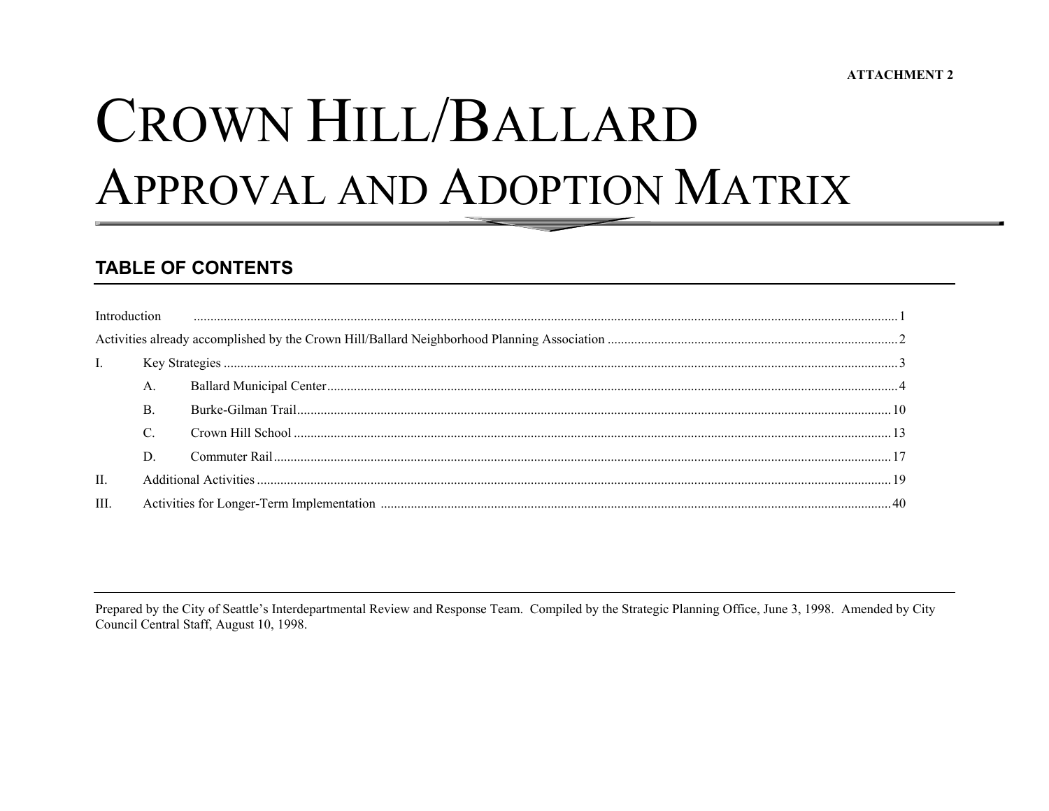# CROWN HILL/BALLARD APPROVAL AND ADOPTION MATRIX

## **TABLE OF CONTENTS**

|       | В. |  |  |  |  |  |  |  |
|-------|----|--|--|--|--|--|--|--|
|       |    |  |  |  |  |  |  |  |
|       | D. |  |  |  |  |  |  |  |
| $\Pi$ |    |  |  |  |  |  |  |  |
| Ш     |    |  |  |  |  |  |  |  |

Prepared by the City of Seattle's Interdepartmental Review and Response Team. Compiled by the Strategic Planning Office, June 3, 1998. Amended by City Council Central Staff, August 10, 1998.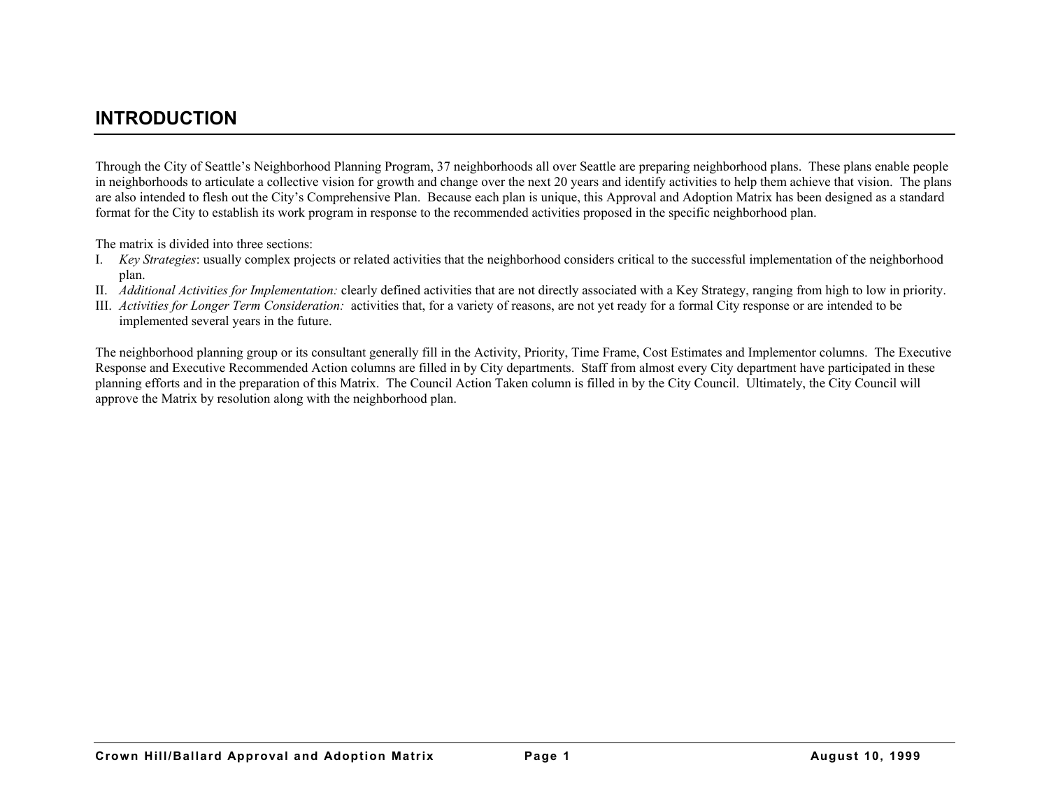## **INTRODUCTION**

Through the City of Seattle's Neighborhood Planning Program, 37 neighborhoods all over Seattle are preparing neighborhood plans. These plans enable people in neighborhoods to articulate a collective vision for growth and change over the next 20 years and identify activities to help them achieve that vision. The plans are also intended to flesh out the City's Comprehensive Plan. Because each plan is unique, this Approval and Adoption Matrix has been designed as a standard format for the City to establish its work program in response to the recommended activities proposed in the specific neighborhood plan.

The matrix is divided into three sections:

- I. *Key Strategies*: usually complex projects or related activities that the neighborhood considers critical to the successful implementation of the neighborhood plan.
- II. *Additional Activities for Implementation:* clearly defined activities that are not directly associated with a Key Strategy, ranging from high to low in priority.
- III. *Activities for Longer Term Consideration:* activities that, for a variety of reasons, are not yet ready for a formal City response or are intended to be implemented several years in the future.

The neighborhood planning group or its consultant generally fill in the Activity, Priority, Time Frame, Cost Estimates and Implementor columns. The Executive Response and Executive Recommended Action columns are filled in by City departments. Staff from almost every City department have participated in these planning efforts and in the preparation of this Matrix. The Council Action Taken column is filled in by the City Council. Ultimately, the City Council will approve the Matrix by resolution along with the neighborhood plan.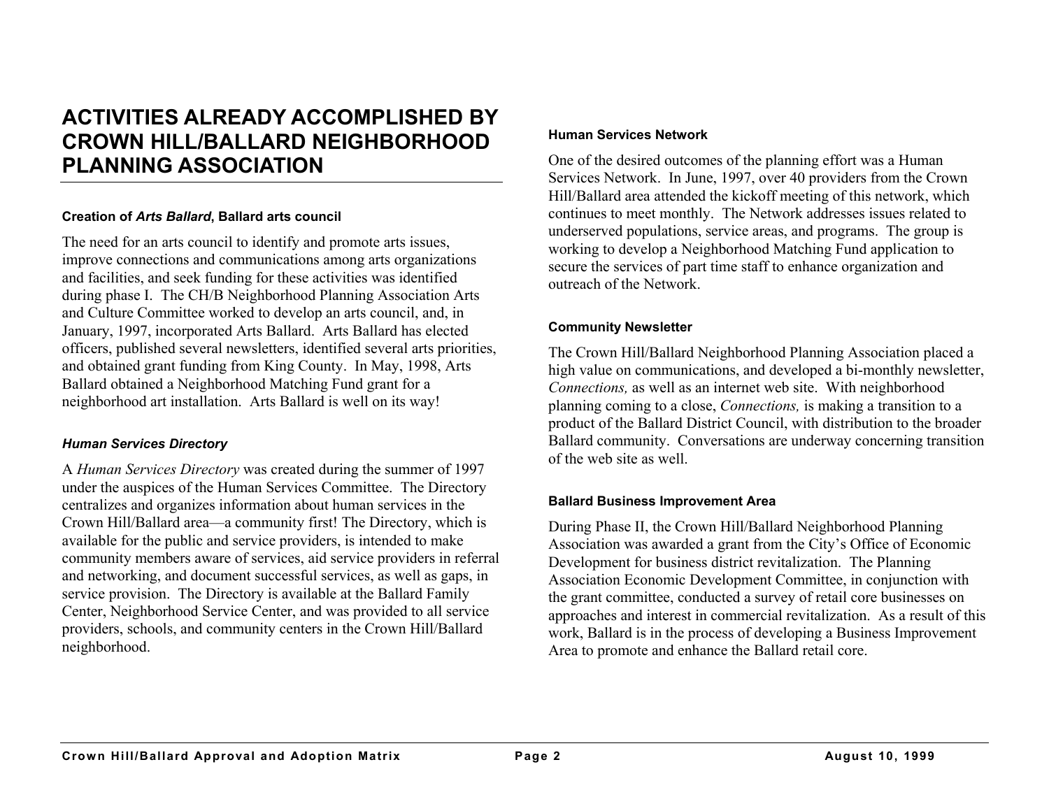# **ACTIVITIES ALREADY ACCOMPLISHED BYCROWN HILL/BALLARD NEIGHBORHOODPLANNING ASSOCIATION**

#### **Creation of** *Arts Ballard***, Ballard arts council**

The need for an arts council to identify and promote arts issues, improve connections and communications among arts organizations and facilities, and seek funding for these activities was identified during phase I. The CH/B Neighborhood Planning Association Arts and Culture Committee worked to develop an arts council, and, in January, 1997, incorporated Arts Ballard. Arts Ballard has elected officers, published several newsletters, identified several arts priorities, and obtained grant funding from King County. In May, 1998, Arts Ballard obtained a Neighborhood Matching Fund grant for a neighborhood art installation. Arts Ballard is well on its way!

#### *Human Services Directory*

A *Human Services Directory* was created during the summer of 1997 under the auspices of the Human Services Committee. The Directory centralizes and organizes information about human services in the Crown Hill/Ballard area—a community first! The Directory, which is available for the public and service providers, is intended to make community members aware of services, aid service providers in referral and networking, and document successful services, as well as gaps, in service provision. The Directory is available at the Ballard Family Center, Neighborhood Service Center, and was provided to all service providers, schools, and community centers in the Crown Hill/Ballard neighborhood.

#### **Human Services Network**

One of the desired outcomes of the planning effort was a Human Services Network. In June, 1997, over 40 providers from the Crown Hill/Ballard area attended the kickoff meeting of this network, which continues to meet monthly. The Network addresses issues related to underserved populations, service areas, and programs. The group is working to develop a Neighborhood Matching Fund application to secure the services of part time staff to enhance organization and outreach of the Network.

## **Community Newsletter**

The Crown Hill/Ballard Neighborhood Planning Association placed a high value on communications, and developed a bi-monthly newsletter, *Connections,* as well as an internet web site. With neighborhood planning coming to a close, *Connections,* is making a transition to a product of the Ballard District Council, with distribution to the broader Ballard community. Conversations are underway concerning transition of the web site as well.

#### **Ballard Business Improvement Area**

During Phase II, the Crown Hill/Ballard Neighborhood Planning Association was awarded a grant from the City's Office of Economic Development for business district revitalization. The Planning Association Economic Development Committee, in conjunction with the grant committee, conducted a survey of retail core businesses on approaches and interest in commercial revitalization. As a result of this work, Ballard is in the process of developing a Business Improvement Area to promote and enhance the Ballard retail core.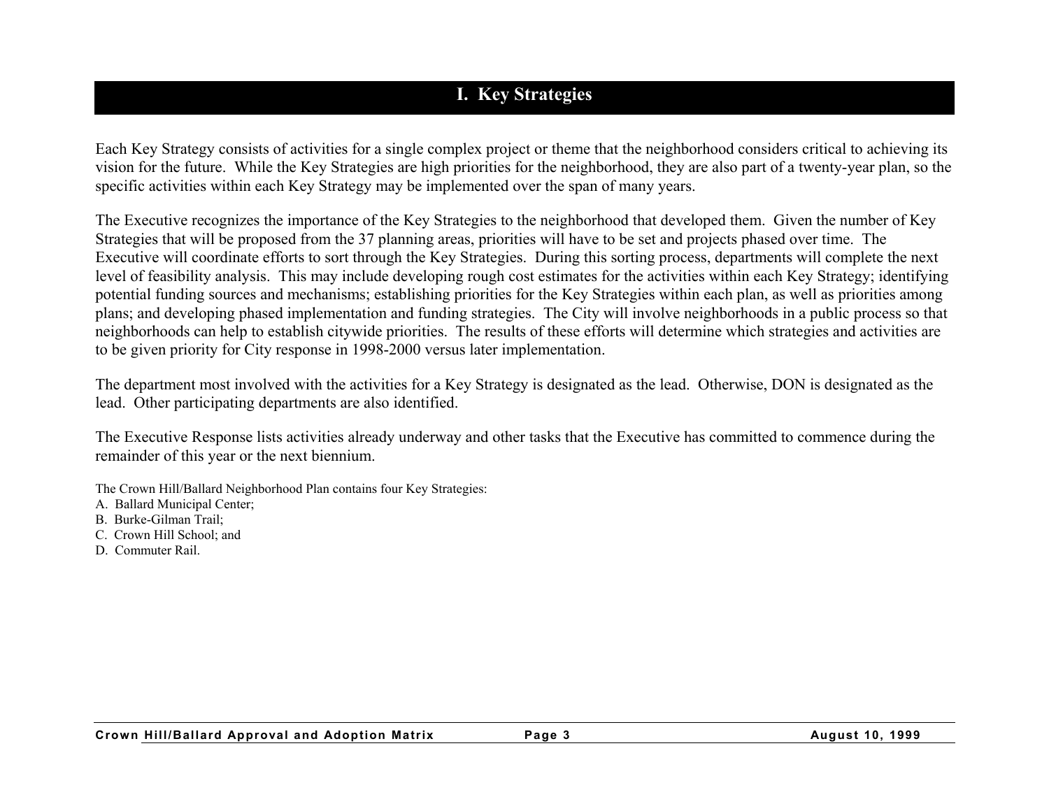# **I. Key Strategies**

Each Key Strategy consists of activities for a single complex project or theme that the neighborhood considers critical to achieving its vision for the future. While the Key Strategies are high priorities for the neighborhood, they are also part of a twenty-year plan, so the specific activities within each Key Strategy may be implemented over the span of many years.

The Executive recognizes the importance of the Key Strategies to the neighborhood that developed them. Given the number of Key Strategies that will be proposed from the 37 planning areas, priorities will have to be set and projects phased over time. The Executive will coordinate efforts to sort through the Key Strategies. During this sorting process, departments will complete the next level of feasibility analysis. This may include developing rough cost estimates for the activities within each Key Strategy; identifying potential funding sources and mechanisms; establishing priorities for the Key Strategies within each plan, as well as priorities among plans; and developing phased implementation and funding strategies. The City will involve neighborhoods in a public process so that neighborhoods can help to establish citywide priorities. The results of these efforts will determine which strategies and activities are to be given priority for City response in 1998-2000 versus later implementation.

The department most involved with the activities for a Key Strategy is designated as the lead. Otherwise, DON is designated as the lead. Other participating departments are also identified.

The Executive Response lists activities already underway and other tasks that the Executive has committed to commence during the remainder of this year or the next biennium.

The Crown Hill/Ballard Neighborhood Plan contains four Key Strategies:

- A. Ballard Municipal Center;
- B. Burke-Gilman Trail;
- C. Crown Hill School; and
- D. Commuter Rail.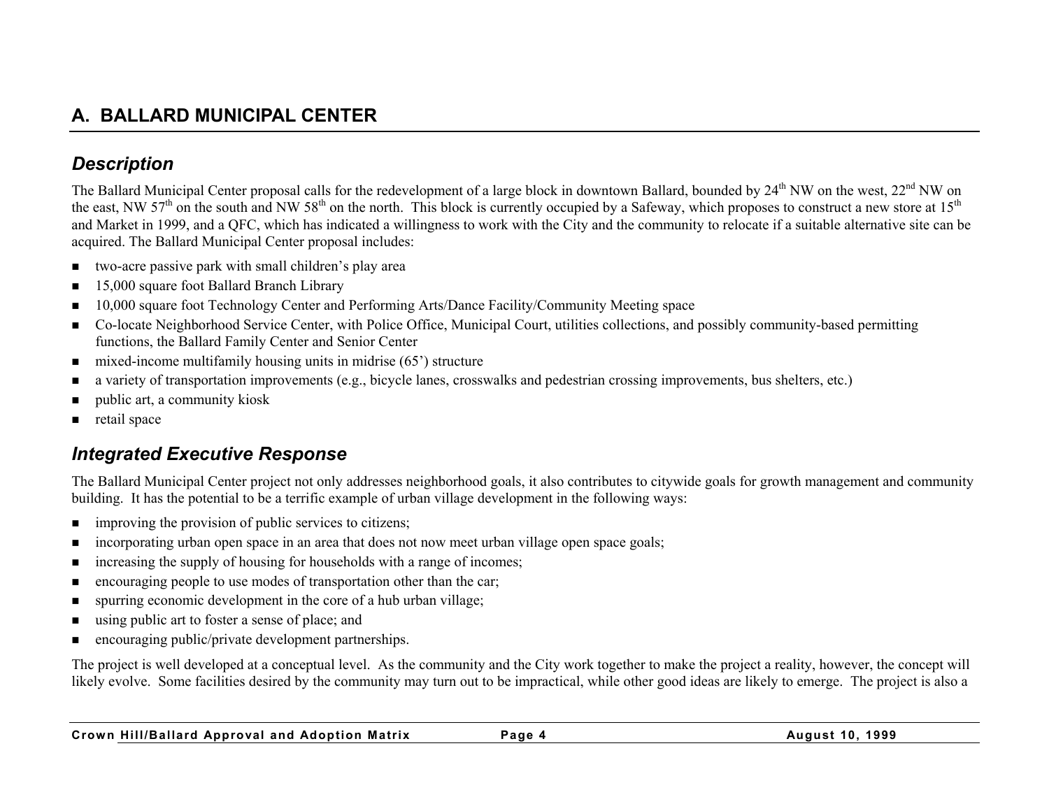# **A. BALLARD MUNICIPAL CENTER**

# *Description*

The Ballard Municipal Center proposal calls for the redevelopment of a large block in downtown Ballard, bounded by 24<sup>th</sup> NW on the west, 22<sup>nd</sup> NW on the east, NW 57<sup>th</sup> on the south and NW 58<sup>th</sup> on the north. This block is currently occupied by a Safeway, which proposes to construct a new store at 15<sup>th</sup> and Market in 1999, and a QFC, which has indicated a willingness to work with the City and the community to relocate if a suitable alternative site can be acquired. The Ballard Municipal Center proposal includes:

- $\blacksquare$ two-acre passive park with small children's play area
- 15,000 square foot Ballard Branch Library
- 10,000 square foot Technology Center and Performing Arts/Dance Facility/Community Meeting space
- Co-locate Neighborhood Service Center, with Police Office, Municipal Court, utilities collections, and possibly community-based permitting functions, the Ballard Family Center and Senior Center
- mixed-income multifamily housing units in midrise (65') structure
- a variety of transportation improvements (e.g., bicycle lanes, crosswalks and pedestrian crossing improvements, bus shelters, etc.)
- public art, a community kiosk
- $\blacksquare$ retail space

# *Integrated Executive Response*

The Ballard Municipal Center project not only addresses neighborhood goals, it also contributes to citywide goals for growth management and community building. It has the potential to be a terrific example of urban village development in the following ways:

- $\blacksquare$ improving the provision of public services to citizens;
- incorporating urban open space in an area that does not now meet urban village open space goals;
- increasing the supply of housing for households with a range of incomes;
- $\blacksquare$ encouraging people to use modes of transportation other than the car;
- spurring economic development in the core of a hub urban village;
- using public art to foster a sense of place; and
- encouraging public/private development partnerships.

The project is well developed at a conceptual level. As the community and the City work together to make the project a reality, however, the concept will likely evolve. Some facilities desired by the community may turn out to be impractical, while other good ideas are likely to emerge. The project is also a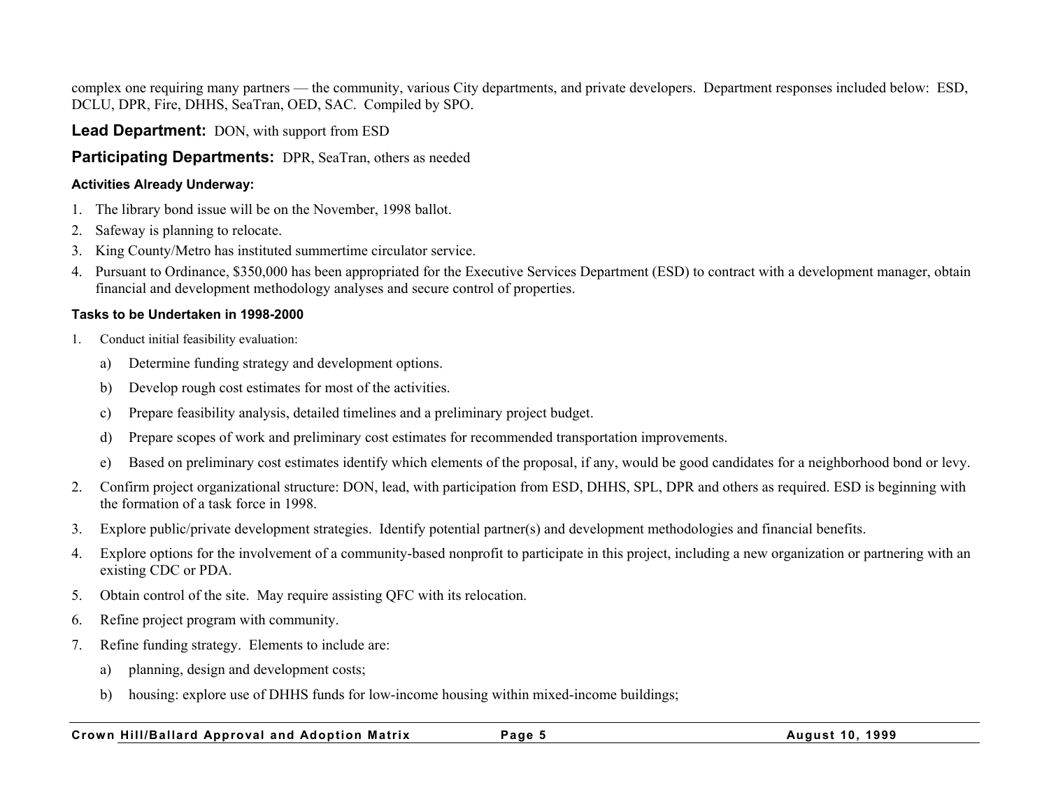complex one requiring many partners — the community, various City departments, and private developers. Department responses included below: ESD, DCLU, DPR, Fire, DHHS, SeaTran, OED, SAC. Compiled by SPO.

**Lead Department:** DON, with support from ESD

## **Participating Departments:** DPR, SeaTran, others as needed

## **Activities Already Underway:**

- 1. The library bond issue will be on the November, 1998 ballot.
- 2.Safeway is planning to relocate.
- 3. King County/Metro has instituted summertime circulator service.
- 4. Pursuant to Ordinance, \$350,000 has been appropriated for the Executive Services Department (ESD) to contract with a development manager, obtain financial and development methodology analyses and secure control of properties.

## **Tasks to be Undertaken in 1998-2000**

- 1. Conduct initial feasibility evaluation:
	- a) Determine funding strategy and development options.
	- b) Develop rough cost estimates for most of the activities.
	- c) Prepare feasibility analysis, detailed timelines and a preliminary project budget.
	- d) Prepare scopes of work and preliminary cost estimates for recommended transportation improvements.
	- e) Based on preliminary cost estimates identify which elements of the proposal, if any, would be good candidates for a neighborhood bond or levy.
- 2. Confirm project organizational structure: DON, lead, with participation from ESD, DHHS, SPL, DPR and others as required. ESD is beginning with the formation of a task force in 1998.
- 3.Explore public/private development strategies. Identify potential partner(s) and development methodologies and financial benefits.
- 4. Explore options for the involvement of a community-based nonprofit to participate in this project, including a new organization or partnering with an existing CDC or PDA.
- 5.Obtain control of the site. May require assisting QFC with its relocation.
- 6.Refine project program with community.
- 7. Refine funding strategy. Elements to include are:
	- a) planning, design and development costs;
	- b) housing: explore use of DHHS funds for low-income housing within mixed-income buildings;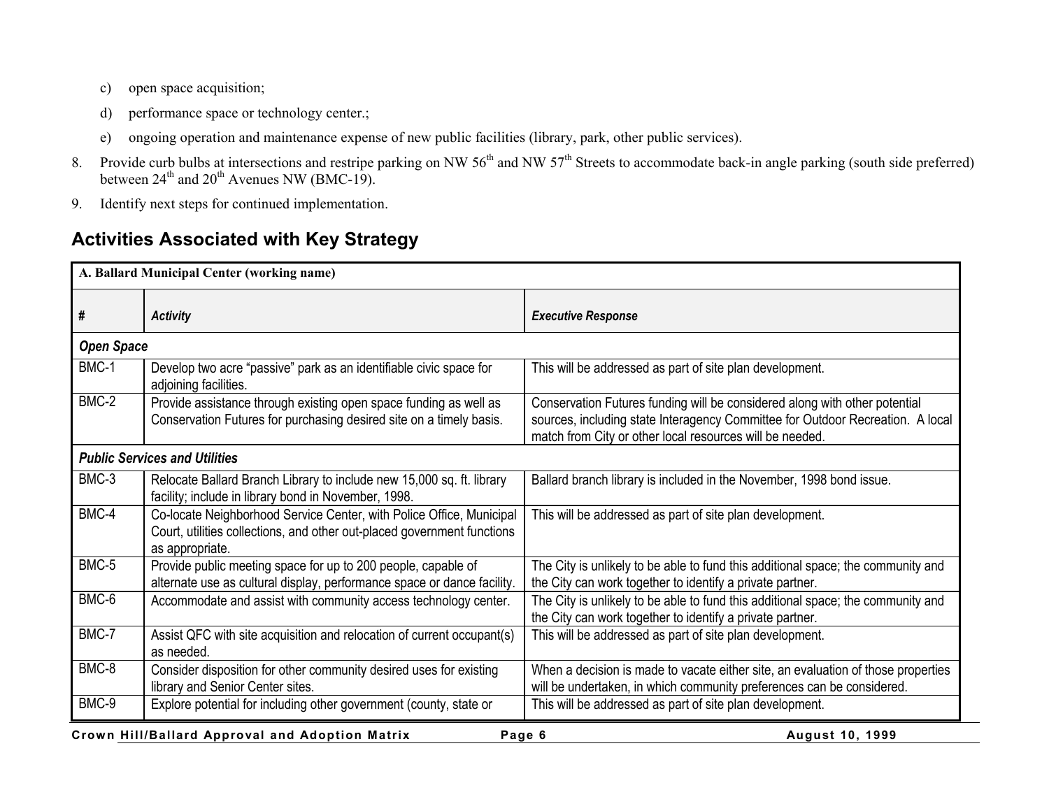- c) open space acquisition;
- d) performance space or technology center.;
- e) ongoing operation and maintenance expense of new public facilities (library, park, other public services).
- 8. Provide curb bulbs at intersections and restripe parking on NW  $56<sup>th</sup>$  and NW  $57<sup>th</sup>$  Streets to accommodate back-in angle parking (south side preferred) between  $24^{\text{th}}$  and  $20^{\text{th}}$  Avenues NW (BMC-19).
- 9. Identify next steps for continued implementation.

# **Activities Associated with Key Strategy**

|                   | A. Ballard Municipal Center (working name)                                                                                                                         |                                                                                                                                                                                                                          |  |  |  |  |  |
|-------------------|--------------------------------------------------------------------------------------------------------------------------------------------------------------------|--------------------------------------------------------------------------------------------------------------------------------------------------------------------------------------------------------------------------|--|--|--|--|--|
| #                 | <b>Activity</b>                                                                                                                                                    | <b>Executive Response</b>                                                                                                                                                                                                |  |  |  |  |  |
| <b>Open Space</b> |                                                                                                                                                                    |                                                                                                                                                                                                                          |  |  |  |  |  |
| BMC-1             | Develop two acre "passive" park as an identifiable civic space for<br>adjoining facilities.                                                                        | This will be addressed as part of site plan development.                                                                                                                                                                 |  |  |  |  |  |
| BMC-2             | Provide assistance through existing open space funding as well as<br>Conservation Futures for purchasing desired site on a timely basis.                           | Conservation Futures funding will be considered along with other potential<br>sources, including state Interagency Committee for Outdoor Recreation. A local<br>match from City or other local resources will be needed. |  |  |  |  |  |
|                   | <b>Public Services and Utilities</b>                                                                                                                               |                                                                                                                                                                                                                          |  |  |  |  |  |
| BMC-3             | Relocate Ballard Branch Library to include new 15,000 sq. ft. library<br>facility; include in library bond in November, 1998.                                      | Ballard branch library is included in the November, 1998 bond issue.                                                                                                                                                     |  |  |  |  |  |
| BMC-4             | Co-locate Neighborhood Service Center, with Police Office, Municipal<br>Court, utilities collections, and other out-placed government functions<br>as appropriate. | This will be addressed as part of site plan development.                                                                                                                                                                 |  |  |  |  |  |
| BMC-5             | Provide public meeting space for up to 200 people, capable of<br>alternate use as cultural display, performance space or dance facility.                           | The City is unlikely to be able to fund this additional space; the community and<br>the City can work together to identify a private partner.                                                                            |  |  |  |  |  |
| BMC-6             | Accommodate and assist with community access technology center.                                                                                                    | The City is unlikely to be able to fund this additional space; the community and<br>the City can work together to identify a private partner.                                                                            |  |  |  |  |  |
| BMC-7             | Assist QFC with site acquisition and relocation of current occupant(s)<br>as needed.                                                                               | This will be addressed as part of site plan development.                                                                                                                                                                 |  |  |  |  |  |
| BMC-8             | Consider disposition for other community desired uses for existing<br>library and Senior Center sites.                                                             | When a decision is made to vacate either site, an evaluation of those properties<br>will be undertaken, in which community preferences can be considered.                                                                |  |  |  |  |  |
| BMC-9             | Explore potential for including other government (county, state or                                                                                                 | This will be addressed as part of site plan development.                                                                                                                                                                 |  |  |  |  |  |
|                   | Crown Hill/Ballard Approval and Adoption Matrix                                                                                                                    | Page 6<br><b>August 10, 1999</b>                                                                                                                                                                                         |  |  |  |  |  |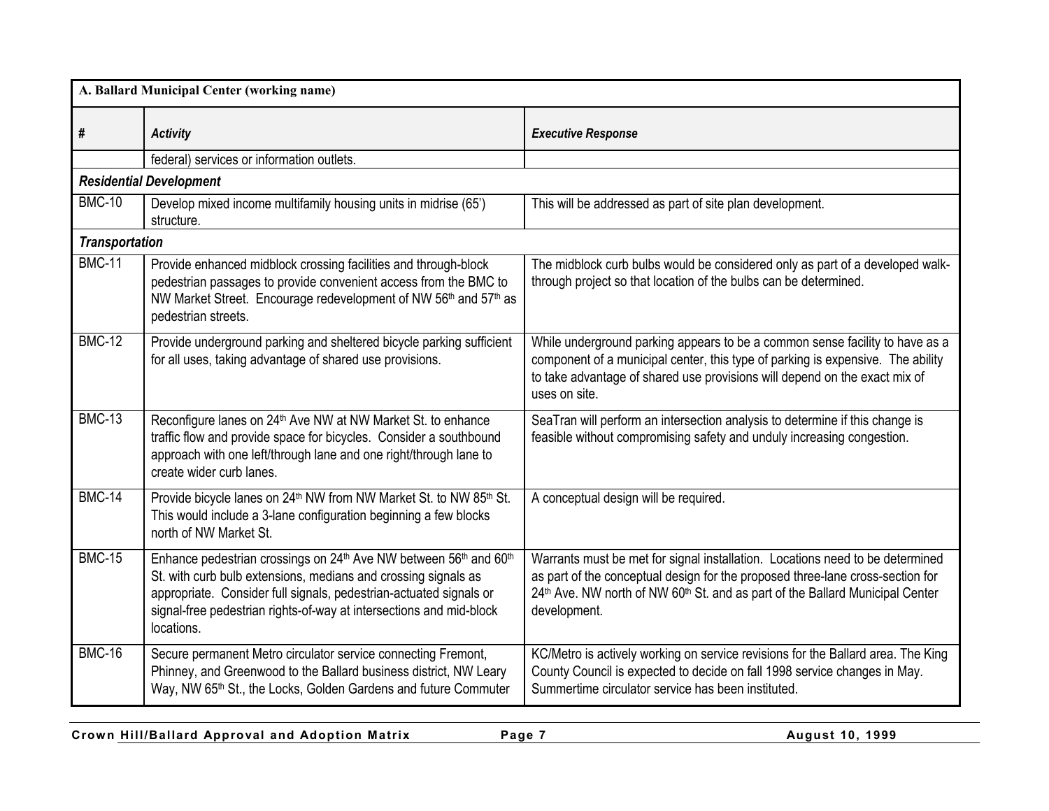|                       | A. Ballard Municipal Center (working name)                                                                                                                                                                                                                                                     |                                                                                                                                                                                                                                                                  |  |  |  |  |  |  |
|-----------------------|------------------------------------------------------------------------------------------------------------------------------------------------------------------------------------------------------------------------------------------------------------------------------------------------|------------------------------------------------------------------------------------------------------------------------------------------------------------------------------------------------------------------------------------------------------------------|--|--|--|--|--|--|
| #                     | <b>Activity</b>                                                                                                                                                                                                                                                                                | <b>Executive Response</b>                                                                                                                                                                                                                                        |  |  |  |  |  |  |
|                       | federal) services or information outlets.                                                                                                                                                                                                                                                      |                                                                                                                                                                                                                                                                  |  |  |  |  |  |  |
|                       | <b>Residential Development</b>                                                                                                                                                                                                                                                                 |                                                                                                                                                                                                                                                                  |  |  |  |  |  |  |
| <b>BMC-10</b>         | Develop mixed income multifamily housing units in midrise (65')<br>structure.                                                                                                                                                                                                                  | This will be addressed as part of site plan development.                                                                                                                                                                                                         |  |  |  |  |  |  |
| <b>Transportation</b> |                                                                                                                                                                                                                                                                                                |                                                                                                                                                                                                                                                                  |  |  |  |  |  |  |
| <b>BMC-11</b>         | Provide enhanced midblock crossing facilities and through-block<br>pedestrian passages to provide convenient access from the BMC to<br>NW Market Street. Encourage redevelopment of NW 56th and 57th as<br>pedestrian streets.                                                                 | The midblock curb bulbs would be considered only as part of a developed walk-<br>through project so that location of the bulbs can be determined.                                                                                                                |  |  |  |  |  |  |
| <b>BMC-12</b>         | Provide underground parking and sheltered bicycle parking sufficient<br>for all uses, taking advantage of shared use provisions.                                                                                                                                                               | While underground parking appears to be a common sense facility to have as a<br>component of a municipal center, this type of parking is expensive. The ability<br>to take advantage of shared use provisions will depend on the exact mix of<br>uses on site.   |  |  |  |  |  |  |
| <b>BMC-13</b>         | Reconfigure lanes on 24 <sup>th</sup> Ave NW at NW Market St. to enhance<br>traffic flow and provide space for bicycles. Consider a southbound<br>approach with one left/through lane and one right/through lane to<br>create wider curb lanes.                                                | SeaTran will perform an intersection analysis to determine if this change is<br>feasible without compromising safety and unduly increasing congestion.                                                                                                           |  |  |  |  |  |  |
| <b>BMC-14</b>         | Provide bicycle lanes on 24 <sup>th</sup> NW from NW Market St. to NW 85 <sup>th</sup> St.<br>This would include a 3-lane configuration beginning a few blocks<br>north of NW Market St.                                                                                                       | A conceptual design will be required.                                                                                                                                                                                                                            |  |  |  |  |  |  |
| <b>BMC-15</b>         | Enhance pedestrian crossings on 24th Ave NW between 56th and 60th<br>St. with curb bulb extensions, medians and crossing signals as<br>appropriate. Consider full signals, pedestrian-actuated signals or<br>signal-free pedestrian rights-of-way at intersections and mid-block<br>locations. | Warrants must be met for signal installation. Locations need to be determined<br>as part of the conceptual design for the proposed three-lane cross-section for<br>24th Ave. NW north of NW 60th St. and as part of the Ballard Municipal Center<br>development. |  |  |  |  |  |  |
| <b>BMC-16</b>         | Secure permanent Metro circulator service connecting Fremont,<br>Phinney, and Greenwood to the Ballard business district, NW Leary<br>Way, NW 65 <sup>th</sup> St., the Locks, Golden Gardens and future Commuter                                                                              | KC/Metro is actively working on service revisions for the Ballard area. The King<br>County Council is expected to decide on fall 1998 service changes in May.<br>Summertime circulator service has been instituted.                                              |  |  |  |  |  |  |

**Crown Hill/Ballard Approval and Adoption Matrix Page 7 1999 August 10, 1999**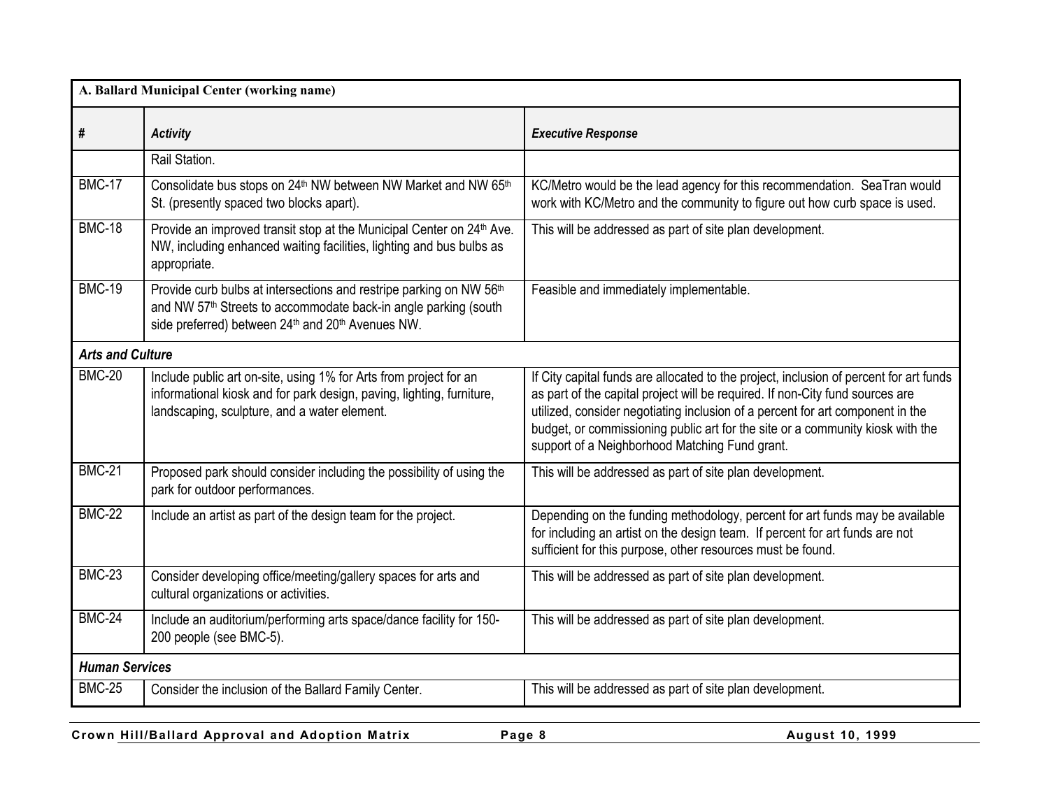|                         | A. Ballard Municipal Center (working name)                                                                                                                                                                                      |                                                                                                                                                                                                                                                                                                                                                                                               |  |  |  |  |  |  |
|-------------------------|---------------------------------------------------------------------------------------------------------------------------------------------------------------------------------------------------------------------------------|-----------------------------------------------------------------------------------------------------------------------------------------------------------------------------------------------------------------------------------------------------------------------------------------------------------------------------------------------------------------------------------------------|--|--|--|--|--|--|
| #                       | <b>Activity</b>                                                                                                                                                                                                                 | <b>Executive Response</b>                                                                                                                                                                                                                                                                                                                                                                     |  |  |  |  |  |  |
|                         | Rail Station.                                                                                                                                                                                                                   |                                                                                                                                                                                                                                                                                                                                                                                               |  |  |  |  |  |  |
| <b>BMC-17</b>           | Consolidate bus stops on 24 <sup>th</sup> NW between NW Market and NW 65 <sup>th</sup><br>St. (presently spaced two blocks apart).                                                                                              | KC/Metro would be the lead agency for this recommendation. SeaTran would<br>work with KC/Metro and the community to figure out how curb space is used.                                                                                                                                                                                                                                        |  |  |  |  |  |  |
| <b>BMC-18</b>           | Provide an improved transit stop at the Municipal Center on 24 <sup>th</sup> Ave.<br>NW, including enhanced waiting facilities, lighting and bus bulbs as<br>appropriate.                                                       | This will be addressed as part of site plan development.                                                                                                                                                                                                                                                                                                                                      |  |  |  |  |  |  |
| <b>BMC-19</b>           | Provide curb bulbs at intersections and restripe parking on NW 56th<br>and NW 57 <sup>th</sup> Streets to accommodate back-in angle parking (south<br>side preferred) between 24 <sup>th</sup> and 20 <sup>th</sup> Avenues NW. | Feasible and immediately implementable.                                                                                                                                                                                                                                                                                                                                                       |  |  |  |  |  |  |
| <b>Arts and Culture</b> |                                                                                                                                                                                                                                 |                                                                                                                                                                                                                                                                                                                                                                                               |  |  |  |  |  |  |
| <b>BMC-20</b>           | Include public art on-site, using 1% for Arts from project for an<br>informational kiosk and for park design, paving, lighting, furniture,<br>landscaping, sculpture, and a water element.                                      | If City capital funds are allocated to the project, inclusion of percent for art funds<br>as part of the capital project will be required. If non-City fund sources are<br>utilized, consider negotiating inclusion of a percent for art component in the<br>budget, or commissioning public art for the site or a community kiosk with the<br>support of a Neighborhood Matching Fund grant. |  |  |  |  |  |  |
| <b>BMC-21</b>           | Proposed park should consider including the possibility of using the<br>park for outdoor performances.                                                                                                                          | This will be addressed as part of site plan development.                                                                                                                                                                                                                                                                                                                                      |  |  |  |  |  |  |
| <b>BMC-22</b>           | Include an artist as part of the design team for the project.                                                                                                                                                                   | Depending on the funding methodology, percent for art funds may be available<br>for including an artist on the design team. If percent for art funds are not<br>sufficient for this purpose, other resources must be found.                                                                                                                                                                   |  |  |  |  |  |  |
| <b>BMC-23</b>           | Consider developing office/meeting/gallery spaces for arts and<br>cultural organizations or activities.                                                                                                                         | This will be addressed as part of site plan development.                                                                                                                                                                                                                                                                                                                                      |  |  |  |  |  |  |
| <b>BMC-24</b>           | Include an auditorium/performing arts space/dance facility for 150-<br>200 people (see BMC-5).                                                                                                                                  | This will be addressed as part of site plan development.                                                                                                                                                                                                                                                                                                                                      |  |  |  |  |  |  |
|                         | <b>Human Services</b>                                                                                                                                                                                                           |                                                                                                                                                                                                                                                                                                                                                                                               |  |  |  |  |  |  |
| <b>BMC-25</b>           | Consider the inclusion of the Ballard Family Center.                                                                                                                                                                            | This will be addressed as part of site plan development.                                                                                                                                                                                                                                                                                                                                      |  |  |  |  |  |  |
|                         |                                                                                                                                                                                                                                 |                                                                                                                                                                                                                                                                                                                                                                                               |  |  |  |  |  |  |

**Crown Hill/Ballard Approval and Adoption Matrix Page 8 August 10, 1999**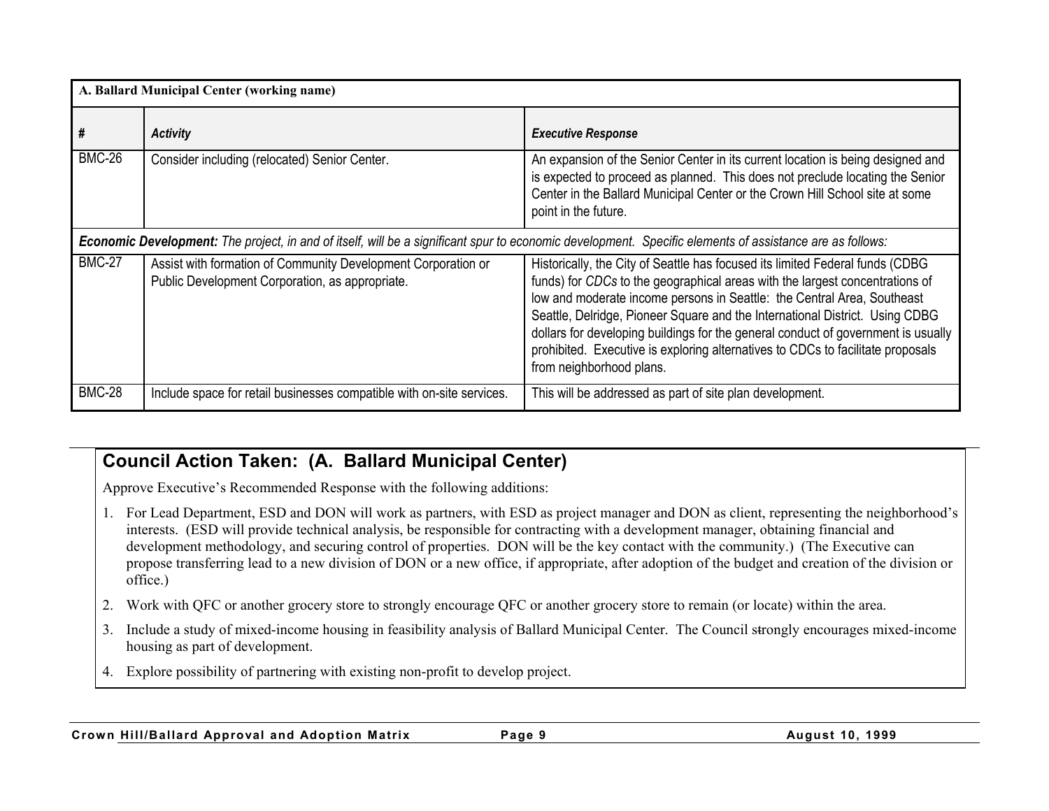|               | A. Ballard Municipal Center (working name)                                                                                                                      |                                                                                                                                                                                                                                                                                                                                                                                                                                                                                                                               |  |  |  |  |  |
|---------------|-----------------------------------------------------------------------------------------------------------------------------------------------------------------|-------------------------------------------------------------------------------------------------------------------------------------------------------------------------------------------------------------------------------------------------------------------------------------------------------------------------------------------------------------------------------------------------------------------------------------------------------------------------------------------------------------------------------|--|--|--|--|--|
|               | <b>Activity</b>                                                                                                                                                 | <b>Executive Response</b>                                                                                                                                                                                                                                                                                                                                                                                                                                                                                                     |  |  |  |  |  |
| <b>BMC-26</b> | Consider including (relocated) Senior Center.                                                                                                                   | An expansion of the Senior Center in its current location is being designed and<br>is expected to proceed as planned. This does not preclude locating the Senior<br>Center in the Ballard Municipal Center or the Crown Hill School site at some<br>point in the future.                                                                                                                                                                                                                                                      |  |  |  |  |  |
|               | <b>Economic Development:</b> The project, in and of itself, will be a significant spur to economic development. Specific elements of assistance are as follows: |                                                                                                                                                                                                                                                                                                                                                                                                                                                                                                                               |  |  |  |  |  |
| <b>BMC-27</b> | Assist with formation of Community Development Corporation or<br>Public Development Corporation, as appropriate.                                                | Historically, the City of Seattle has focused its limited Federal funds (CDBG)<br>funds) for CDCs to the geographical areas with the largest concentrations of<br>low and moderate income persons in Seattle: the Central Area, Southeast<br>Seattle, Delridge, Pioneer Square and the International District. Using CDBG<br>dollars for developing buildings for the general conduct of government is usually<br>prohibited. Executive is exploring alternatives to CDCs to facilitate proposals<br>from neighborhood plans. |  |  |  |  |  |
| <b>BMC-28</b> | Include space for retail businesses compatible with on-site services.                                                                                           | This will be addressed as part of site plan development.                                                                                                                                                                                                                                                                                                                                                                                                                                                                      |  |  |  |  |  |

# **Council Action Taken: (A. Ballard Municipal Center)**

Approve Executive's Recommended Response with the following additions:

- 1. For Lead Department, ESD and DON will work as partners, with ESD as project manager and DON as client, representing the neighborhood's interests. (ESD will provide technical analysis, be responsible for contracting with a development manager, obtaining financial and development methodology, and securing control of properties. DON will be the key contact with the community.) (The Executive can propose transferring lead to a new division of DON or a new office, if appropriate, after adoption of the budget and creation of the division or office.)
- 2. Work with QFC or another grocery store to strongly encourage QFC or another grocery store to remain (or locate) within the area.
- 3. Include a study of mixed-income housing in feasibility analysis of Ballard Municipal Center. The Council strongly encourages mixed-income housing as part of development.
- 4. Explore possibility of partnering with existing non-profit to develop project.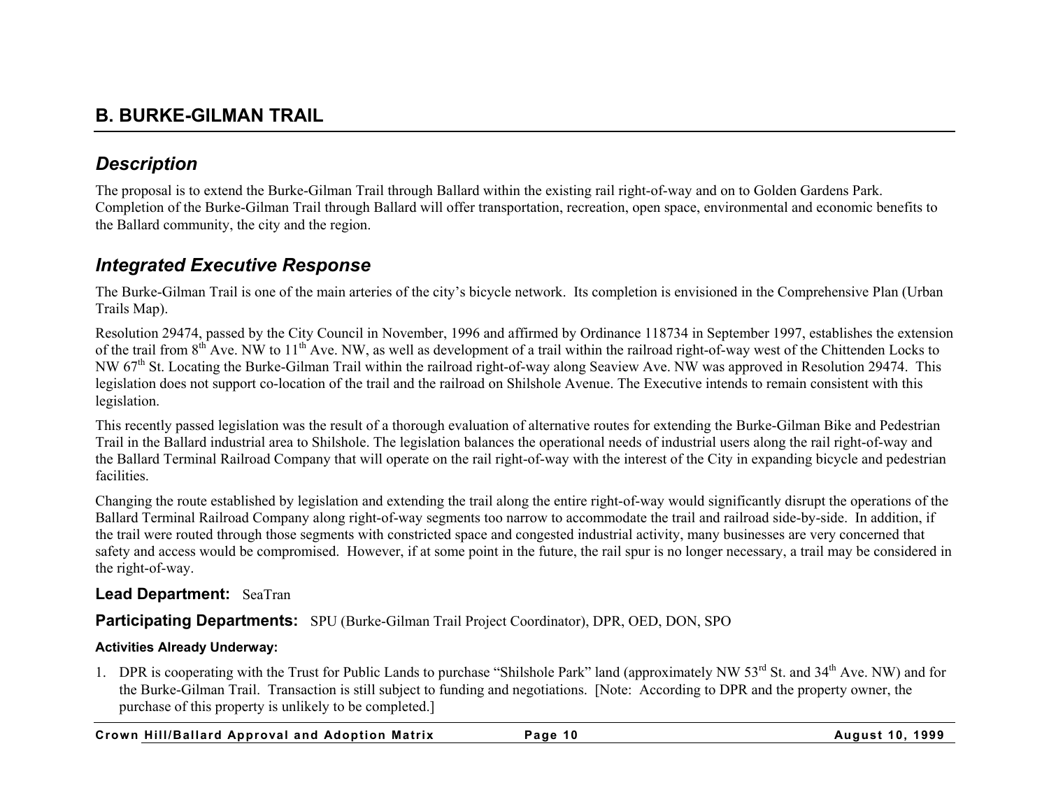# *Description*

The proposal is to extend the Burke-Gilman Trail through Ballard within the existing rail right-of-way and on to Golden Gardens Park. Completion of the Burke-Gilman Trail through Ballard will offer transportation, recreation, open space, environmental and economic benefits to the Ballard community, the city and the region.

## *Integrated Executive Response*

The Burke-Gilman Trail is one of the main arteries of the city's bicycle network. Its completion is envisioned in the Comprehensive Plan (Urban Trails Map).

Resolution 29474, passed by the City Council in November, 1996 and affirmed by Ordinance 118734 in September 1997, establishes the extension of the trail from  $8<sup>th</sup>$  Ave. NW to  $11<sup>th</sup>$  Ave. NW, as well as development of a trail within the railroad right-of-way west of the Chittenden Locks to NW 67th St. Locating the Burke-Gilman Trail within the railroad right-of-way along Seaview Ave. NW was approved in Resolution 29474. This legislation does not support co-location of the trail and the railroad on Shilshole Avenue. The Executive intends to remain consistent with this legislation.

This recently passed legislation was the result of a thorough evaluation of alternative routes for extending the Burke-Gilman Bike and Pedestrian Trail in the Ballard industrial area to Shilshole. The legislation balances the operational needs of industrial users along the rail right-of-way and the Ballard Terminal Railroad Company that will operate on the rail right-of-way with the interest of the City in expanding bicycle and pedestrian facilities.

Changing the route established by legislation and extending the trail along the entire right-of-way would significantly disrupt the operations of the Ballard Terminal Railroad Company along right-of-way segments too narrow to accommodate the trail and railroad side-by-side. In addition, if the trail were routed through those segments with constricted space and congested industrial activity, many businesses are very concerned that safety and access would be compromised. However, if at some point in the future, the rail spur is no longer necessary, a trail may be considered in the right-of-way.

## **Lead Department:** SeaTran

**Participating Departments:** SPU (Burke-Gilman Trail Project Coordinator), DPR, OED, DON, SPO

## **Activities Already Underway:**

1. DPR is cooperating with the Trust for Public Lands to purchase "Shilshole Park" land (approximately NW 53<sup>rd</sup> St. and 34<sup>th</sup> Ave. NW) and for the Burke-Gilman Trail. Transaction is still subject to funding and negotiations. [Note: According to DPR and the property owner, the purchase of this property is unlikely to be completed.]

**Crown Hill/Ballard Approval and Adoption Matrix Page 10 August 10, 1999**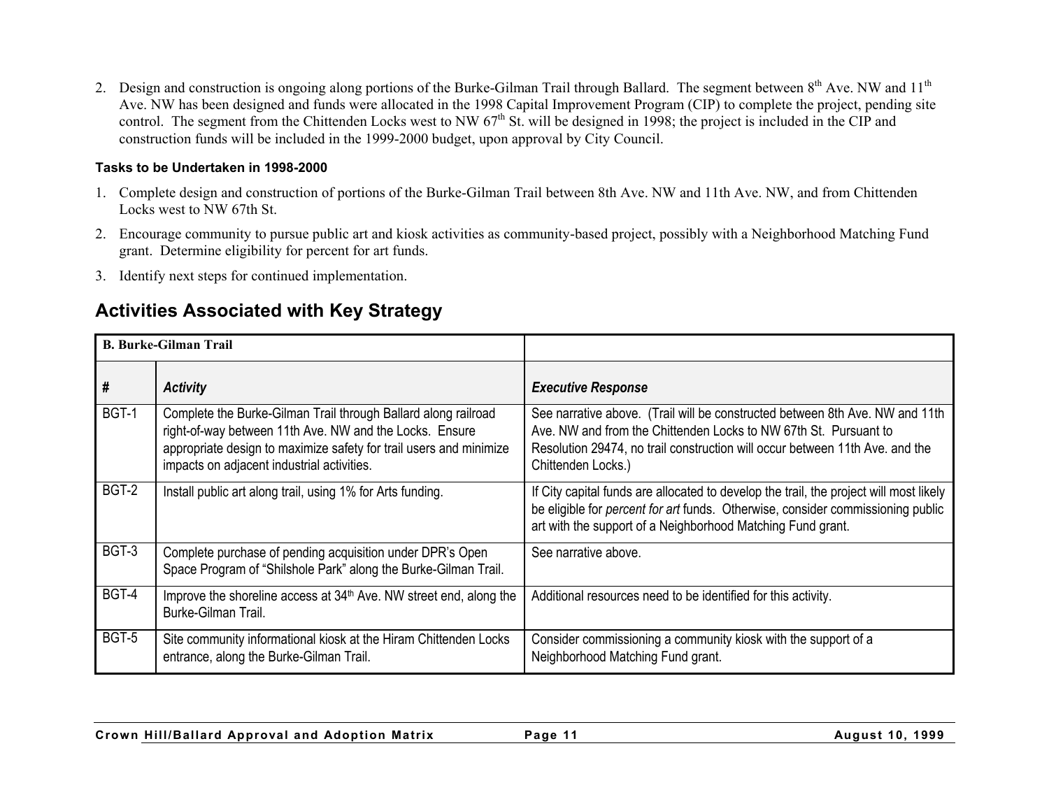2. Design and construction is ongoing along portions of the Burke-Gilman Trail through Ballard. The segment between  $8<sup>th</sup>$  Ave. NW and  $11<sup>th</sup>$ Ave. NW has been designed and funds were allocated in the 1998 Capital Improvement Program (CIP) to complete the project, pending site control. The segment from the Chittenden Locks west to NW  $67<sup>th</sup>$  St. will be designed in 1998; the project is included in the CIP and construction funds will be included in the 1999-2000 budget, upon approval by City Council.

#### **Tasks to be Undertaken in 1998-2000**

- 1. Complete design and construction of portions of the Burke-Gilman Trail between 8th Ave. NW and 11th Ave. NW, and from Chittenden Locks west to NW 67th St.
- 2. Encourage community to pursue public art and kiosk activities as community-based project, possibly with a Neighborhood Matching Fund grant. Determine eligibility for percent for art funds.
- 3. Identify next steps for continued implementation.

## **Activities Associated with Key Strategy**

|       | <b>B. Burke-Gilman Trail</b>                                                                                                                                                                                                                  |                                                                                                                                                                                                                                                        |
|-------|-----------------------------------------------------------------------------------------------------------------------------------------------------------------------------------------------------------------------------------------------|--------------------------------------------------------------------------------------------------------------------------------------------------------------------------------------------------------------------------------------------------------|
| #     | <b>Activity</b>                                                                                                                                                                                                                               | <b>Executive Response</b>                                                                                                                                                                                                                              |
| BGT-1 | Complete the Burke-Gilman Trail through Ballard along railroad<br>right-of-way between 11th Ave. NW and the Locks. Ensure<br>appropriate design to maximize safety for trail users and minimize<br>impacts on adjacent industrial activities. | See narrative above. (Trail will be constructed between 8th Ave. NW and 11th<br>Ave, NW and from the Chittenden Locks to NW 67th St. Pursuant to<br>Resolution 29474, no trail construction will occur between 11th Ave. and the<br>Chittenden Locks.) |
| BGT-2 | Install public art along trail, using 1% for Arts funding.                                                                                                                                                                                    | If City capital funds are allocated to develop the trail, the project will most likely<br>be eligible for percent for art funds. Otherwise, consider commissioning public<br>art with the support of a Neighborhood Matching Fund grant.               |
| BGT-3 | Complete purchase of pending acquisition under DPR's Open<br>Space Program of "Shilshole Park" along the Burke-Gilman Trail.                                                                                                                  | See narrative above.                                                                                                                                                                                                                                   |
| BGT-4 | Improve the shoreline access at 34 <sup>th</sup> Ave. NW street end, along the<br>Burke-Gilman Trail.                                                                                                                                         | Additional resources need to be identified for this activity.                                                                                                                                                                                          |
| BGT-5 | Site community informational kiosk at the Hiram Chittenden Locks<br>entrance, along the Burke-Gilman Trail.                                                                                                                                   | Consider commissioning a community kiosk with the support of a<br>Neighborhood Matching Fund grant.                                                                                                                                                    |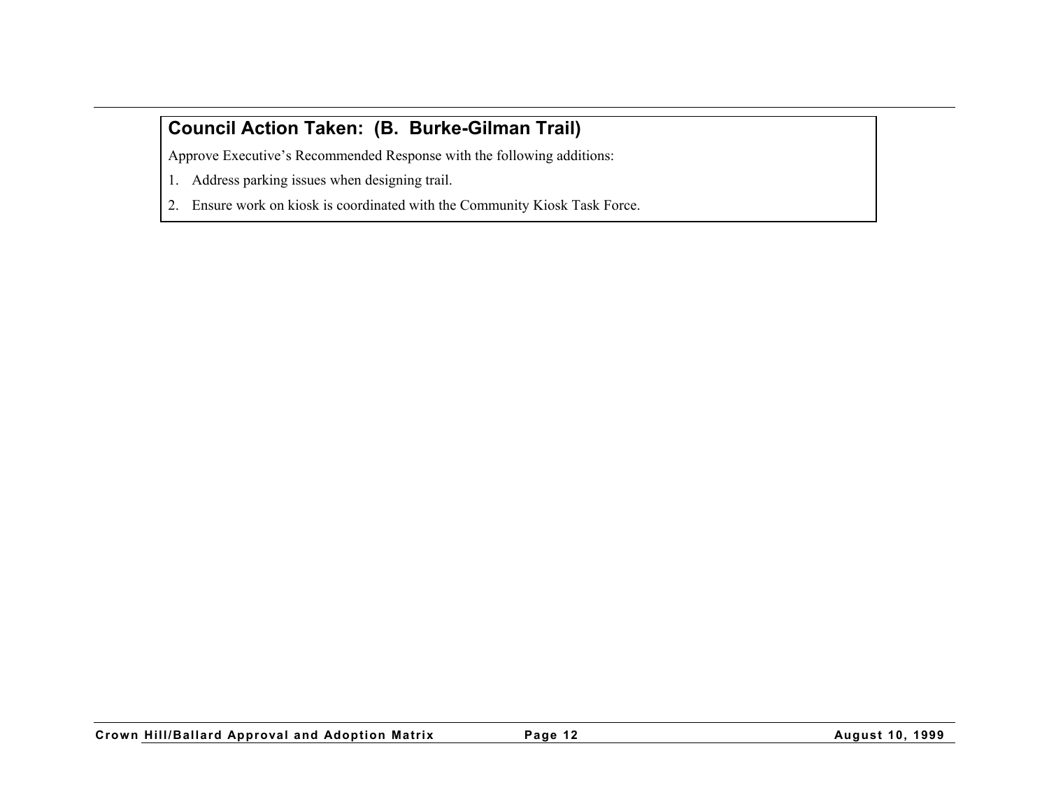# **Council Action Taken: (B. Burke-Gilman Trail)**

Approve Executive's Recommended Response with the following additions:

- 1. Address parking issues when designing trail.
- 2. Ensure work on kiosk is coordinated with the Community Kiosk Task Force.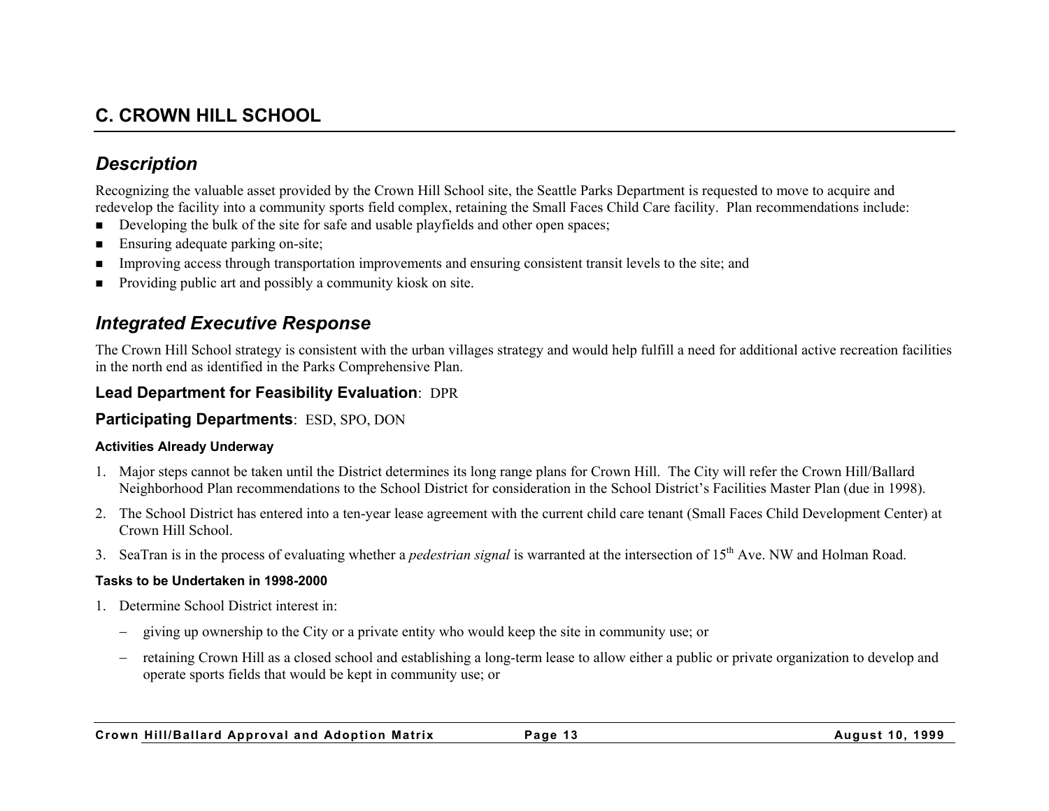# **C. CROWN HILL SCHOOL**

# *Description*

Recognizing the valuable asset provided by the Crown Hill School site, the Seattle Parks Department is requested to move to acquire and redevelop the facility into a community sports field complex, retaining the Small Faces Child Care facility. Plan recommendations include:

- Developing the bulk of the site for safe and usable playfields and other open spaces;
- Ensuring adequate parking on-site;
- Improving access through transportation improvements and ensuring consistent transit levels to the site; and
- Providing public art and possibly a community kiosk on site.

## *Integrated Executive Response*

The Crown Hill School strategy is consistent with the urban villages strategy and would help fulfill a need for additional active recreation facilities in the north end as identified in the Parks Comprehensive Plan.

## **Lead Department for Feasibility Evaluation**: DPR

## **Participating Departments**: ESD, SPO, DON

#### **Activities Already Underway**

- 1. Major steps cannot be taken until the District determines its long range plans for Crown Hill. The City will refer the Crown Hill/Ballard Neighborhood Plan recommendations to the School District for consideration in the School District's Facilities Master Plan (due in 1998).
- 2. The School District has entered into a ten-year lease agreement with the current child care tenant (Small Faces Child Development Center) at Crown Hill School.
- 3. SeaTran is in the process of evaluating whether a *pedestrian signal* is warranted at the intersection of 15th Ave. NW and Holman Road.

#### **Tasks to be Undertaken in 1998-2000**

- 1. Determine School District interest in:
	- −giving up ownership to the City or a private entity who would keep the site in community use; or
	- − retaining Crown Hill as a closed school and establishing a long-term lease to allow either a public or private organization to develop and operate sports fields that would be kept in community use; or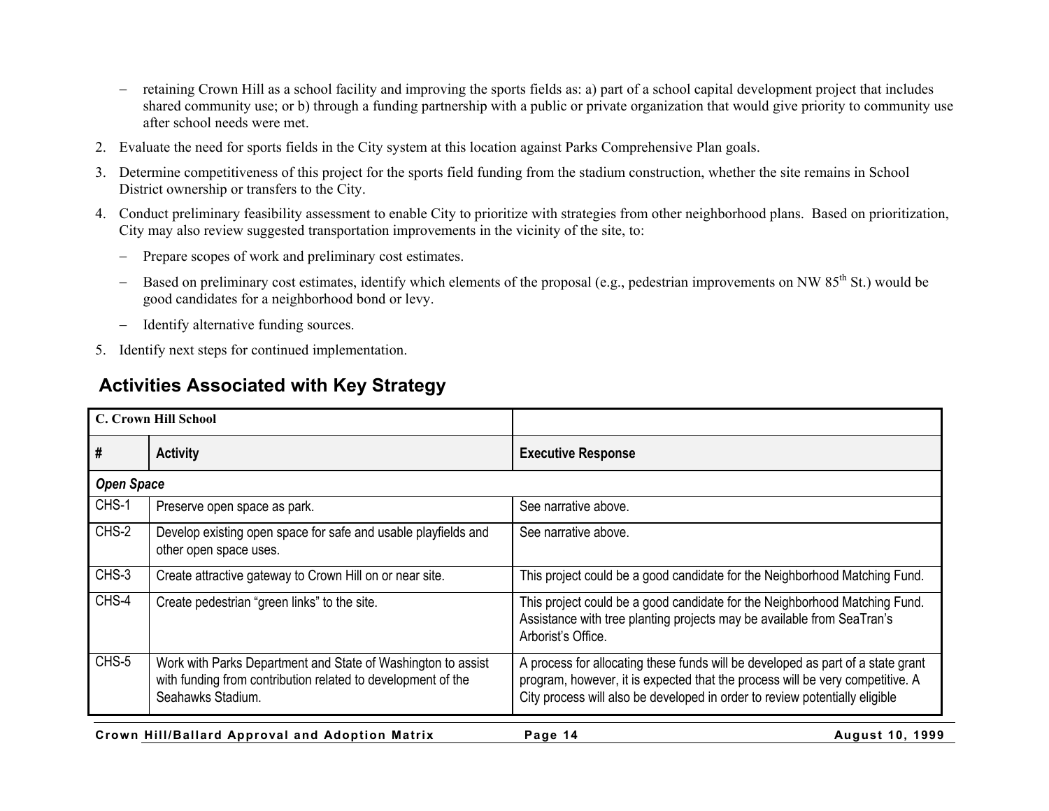- − retaining Crown Hill as a school facility and improving the sports fields as: a) part of a school capital development project that includes shared community use; or b) through a funding partnership with a public or private organization that would give priority to community use after school needs were met.
- 2. Evaluate the need for sports fields in the City system at this location against Parks Comprehensive Plan goals.
- 3. Determine competitiveness of this project for the sports field funding from the stadium construction, whether the site remains in School District ownership or transfers to the City.
- 4. Conduct preliminary feasibility assessment to enable City to prioritize with strategies from other neighborhood plans. Based on prioritization, City may also review suggested transportation improvements in the vicinity of the site, to:
	- −Prepare scopes of work and preliminary cost estimates.
	- −Based on preliminary cost estimates, identify which elements of the proposal (e.g., pedestrian improvements on NW 85<sup>th</sup> St.) would be good candidates for a neighborhood bond or levy.
	- − Identify alternative funding sources.
- 5. Identify next steps for continued implementation.

## **Activities Associated with Key Strategy**

|                   | <b>C. Crown Hill School</b>                                                                                                                       |                                                                                                                                                                                                                                                 |
|-------------------|---------------------------------------------------------------------------------------------------------------------------------------------------|-------------------------------------------------------------------------------------------------------------------------------------------------------------------------------------------------------------------------------------------------|
| #                 | <b>Activity</b>                                                                                                                                   | <b>Executive Response</b>                                                                                                                                                                                                                       |
| <b>Open Space</b> |                                                                                                                                                   |                                                                                                                                                                                                                                                 |
| CHS-1             | Preserve open space as park.                                                                                                                      | See narrative above.                                                                                                                                                                                                                            |
| CHS-2             | Develop existing open space for safe and usable playfields and<br>other open space uses.                                                          | See narrative above.                                                                                                                                                                                                                            |
| CHS-3             | Create attractive gateway to Crown Hill on or near site.                                                                                          | This project could be a good candidate for the Neighborhood Matching Fund.                                                                                                                                                                      |
| $CHS-4$           | Create pedestrian "green links" to the site.                                                                                                      | This project could be a good candidate for the Neighborhood Matching Fund.<br>Assistance with tree planting projects may be available from SeaTran's<br>Arborist's Office.                                                                      |
| CHS-5             | Work with Parks Department and State of Washington to assist<br>with funding from contribution related to development of the<br>Seahawks Stadium. | A process for allocating these funds will be developed as part of a state grant<br>program, however, it is expected that the process will be very competitive. A<br>City process will also be developed in order to review potentially eligible |
|                   | Crown Hill/Ballard Approval and Adoption Matrix                                                                                                   | Page 14<br><b>August 10, 1999</b>                                                                                                                                                                                                               |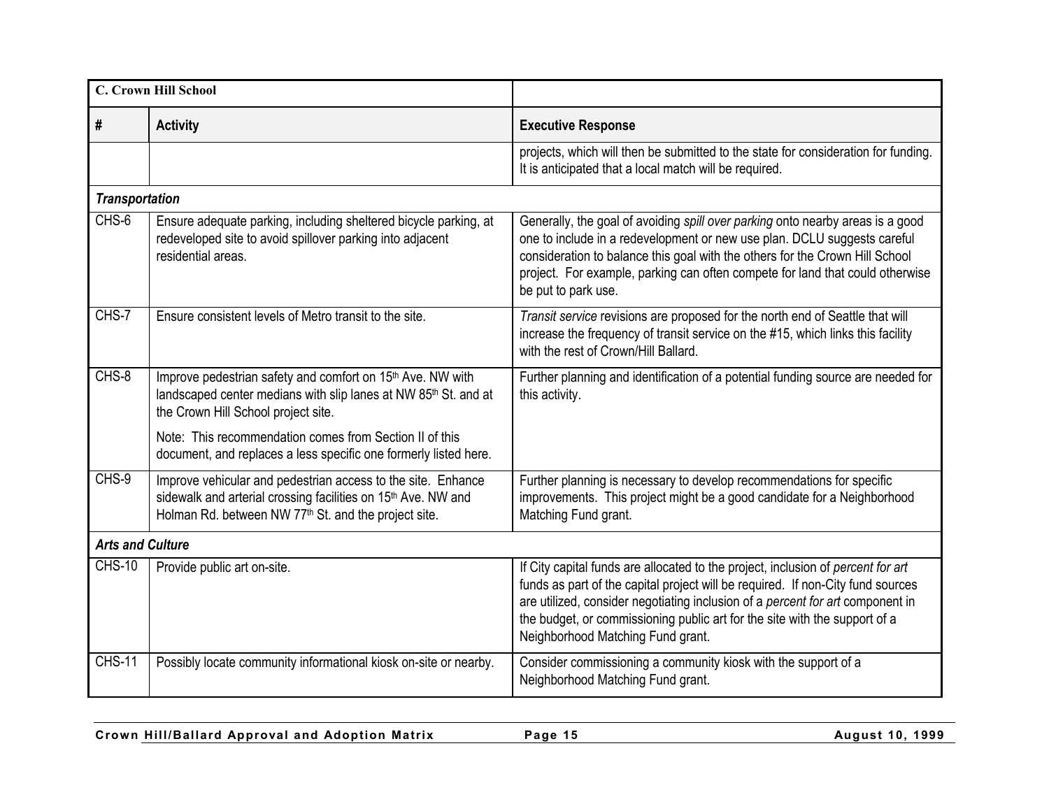|                         | <b>C. Crown Hill School</b>                                                                                                                                                                                   |                                                                                                                                                                                                                                                                                                                                                                          |  |  |
|-------------------------|---------------------------------------------------------------------------------------------------------------------------------------------------------------------------------------------------------------|--------------------------------------------------------------------------------------------------------------------------------------------------------------------------------------------------------------------------------------------------------------------------------------------------------------------------------------------------------------------------|--|--|
| #                       | <b>Activity</b>                                                                                                                                                                                               | <b>Executive Response</b>                                                                                                                                                                                                                                                                                                                                                |  |  |
|                         |                                                                                                                                                                                                               | projects, which will then be submitted to the state for consideration for funding.<br>It is anticipated that a local match will be required.                                                                                                                                                                                                                             |  |  |
| <b>Transportation</b>   |                                                                                                                                                                                                               |                                                                                                                                                                                                                                                                                                                                                                          |  |  |
| CHS-6                   | Ensure adequate parking, including sheltered bicycle parking, at<br>redeveloped site to avoid spillover parking into adjacent<br>residential areas.                                                           | Generally, the goal of avoiding spill over parking onto nearby areas is a good<br>one to include in a redevelopment or new use plan. DCLU suggests careful<br>consideration to balance this goal with the others for the Crown Hill School<br>project. For example, parking can often compete for land that could otherwise<br>be put to park use.                       |  |  |
| CHS-7                   | Ensure consistent levels of Metro transit to the site.                                                                                                                                                        | Transit service revisions are proposed for the north end of Seattle that will<br>increase the frequency of transit service on the #15, which links this facility<br>with the rest of Crown/Hill Ballard.                                                                                                                                                                 |  |  |
| $CHS-8$                 | Improve pedestrian safety and comfort on 15 <sup>th</sup> Ave. NW with<br>landscaped center medians with slip lanes at NW 85th St. and at<br>the Crown Hill School project site.                              | Further planning and identification of a potential funding source are needed for<br>this activity.                                                                                                                                                                                                                                                                       |  |  |
|                         | Note: This recommendation comes from Section II of this<br>document, and replaces a less specific one formerly listed here.                                                                                   |                                                                                                                                                                                                                                                                                                                                                                          |  |  |
| CHS-9                   | Improve vehicular and pedestrian access to the site. Enhance<br>sidewalk and arterial crossing facilities on 15 <sup>th</sup> Ave. NW and<br>Holman Rd. between NW 77 <sup>th</sup> St. and the project site. | Further planning is necessary to develop recommendations for specific<br>improvements. This project might be a good candidate for a Neighborhood<br>Matching Fund grant.                                                                                                                                                                                                 |  |  |
| <b>Arts and Culture</b> |                                                                                                                                                                                                               |                                                                                                                                                                                                                                                                                                                                                                          |  |  |
| <b>CHS-10</b>           | Provide public art on-site.                                                                                                                                                                                   | If City capital funds are allocated to the project, inclusion of percent for art<br>funds as part of the capital project will be required. If non-City fund sources<br>are utilized, consider negotiating inclusion of a percent for art component in<br>the budget, or commissioning public art for the site with the support of a<br>Neighborhood Matching Fund grant. |  |  |
| <b>CHS-11</b>           | Possibly locate community informational kiosk on-site or nearby.                                                                                                                                              | Consider commissioning a community kiosk with the support of a<br>Neighborhood Matching Fund grant.                                                                                                                                                                                                                                                                      |  |  |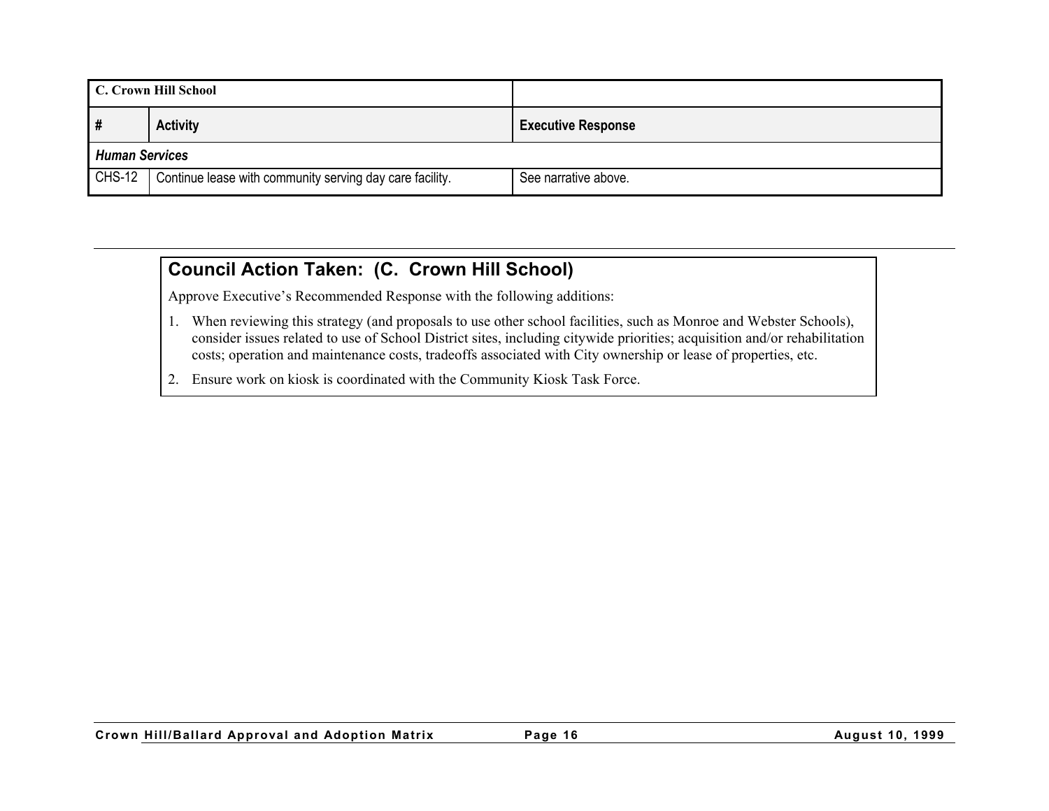|                       | C. Crown Hill School                                     |                           |  |  |  |  |
|-----------------------|----------------------------------------------------------|---------------------------|--|--|--|--|
| #                     | <b>Activity</b>                                          | <b>Executive Response</b> |  |  |  |  |
| <b>Human Services</b> |                                                          |                           |  |  |  |  |
| <b>CHS-12</b>         | Continue lease with community serving day care facility. | See narrative above.      |  |  |  |  |

## **Council Action Taken: (C. Crown Hill School)**

Approve Executive's Recommended Response with the following additions:

- 1. When reviewing this strategy (and proposals to use other school facilities, such as Monroe and Webster Schools), consider issues related to use of School District sites, including citywide priorities; acquisition and/or rehabilitation costs; operation and maintenance costs, tradeoffs associated with City ownership or lease of properties, etc.
- 2. Ensure work on kiosk is coordinated with the Community Kiosk Task Force.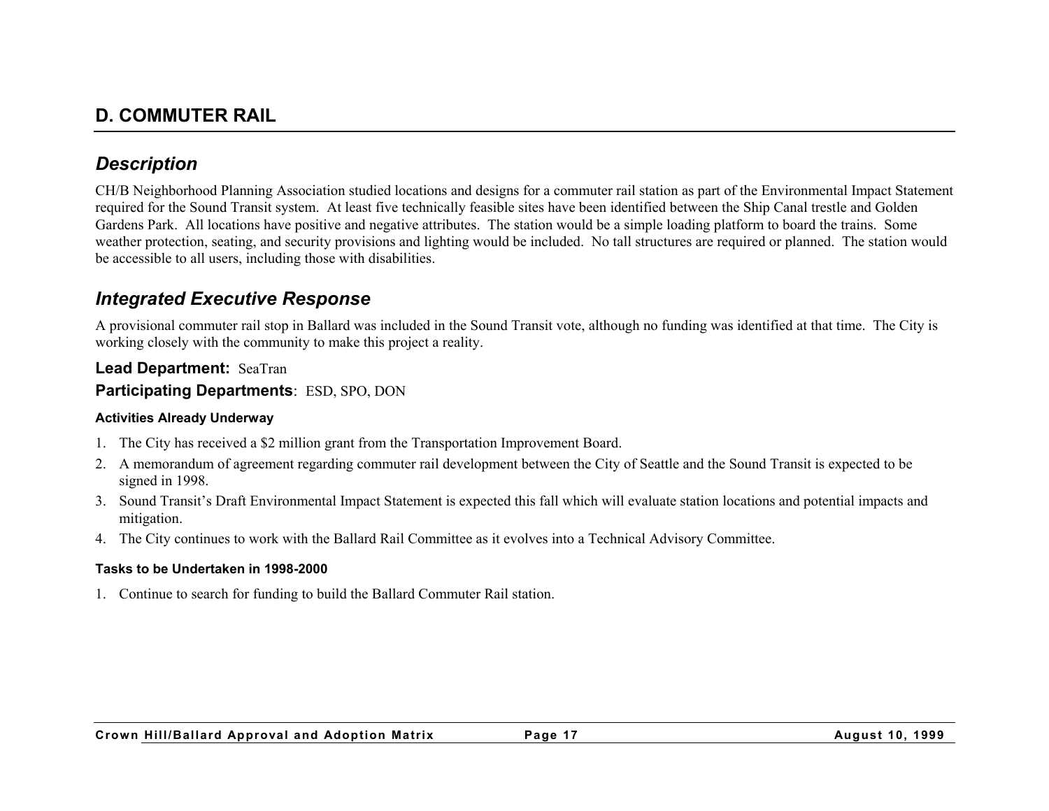# **D. COMMUTER RAIL**

# *Description*

CH/B Neighborhood Planning Association studied locations and designs for a commuter rail station as part of the Environmental Impact Statement required for the Sound Transit system. At least five technically feasible sites have been identified between the Ship Canal trestle and Golden Gardens Park. All locations have positive and negative attributes. The station would be a simple loading platform to board the trains. Some weather protection, seating, and security provisions and lighting would be included. No tall structures are required or planned. The station would be accessible to all users, including those with disabilities.

## *Integrated Executive Response*

A provisional commuter rail stop in Ballard was included in the Sound Transit vote, although no funding was identified at that time. The City is working closely with the community to make this project a reality.

## **Lead Department:** SeaTran

## **Participating Departments**: ESD, SPO, DON

#### **Activities Already Underway**

- 1. The City has received a \$2 million grant from the Transportation Improvement Board.
- 2. A memorandum of agreement regarding commuter rail development between the City of Seattle and the Sound Transit is expected to be signed in 1998.
- 3. Sound Transit's Draft Environmental Impact Statement is expected this fall which will evaluate station locations and potential impacts and mitigation.
- 4. The City continues to work with the Ballard Rail Committee as it evolves into a Technical Advisory Committee.

#### **Tasks to be Undertaken in 1998-2000**

1. Continue to search for funding to build the Ballard Commuter Rail station.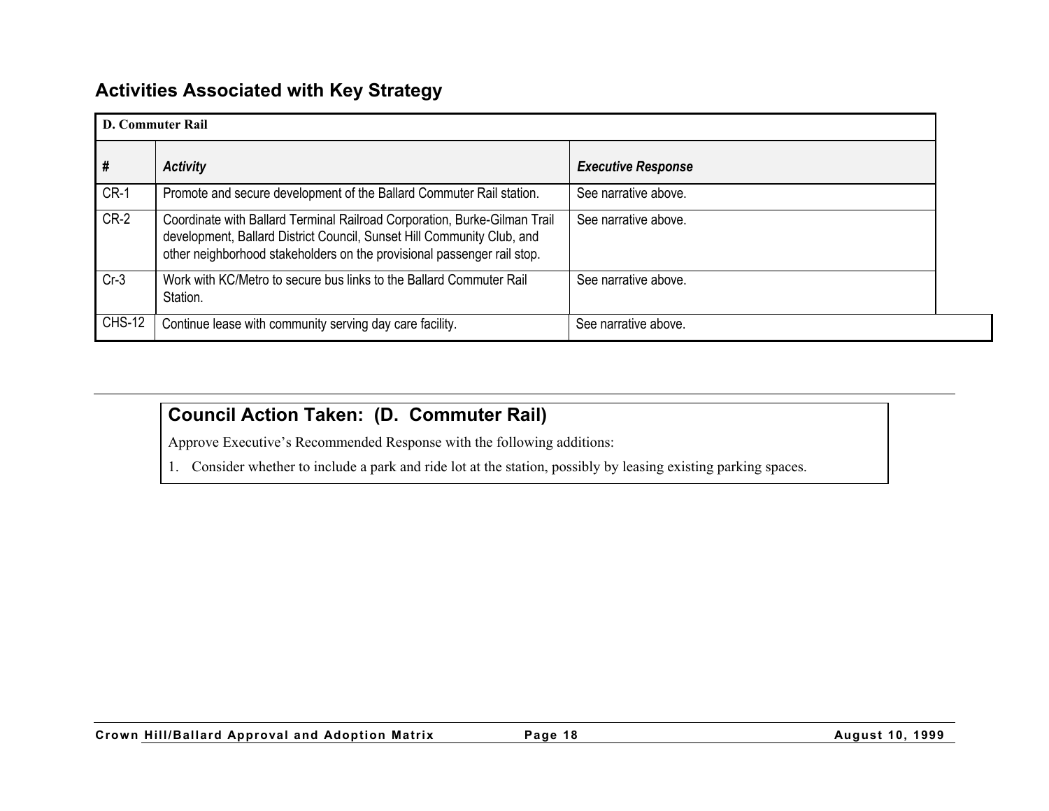# **Activities Associated with Key Strategy**

|               | <b>D. Commuter Rail</b>                                                                                                                                                                                                        |                           |  |  |  |  |  |
|---------------|--------------------------------------------------------------------------------------------------------------------------------------------------------------------------------------------------------------------------------|---------------------------|--|--|--|--|--|
| #             | <b>Activity</b>                                                                                                                                                                                                                | <b>Executive Response</b> |  |  |  |  |  |
| $CR-1$        | Promote and secure development of the Ballard Commuter Rail station.                                                                                                                                                           | See narrative above.      |  |  |  |  |  |
| $CR-2$        | Coordinate with Ballard Terminal Railroad Corporation, Burke-Gilman Trail<br>development, Ballard District Council, Sunset Hill Community Club, and<br>other neighborhood stakeholders on the provisional passenger rail stop. | See narrative above.      |  |  |  |  |  |
| $Cr-3$        | Work with KC/Metro to secure bus links to the Ballard Commuter Rail<br>Station.                                                                                                                                                | See narrative above.      |  |  |  |  |  |
| <b>CHS-12</b> | Continue lease with community serving day care facility.                                                                                                                                                                       | See narrative above.      |  |  |  |  |  |

# **Council Action Taken: (D. Commuter Rail)**

Approve Executive's Recommended Response with the following additions:

1. Consider whether to include a park and ride lot at the station, possibly by leasing existing parking spaces.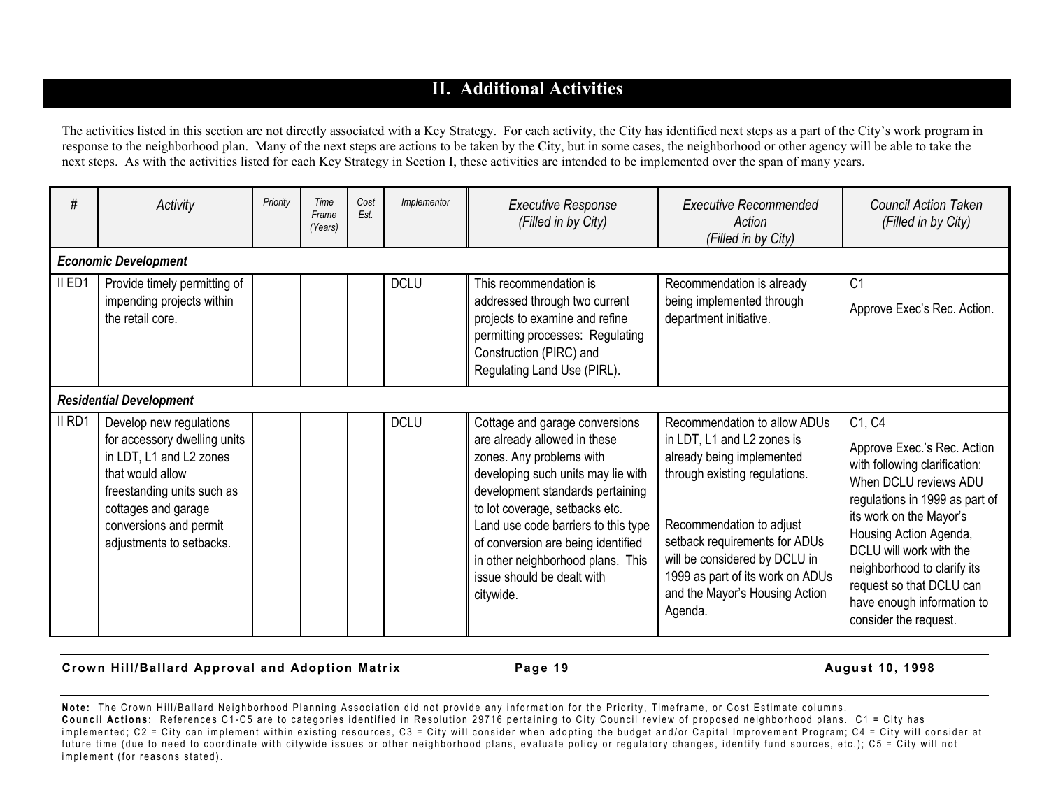## **II. Additional Activities**

The activities listed in this section are not directly associated with a Key Strategy. For each activity, the City has identified next steps as a part of the City's work program in response to the neighborhood plan. Many of the next steps are actions to be taken by the City, but in some cases, the neighborhood or other agency will be able to take the next steps. As with the activities listed for each Key Strategy in Section I, these activities are intended to be implemented over the span of many years.

| #      | Activity                                                                                                                                                                                                          | Priority | Time<br>Frame<br>(Years) | Cost<br>Est. | Implementor | <b>Executive Response</b><br>(Filled in by City)                                                                                                                                                                                                                                                                                                                    | <b>Executive Recommended</b><br>Action<br>(Filled in by City)                                                                                                                                                                                                                                           | <b>Council Action Taken</b><br>(Filled in by City)                                                                                                                                                                                                                                                                                  |
|--------|-------------------------------------------------------------------------------------------------------------------------------------------------------------------------------------------------------------------|----------|--------------------------|--------------|-------------|---------------------------------------------------------------------------------------------------------------------------------------------------------------------------------------------------------------------------------------------------------------------------------------------------------------------------------------------------------------------|---------------------------------------------------------------------------------------------------------------------------------------------------------------------------------------------------------------------------------------------------------------------------------------------------------|-------------------------------------------------------------------------------------------------------------------------------------------------------------------------------------------------------------------------------------------------------------------------------------------------------------------------------------|
|        | <b>Economic Development</b>                                                                                                                                                                                       |          |                          |              |             |                                                                                                                                                                                                                                                                                                                                                                     |                                                                                                                                                                                                                                                                                                         |                                                                                                                                                                                                                                                                                                                                     |
| II ED1 | Provide timely permitting of<br>impending projects within<br>the retail core.                                                                                                                                     |          |                          |              | <b>DCLU</b> | This recommendation is<br>addressed through two current<br>projects to examine and refine<br>permitting processes: Regulating<br>Construction (PIRC) and<br>Regulating Land Use (PIRL).                                                                                                                                                                             | Recommendation is already<br>being implemented through<br>department initiative.                                                                                                                                                                                                                        | C <sub>1</sub><br>Approve Exec's Rec. Action.                                                                                                                                                                                                                                                                                       |
|        | <b>Residential Development</b>                                                                                                                                                                                    |          |                          |              |             |                                                                                                                                                                                                                                                                                                                                                                     |                                                                                                                                                                                                                                                                                                         |                                                                                                                                                                                                                                                                                                                                     |
| II RD1 | Develop new regulations<br>for accessory dwelling units<br>in LDT, L1 and L2 zones<br>that would allow<br>freestanding units such as<br>cottages and garage<br>conversions and permit<br>adjustments to setbacks. |          |                          |              | <b>DCLU</b> | Cottage and garage conversions<br>are already allowed in these<br>zones. Any problems with<br>developing such units may lie with<br>development standards pertaining<br>to lot coverage, setbacks etc.<br>Land use code barriers to this type<br>of conversion are being identified<br>in other neighborhood plans. This<br>issue should be dealt with<br>citywide. | Recommendation to allow ADUs<br>in LDT, L1 and L2 zones is<br>already being implemented<br>through existing regulations.<br>Recommendation to adjust<br>setback requirements for ADUs<br>will be considered by DCLU in<br>1999 as part of its work on ADUs<br>and the Mayor's Housing Action<br>Agenda. | C1, C4<br>Approve Exec.'s Rec. Action<br>with following clarification:<br>When DCLU reviews ADU<br>regulations in 1999 as part of<br>its work on the Mayor's<br>Housing Action Agenda,<br>DCLU will work with the<br>neighborhood to clarify its<br>request so that DCLU can<br>have enough information to<br>consider the request. |

**Crown Hill/Ballard Approval and Adoption Matrix Page 19 August 10, 1998**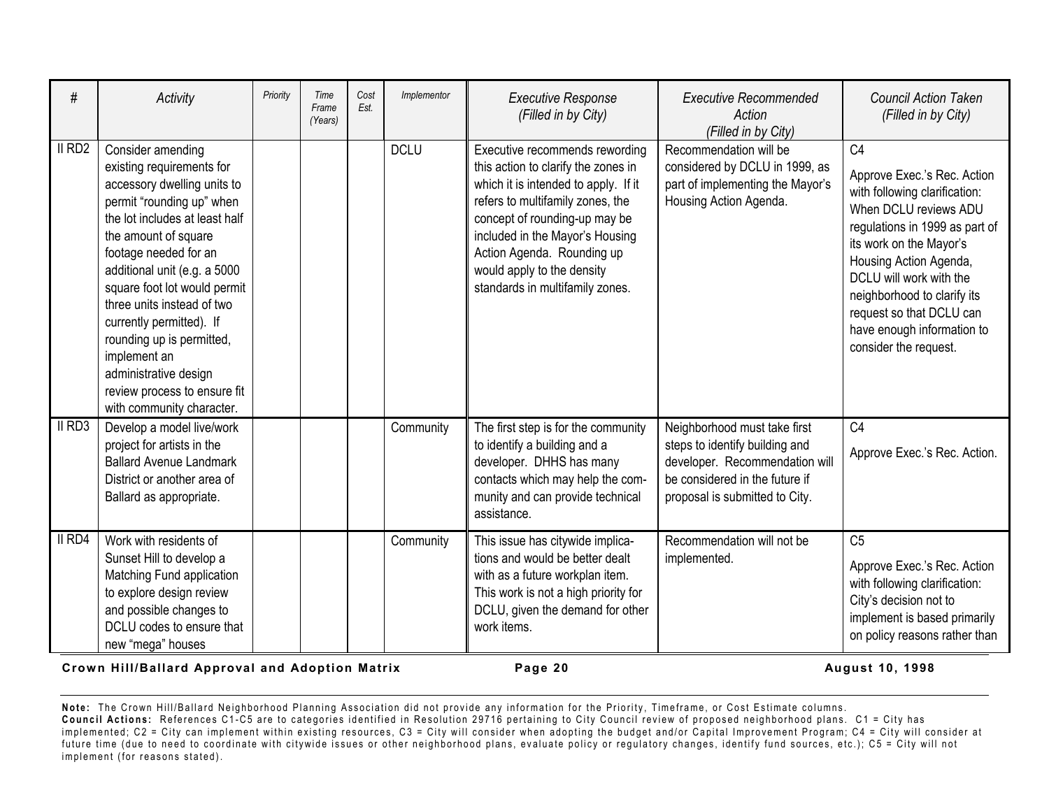| #      | Activity                                                                                                                                                                                                                                                                                                                                                                                                                                                   | Priority | Time<br>Frame<br>(Years) | Cost<br>Est. | Implementor | <b>Executive Response</b><br>(Filled in by City)                                                                                                                                                                                                                                                                     | <b>Executive Recommended</b><br>Action<br>(Filled in by City)                                                                                                        | <b>Council Action Taken</b><br>(Filled in by City)                                                                                                                                                                                                                                                                                          |
|--------|------------------------------------------------------------------------------------------------------------------------------------------------------------------------------------------------------------------------------------------------------------------------------------------------------------------------------------------------------------------------------------------------------------------------------------------------------------|----------|--------------------------|--------------|-------------|----------------------------------------------------------------------------------------------------------------------------------------------------------------------------------------------------------------------------------------------------------------------------------------------------------------------|----------------------------------------------------------------------------------------------------------------------------------------------------------------------|---------------------------------------------------------------------------------------------------------------------------------------------------------------------------------------------------------------------------------------------------------------------------------------------------------------------------------------------|
| II RD2 | Consider amending<br>existing requirements for<br>accessory dwelling units to<br>permit "rounding up" when<br>the lot includes at least half<br>the amount of square<br>footage needed for an<br>additional unit (e.g. a 5000<br>square foot lot would permit<br>three units instead of two<br>currently permitted). If<br>rounding up is permitted,<br>implement an<br>administrative design<br>review process to ensure fit<br>with community character. |          |                          |              | <b>DCLU</b> | Executive recommends rewording<br>this action to clarify the zones in<br>which it is intended to apply. If it<br>refers to multifamily zones, the<br>concept of rounding-up may be<br>included in the Mayor's Housing<br>Action Agenda. Rounding up<br>would apply to the density<br>standards in multifamily zones. | Recommendation will be<br>considered by DCLU in 1999, as<br>part of implementing the Mayor's<br>Housing Action Agenda.                                               | C <sub>4</sub><br>Approve Exec.'s Rec. Action<br>with following clarification:<br>When DCLU reviews ADU<br>regulations in 1999 as part of<br>its work on the Mayor's<br>Housing Action Agenda,<br>DCLU will work with the<br>neighborhood to clarify its<br>request so that DCLU can<br>have enough information to<br>consider the request. |
| II RD3 | Develop a model live/work<br>project for artists in the<br><b>Ballard Avenue Landmark</b><br>District or another area of<br>Ballard as appropriate.                                                                                                                                                                                                                                                                                                        |          |                          |              | Community   | The first step is for the community<br>to identify a building and a<br>developer. DHHS has many<br>contacts which may help the com-<br>munity and can provide technical<br>assistance.                                                                                                                               | Neighborhood must take first<br>steps to identify building and<br>developer. Recommendation will<br>be considered in the future if<br>proposal is submitted to City. | C <sub>4</sub><br>Approve Exec.'s Rec. Action.                                                                                                                                                                                                                                                                                              |
| II RD4 | Work with residents of<br>Sunset Hill to develop a<br>Matching Fund application<br>to explore design review<br>and possible changes to<br>DCLU codes to ensure that<br>new "mega" houses                                                                                                                                                                                                                                                                   |          |                          |              | Community   | This issue has citywide implica-<br>tions and would be better dealt<br>with as a future workplan item.<br>This work is not a high priority for<br>DCLU, given the demand for other<br>work items.                                                                                                                    | Recommendation will not be<br>implemented.                                                                                                                           | C <sub>5</sub><br>Approve Exec.'s Rec. Action<br>with following clarification:<br>City's decision not to<br>implement is based primarily<br>on policy reasons rather than                                                                                                                                                                   |

**Crown Hill/Ballard Approval and Adoption Matrix Page 20 August 10, 1998**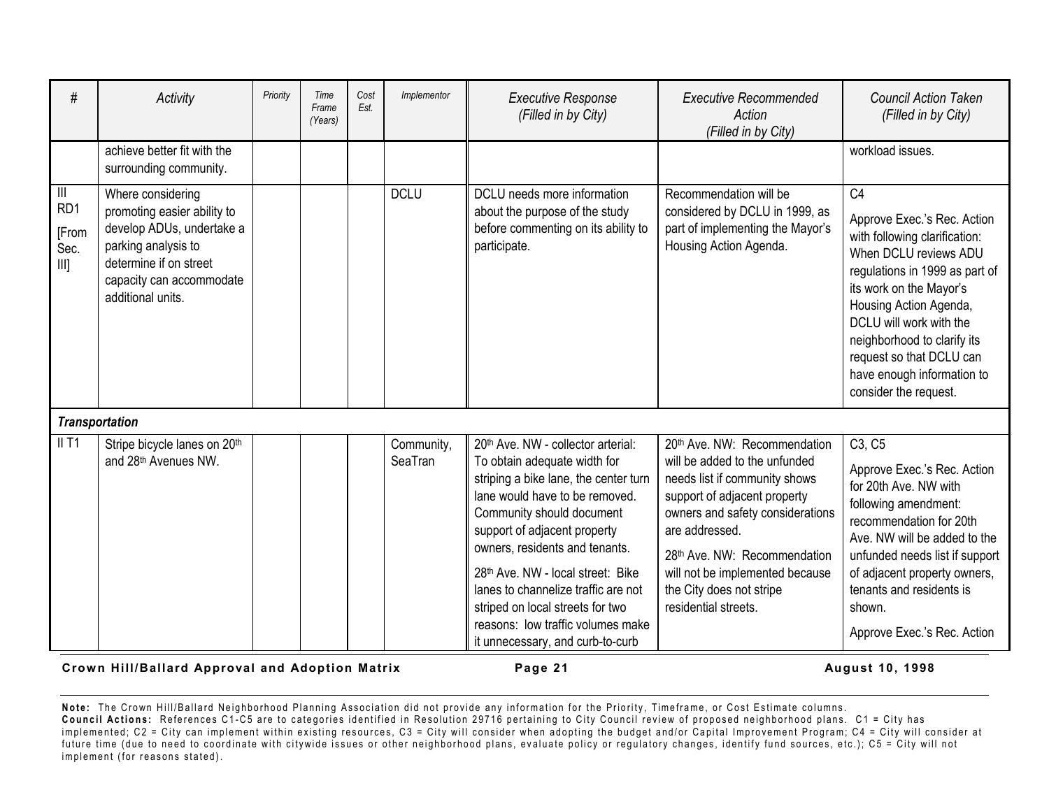| #                                                                              | Activity                                                                                                                                                                        | Priority | Time<br>Frame<br>(Years) | Cost<br>Est. | Implementor           | <b>Executive Response</b><br>(Filled in by City)                                                                                                                                                                                                                                                                                                                                                                                      | <b>Executive Recommended</b><br>Action<br>(Filled in by City)                                                                                                                                                                                                                                               | <b>Council Action Taken</b><br>(Filled in by City)                                                                                                                                                                                                                                                                                          |
|--------------------------------------------------------------------------------|---------------------------------------------------------------------------------------------------------------------------------------------------------------------------------|----------|--------------------------|--------------|-----------------------|---------------------------------------------------------------------------------------------------------------------------------------------------------------------------------------------------------------------------------------------------------------------------------------------------------------------------------------------------------------------------------------------------------------------------------------|-------------------------------------------------------------------------------------------------------------------------------------------------------------------------------------------------------------------------------------------------------------------------------------------------------------|---------------------------------------------------------------------------------------------------------------------------------------------------------------------------------------------------------------------------------------------------------------------------------------------------------------------------------------------|
|                                                                                | achieve better fit with the<br>surrounding community.                                                                                                                           |          |                          |              |                       |                                                                                                                                                                                                                                                                                                                                                                                                                                       |                                                                                                                                                                                                                                                                                                             | workload issues.                                                                                                                                                                                                                                                                                                                            |
| $\ensuremath{\mathsf{III}}\xspace$<br>RD <sub>1</sub><br>[From<br>Sec.<br>III] | Where considering<br>promoting easier ability to<br>develop ADUs, undertake a<br>parking analysis to<br>determine if on street<br>capacity can accommodate<br>additional units. |          |                          |              | <b>DCLU</b>           | DCLU needs more information<br>about the purpose of the study<br>before commenting on its ability to<br>participate.                                                                                                                                                                                                                                                                                                                  | Recommendation will be<br>considered by DCLU in 1999, as<br>part of implementing the Mayor's<br>Housing Action Agenda.                                                                                                                                                                                      | C <sub>4</sub><br>Approve Exec.'s Rec. Action<br>with following clarification:<br>When DCLU reviews ADU<br>regulations in 1999 as part of<br>its work on the Mayor's<br>Housing Action Agenda,<br>DCLU will work with the<br>neighborhood to clarify its<br>request so that DCLU can<br>have enough information to<br>consider the request. |
|                                                                                | <b>Transportation</b>                                                                                                                                                           |          |                          |              |                       |                                                                                                                                                                                                                                                                                                                                                                                                                                       |                                                                                                                                                                                                                                                                                                             |                                                                                                                                                                                                                                                                                                                                             |
| $II$ T1                                                                        | Stripe bicycle lanes on 20th<br>and 28 <sup>th</sup> Avenues NW.                                                                                                                |          |                          |              | Community,<br>SeaTran | 20th Ave. NW - collector arterial:<br>To obtain adequate width for<br>striping a bike lane, the center turn<br>lane would have to be removed.<br>Community should document<br>support of adjacent property<br>owners, residents and tenants.<br>28th Ave. NW - local street: Bike<br>lanes to channelize traffic are not<br>striped on local streets for two<br>reasons: low traffic volumes make<br>it unnecessary, and curb-to-curb | 20th Ave. NW: Recommendation<br>will be added to the unfunded<br>needs list if community shows<br>support of adjacent property<br>owners and safety considerations<br>are addressed.<br>28th Ave. NW: Recommendation<br>will not be implemented because<br>the City does not stripe<br>residential streets. | C <sub>3</sub> , C <sub>5</sub><br>Approve Exec.'s Rec. Action<br>for 20th Ave. NW with<br>following amendment:<br>recommendation for 20th<br>Ave. NW will be added to the<br>unfunded needs list if support<br>of adjacent property owners,<br>tenants and residents is<br>shown.<br>Approve Exec.'s Rec. Action                           |

**Crown Hill/Ballard Approval and Adoption Matrix Page 21 August 10, 1998**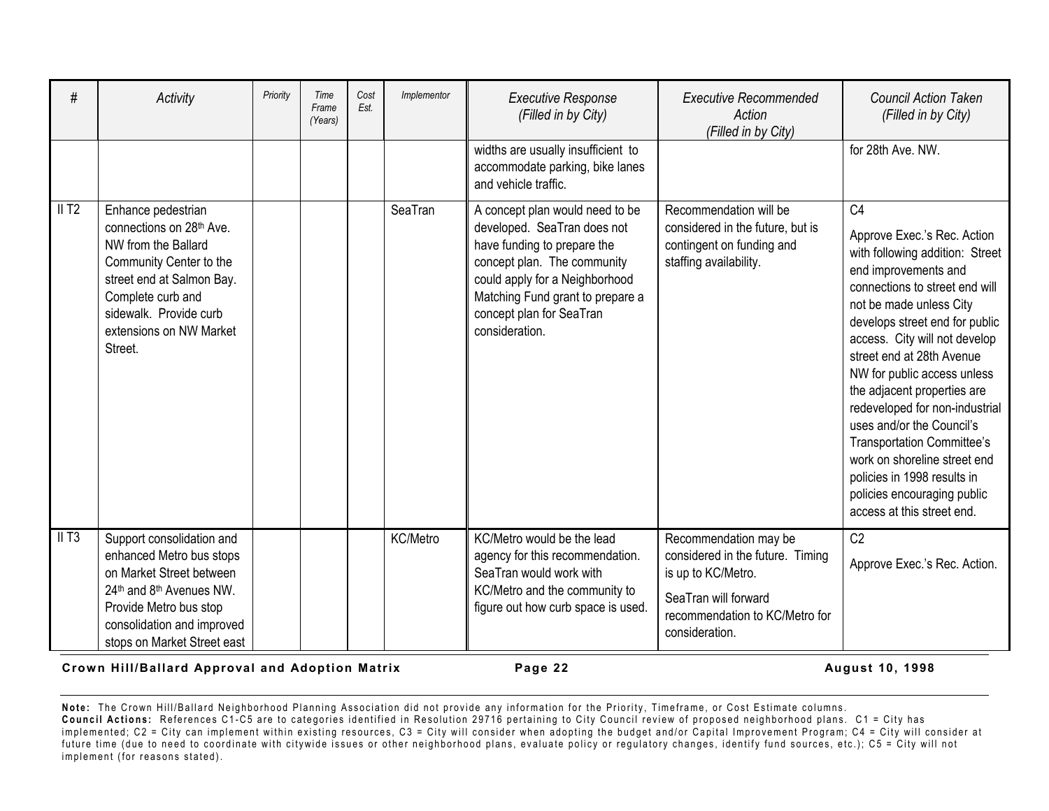| #                   | Activity                                                                                                                                                                                                           | Priority | Time<br>Frame<br>(Years) | Cost<br>Est. | Implementor | <b>Executive Response</b><br>(Filled in by City)                                                                                                                                                                                                 | <b>Executive Recommended</b><br>Action<br>(Filled in by City)                                                     | <b>Council Action Taken</b><br>(Filled in by City)                                                                                                                                                                                                                                                                                                                                                                                                                                                                                                                  |
|---------------------|--------------------------------------------------------------------------------------------------------------------------------------------------------------------------------------------------------------------|----------|--------------------------|--------------|-------------|--------------------------------------------------------------------------------------------------------------------------------------------------------------------------------------------------------------------------------------------------|-------------------------------------------------------------------------------------------------------------------|---------------------------------------------------------------------------------------------------------------------------------------------------------------------------------------------------------------------------------------------------------------------------------------------------------------------------------------------------------------------------------------------------------------------------------------------------------------------------------------------------------------------------------------------------------------------|
|                     |                                                                                                                                                                                                                    |          |                          |              |             | widths are usually insufficient to<br>accommodate parking, bike lanes<br>and vehicle traffic.                                                                                                                                                    |                                                                                                                   | for 28th Ave. NW.                                                                                                                                                                                                                                                                                                                                                                                                                                                                                                                                                   |
| $II$ T <sub>2</sub> | Enhance pedestrian<br>connections on 28th Ave.<br>NW from the Ballard<br>Community Center to the<br>street end at Salmon Bay.<br>Complete curb and<br>sidewalk. Provide curb<br>extensions on NW Market<br>Street. |          |                          |              | SeaTran     | A concept plan would need to be<br>developed. SeaTran does not<br>have funding to prepare the<br>concept plan. The community<br>could apply for a Neighborhood<br>Matching Fund grant to prepare a<br>concept plan for SeaTran<br>consideration. | Recommendation will be<br>considered in the future, but is<br>contingent on funding and<br>staffing availability. | C <sub>4</sub><br>Approve Exec.'s Rec. Action<br>with following addition: Street<br>end improvements and<br>connections to street end will<br>not be made unless City<br>develops street end for public<br>access. City will not develop<br>street end at 28th Avenue<br>NW for public access unless<br>the adjacent properties are<br>redeveloped for non-industrial<br>uses and/or the Council's<br><b>Transportation Committee's</b><br>work on shoreline street end<br>policies in 1998 results in<br>policies encouraging public<br>access at this street end. |
| $II$ T <sub>3</sub> | Support consolidation and<br>enhanced Metro bus stops<br>on Market Street between                                                                                                                                  |          |                          |              | KC/Metro    | KC/Metro would be the lead<br>agency for this recommendation.<br>SeaTran would work with                                                                                                                                                         | Recommendation may be<br>considered in the future. Timing<br>is up to KC/Metro.                                   | C <sub>2</sub><br>Approve Exec.'s Rec. Action.                                                                                                                                                                                                                                                                                                                                                                                                                                                                                                                      |
|                     | 24th and 8th Avenues NW.<br>Provide Metro bus stop<br>consolidation and improved<br>stops on Market Street east                                                                                                    |          |                          |              |             | KC/Metro and the community to<br>figure out how curb space is used.                                                                                                                                                                              | SeaTran will forward<br>recommendation to KC/Metro for<br>consideration.                                          |                                                                                                                                                                                                                                                                                                                                                                                                                                                                                                                                                                     |

**Crown Hill/Ballard Approval and Adoption Matrix Page 22 August 10, 1998**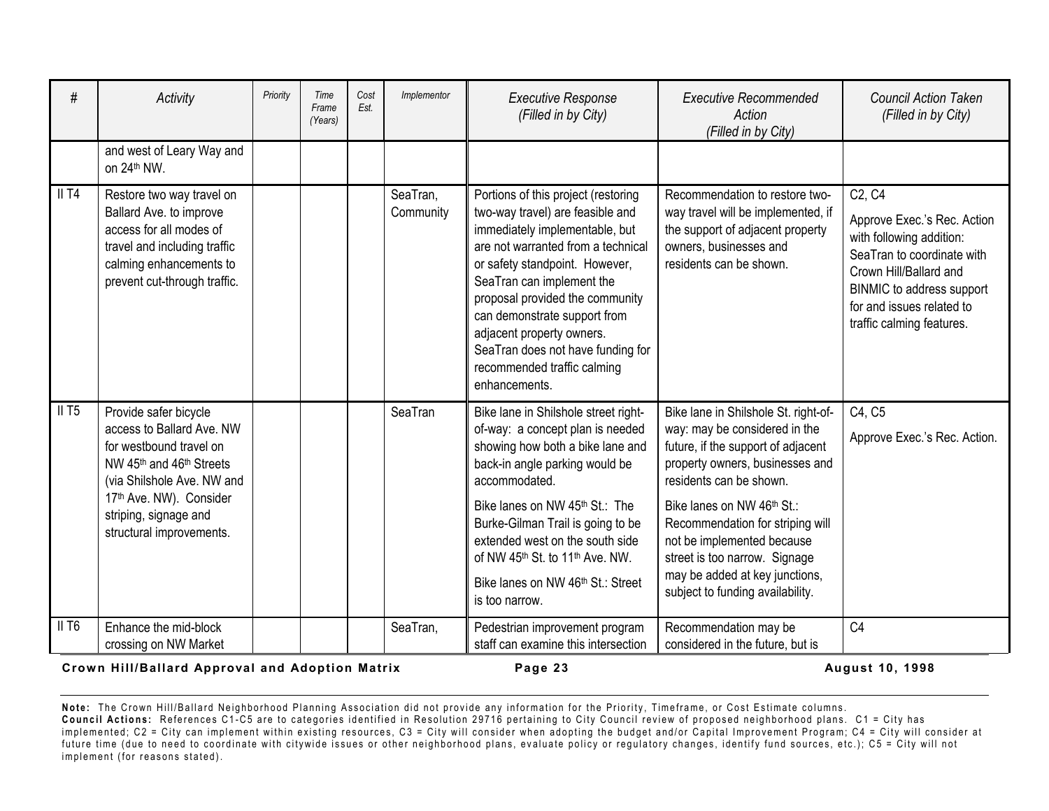| #                   | Activity                                                                                                                                                                                                                | Priority | Time<br>Frame<br>(Years) | Cost<br>Est. | Implementor           | <b>Executive Response</b><br>(Filled in by City)                                                                                                                                                                                                                                                                                                                                                    | <b>Executive Recommended</b><br>Action<br>(Filled in by City)                                                                                                                                                                                                                                                                                                                    | <b>Council Action Taken</b><br>(Filled in by City)                                                                                                                                                                                        |
|---------------------|-------------------------------------------------------------------------------------------------------------------------------------------------------------------------------------------------------------------------|----------|--------------------------|--------------|-----------------------|-----------------------------------------------------------------------------------------------------------------------------------------------------------------------------------------------------------------------------------------------------------------------------------------------------------------------------------------------------------------------------------------------------|----------------------------------------------------------------------------------------------------------------------------------------------------------------------------------------------------------------------------------------------------------------------------------------------------------------------------------------------------------------------------------|-------------------------------------------------------------------------------------------------------------------------------------------------------------------------------------------------------------------------------------------|
|                     | and west of Leary Way and<br>on 24th NW.                                                                                                                                                                                |          |                          |              |                       |                                                                                                                                                                                                                                                                                                                                                                                                     |                                                                                                                                                                                                                                                                                                                                                                                  |                                                                                                                                                                                                                                           |
| $II$ T4             | Restore two way travel on<br>Ballard Ave. to improve<br>access for all modes of<br>travel and including traffic<br>calming enhancements to<br>prevent cut-through traffic.                                              |          |                          |              | SeaTran,<br>Community | Portions of this project (restoring<br>two-way travel) are feasible and<br>immediately implementable, but<br>are not warranted from a technical<br>or safety standpoint. However,<br>SeaTran can implement the<br>proposal provided the community<br>can demonstrate support from<br>adjacent property owners.<br>SeaTran does not have funding for<br>recommended traffic calming<br>enhancements. | Recommendation to restore two-<br>way travel will be implemented, if<br>the support of adjacent property<br>owners, businesses and<br>residents can be shown.                                                                                                                                                                                                                    | C <sub>2</sub> , C <sub>4</sub><br>Approve Exec.'s Rec. Action<br>with following addition:<br>SeaTran to coordinate with<br>Crown Hill/Ballard and<br>BINMIC to address support<br>for and issues related to<br>traffic calming features. |
| $II$ T <sub>5</sub> | Provide safer bicycle<br>access to Ballard Ave. NW<br>for westbound travel on<br>NW 45th and 46th Streets<br>(via Shilshole Ave. NW and<br>17th Ave. NW). Consider<br>striping, signage and<br>structural improvements. |          |                          |              | SeaTran               | Bike lane in Shilshole street right-<br>of-way: a concept plan is needed<br>showing how both a bike lane and<br>back-in angle parking would be<br>accommodated.<br>Bike lanes on NW 45th St.: The<br>Burke-Gilman Trail is going to be<br>extended west on the south side<br>of NW 45th St. to 11th Ave. NW.<br>Bike lanes on NW 46th St.: Street<br>is too narrow.                                 | Bike lane in Shilshole St. right-of-<br>way: may be considered in the<br>future, if the support of adjacent<br>property owners, businesses and<br>residents can be shown.<br>Bike lanes on NW 46th St.:<br>Recommendation for striping will<br>not be implemented because<br>street is too narrow. Signage<br>may be added at key junctions,<br>subject to funding availability. | C4, C5<br>Approve Exec.'s Rec. Action.                                                                                                                                                                                                    |
| $II$ T <sub>6</sub> | Enhance the mid-block<br>crossing on NW Market                                                                                                                                                                          |          |                          |              | SeaTran,              | Pedestrian improvement program<br>staff can examine this intersection                                                                                                                                                                                                                                                                                                                               | Recommendation may be<br>considered in the future, but is                                                                                                                                                                                                                                                                                                                        | C <sub>4</sub>                                                                                                                                                                                                                            |

**Crown Hill/Ballard Approval and Adoption Matrix Page 23 August 10, 1998**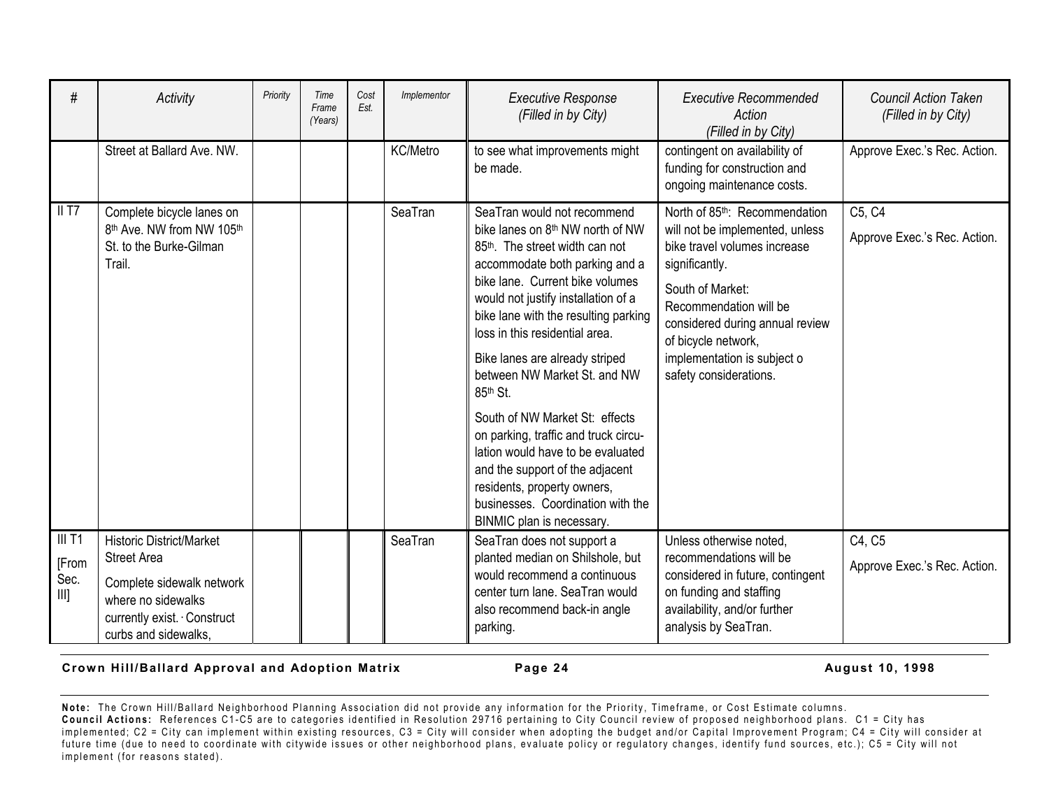| #                                 | Activity                                                                                                                                                       | Priority | Time<br>Frame<br>(Years) | Cost<br>Est. | Implementor | <b>Executive Response</b><br>(Filled in by City)                                                                                                                                                                                                                                                                                                                                                                                                                                                                                                                                                                                     | <b>Executive Recommended</b><br>Action<br>(Filled in by City)                                                                                                                                                                                                                                    | <b>Council Action Taken</b><br>(Filled in by City) |
|-----------------------------------|----------------------------------------------------------------------------------------------------------------------------------------------------------------|----------|--------------------------|--------------|-------------|--------------------------------------------------------------------------------------------------------------------------------------------------------------------------------------------------------------------------------------------------------------------------------------------------------------------------------------------------------------------------------------------------------------------------------------------------------------------------------------------------------------------------------------------------------------------------------------------------------------------------------------|--------------------------------------------------------------------------------------------------------------------------------------------------------------------------------------------------------------------------------------------------------------------------------------------------|----------------------------------------------------|
|                                   | Street at Ballard Ave. NW.                                                                                                                                     |          |                          |              | KC/Metro    | to see what improvements might<br>be made.                                                                                                                                                                                                                                                                                                                                                                                                                                                                                                                                                                                           | contingent on availability of<br>funding for construction and<br>ongoing maintenance costs.                                                                                                                                                                                                      | Approve Exec.'s Rec. Action.                       |
| II T7                             | Complete bicycle lanes on<br>8th Ave. NW from NW 105th<br>St. to the Burke-Gilman<br>Trail.                                                                    |          |                          |              | SeaTran     | SeaTran would not recommend<br>bike lanes on 8 <sup>th</sup> NW north of NW<br>85th. The street width can not<br>accommodate both parking and a<br>bike lane. Current bike volumes<br>would not justify installation of a<br>bike lane with the resulting parking<br>loss in this residential area.<br>Bike lanes are already striped<br>between NW Market St. and NW<br>85th St.<br>South of NW Market St: effects<br>on parking, traffic and truck circu-<br>lation would have to be evaluated<br>and the support of the adjacent<br>residents, property owners,<br>businesses. Coordination with the<br>BINMIC plan is necessary. | North of 85 <sup>th</sup> : Recommendation<br>will not be implemented, unless<br>bike travel volumes increase<br>significantly.<br>South of Market:<br>Recommendation will be<br>considered during annual review<br>of bicycle network,<br>implementation is subject o<br>safety considerations. | C5, C4<br>Approve Exec.'s Rec. Action.             |
| $III$ T1<br>[From<br>Sec.<br>III] | <b>Historic District/Market</b><br><b>Street Area</b><br>Complete sidewalk network<br>where no sidewalks<br>currently exist. Construct<br>curbs and sidewalks. |          |                          |              | SeaTran     | SeaTran does not support a<br>planted median on Shilshole, but<br>would recommend a continuous<br>center turn lane. SeaTran would<br>also recommend back-in angle<br>parking.                                                                                                                                                                                                                                                                                                                                                                                                                                                        | Unless otherwise noted.<br>recommendations will be<br>considered in future, contingent<br>on funding and staffing<br>availability, and/or further<br>analysis by SeaTran.                                                                                                                        | C4, C5<br>Approve Exec.'s Rec. Action.             |

**Crown Hill/Ballard Approval and Adoption Matrix Page 24 August 10, 1998**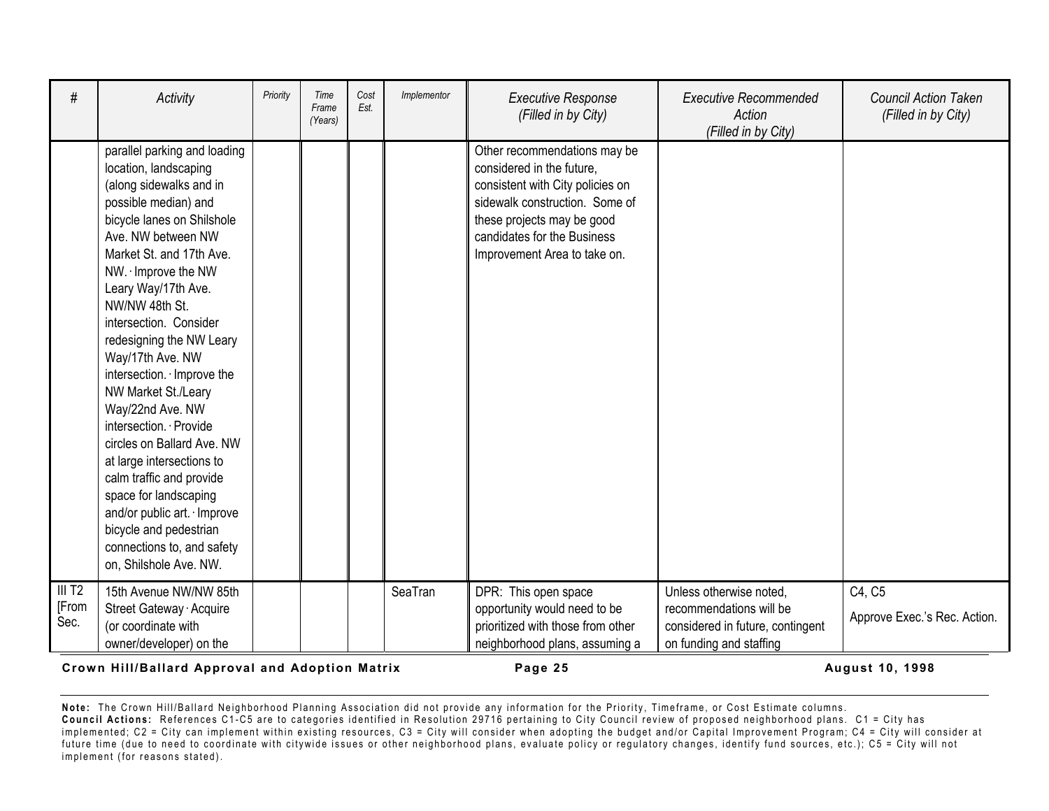| #                         | Activity                                                                                                                                                                                                                                                                                                                                                                                                                                                                                                                                                                                                                                                             | Priority | Time<br>Frame<br>(Years) | Cost<br>Est. | Implementor | <b>Executive Response</b><br>(Filled in by City)                                                                                                                                                                             | <b>Executive Recommended</b><br>Action<br>(Filled in by City)                                                     | <b>Council Action Taken</b><br>(Filled in by City) |
|---------------------------|----------------------------------------------------------------------------------------------------------------------------------------------------------------------------------------------------------------------------------------------------------------------------------------------------------------------------------------------------------------------------------------------------------------------------------------------------------------------------------------------------------------------------------------------------------------------------------------------------------------------------------------------------------------------|----------|--------------------------|--------------|-------------|------------------------------------------------------------------------------------------------------------------------------------------------------------------------------------------------------------------------------|-------------------------------------------------------------------------------------------------------------------|----------------------------------------------------|
|                           | parallel parking and loading<br>location, landscaping<br>(along sidewalks and in<br>possible median) and<br>bicycle lanes on Shilshole<br>Ave. NW between NW<br>Market St. and 17th Ave.<br>NW. Improve the NW<br>Leary Way/17th Ave.<br>NW/NW 48th St.<br>intersection. Consider<br>redesigning the NW Leary<br>Way/17th Ave. NW<br>intersection. Improve the<br>NW Market St./Leary<br>Way/22nd Ave. NW<br>intersection. · Provide<br>circles on Ballard Ave. NW<br>at large intersections to<br>calm traffic and provide<br>space for landscaping<br>and/or public art. Improve<br>bicycle and pedestrian<br>connections to, and safety<br>on, Shilshole Ave. NW. |          |                          |              |             | Other recommendations may be<br>considered in the future,<br>consistent with City policies on<br>sidewalk construction. Some of<br>these projects may be good<br>candidates for the Business<br>Improvement Area to take on. |                                                                                                                   |                                                    |
| $III$ T2<br>[From<br>Sec. | 15th Avenue NW/NW 85th<br>Street Gateway · Acquire<br>(or coordinate with<br>owner/developer) on the                                                                                                                                                                                                                                                                                                                                                                                                                                                                                                                                                                 |          |                          |              | SeaTran     | DPR: This open space<br>opportunity would need to be<br>prioritized with those from other<br>neighborhood plans, assuming a                                                                                                  | Unless otherwise noted,<br>recommendations will be<br>considered in future, contingent<br>on funding and staffing | C4, C5<br>Approve Exec.'s Rec. Action.             |

**Crown Hill/Ballard Approval and Adoption Matrix Page 25 August 10, 1998**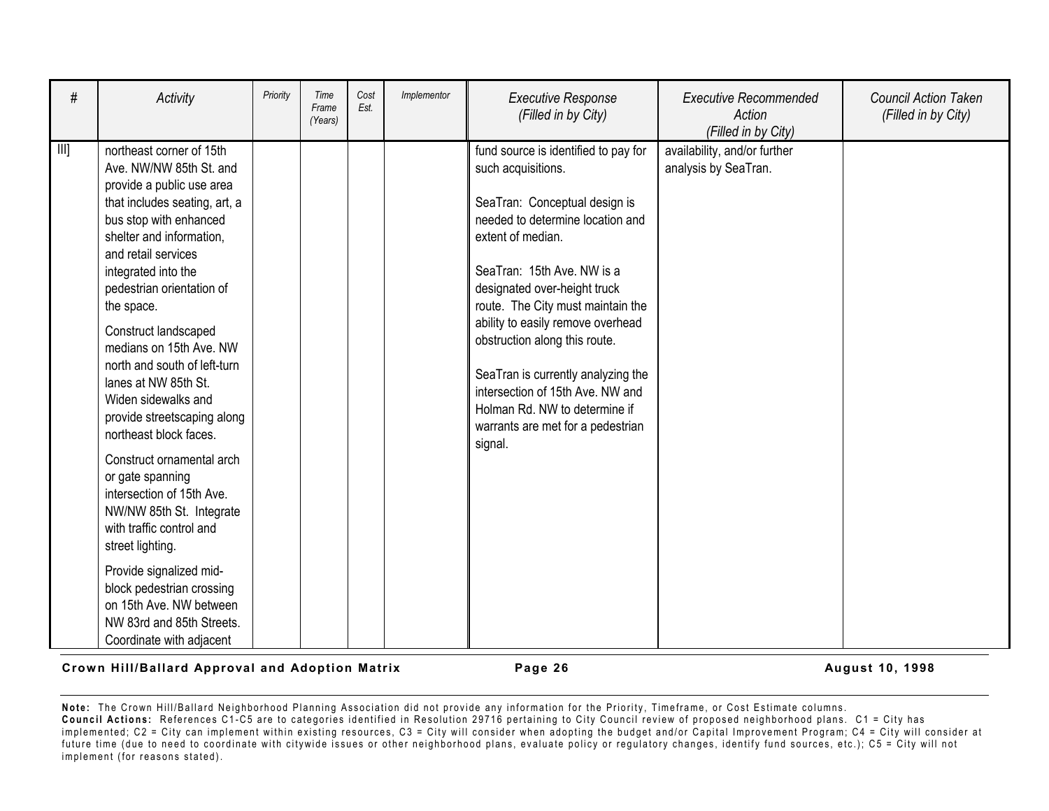| #    | Activity                                                                                                                                                                                                                                                                                                                                                                                                                                                                                                                                                                                                                                                                                                                                                          | Priority | Time<br>Frame<br>(Years) | Cost<br>Est. | Implementor | <b>Executive Response</b><br>(Filled in by City)                                                                                                                                                                                                                                                                                                                                                                                                                                         | <b>Executive Recommended</b><br>Action<br>(Filled in by City) | <b>Council Action Taken</b><br>(Filled in by City) |
|------|-------------------------------------------------------------------------------------------------------------------------------------------------------------------------------------------------------------------------------------------------------------------------------------------------------------------------------------------------------------------------------------------------------------------------------------------------------------------------------------------------------------------------------------------------------------------------------------------------------------------------------------------------------------------------------------------------------------------------------------------------------------------|----------|--------------------------|--------------|-------------|------------------------------------------------------------------------------------------------------------------------------------------------------------------------------------------------------------------------------------------------------------------------------------------------------------------------------------------------------------------------------------------------------------------------------------------------------------------------------------------|---------------------------------------------------------------|----------------------------------------------------|
| III] | northeast corner of 15th<br>Ave. NW/NW 85th St. and<br>provide a public use area<br>that includes seating, art, a<br>bus stop with enhanced<br>shelter and information.<br>and retail services<br>integrated into the<br>pedestrian orientation of<br>the space.<br>Construct landscaped<br>medians on 15th Ave. NW<br>north and south of left-turn<br>lanes at NW 85th St.<br>Widen sidewalks and<br>provide streetscaping along<br>northeast block faces.<br>Construct ornamental arch<br>or gate spanning<br>intersection of 15th Ave.<br>NW/NW 85th St. Integrate<br>with traffic control and<br>street lighting.<br>Provide signalized mid-<br>block pedestrian crossing<br>on 15th Ave. NW between<br>NW 83rd and 85th Streets.<br>Coordinate with adjacent |          |                          |              |             | fund source is identified to pay for<br>such acquisitions.<br>SeaTran: Conceptual design is<br>needed to determine location and<br>extent of median.<br>SeaTran: 15th Ave. NW is a<br>designated over-height truck<br>route. The City must maintain the<br>ability to easily remove overhead<br>obstruction along this route.<br>SeaTran is currently analyzing the<br>intersection of 15th Ave. NW and<br>Holman Rd. NW to determine if<br>warrants are met for a pedestrian<br>signal. | availability, and/or further<br>analysis by SeaTran.          |                                                    |

#### **Crown Hill/Ballard Approval and Adoption Matrix Page 26 August 10, 1998**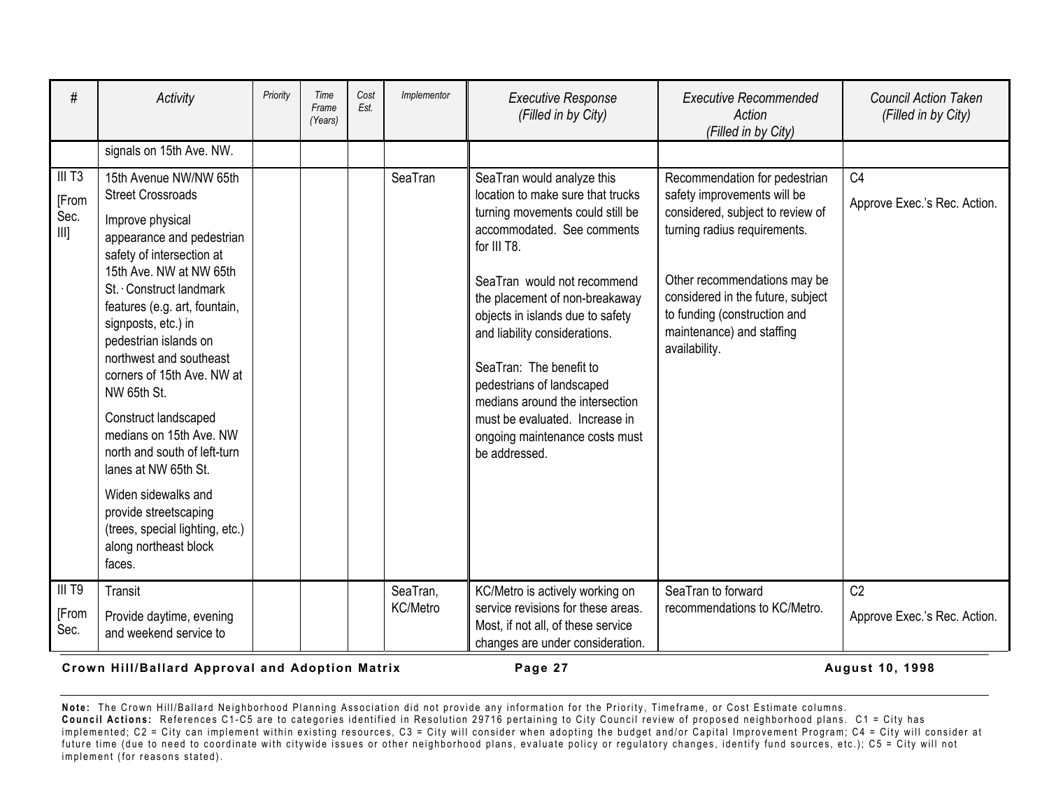| #                                           | Activity                                                                                                                                                                                                                                                                                                                                                                                                                                                                                                                                                                        | Priority | Time<br>Frame<br>(Years) | Cost<br>Est. | Implementor | <b>Executive Response</b><br>(Filled in by City)                                                                                                                                                                                                                                                                                                                                                                                                                       | <b>Executive Recommended</b><br>Action<br>(Filled in by City)                                                                                                                                                                                                                       | <b>Council Action Taken</b><br>(Filled in by City) |
|---------------------------------------------|---------------------------------------------------------------------------------------------------------------------------------------------------------------------------------------------------------------------------------------------------------------------------------------------------------------------------------------------------------------------------------------------------------------------------------------------------------------------------------------------------------------------------------------------------------------------------------|----------|--------------------------|--------------|-------------|------------------------------------------------------------------------------------------------------------------------------------------------------------------------------------------------------------------------------------------------------------------------------------------------------------------------------------------------------------------------------------------------------------------------------------------------------------------------|-------------------------------------------------------------------------------------------------------------------------------------------------------------------------------------------------------------------------------------------------------------------------------------|----------------------------------------------------|
|                                             | signals on 15th Ave. NW.                                                                                                                                                                                                                                                                                                                                                                                                                                                                                                                                                        |          |                          |              |             |                                                                                                                                                                                                                                                                                                                                                                                                                                                                        |                                                                                                                                                                                                                                                                                     |                                                    |
| III T <sub>3</sub><br>[From<br>Sec.<br>III] | 15th Avenue NW/NW 65th<br><b>Street Crossroads</b><br>Improve physical<br>appearance and pedestrian<br>safety of intersection at<br>15th Ave. NW at NW 65th<br>St. Construct landmark<br>features (e.g. art, fountain,<br>signposts, etc.) in<br>pedestrian islands on<br>northwest and southeast<br>corners of 15th Ave. NW at<br>NW 65th St.<br>Construct landscaped<br>medians on 15th Ave. NW<br>north and south of left-turn<br>lanes at NW 65th St.<br>Widen sidewalks and<br>provide streetscaping<br>(trees, special lighting, etc.)<br>along northeast block<br>faces. |          |                          |              | SeaTran     | SeaTran would analyze this<br>location to make sure that trucks<br>turning movements could still be<br>accommodated. See comments<br>for III T8.<br>SeaTran would not recommend<br>the placement of non-breakaway<br>objects in islands due to safety<br>and liability considerations.<br>SeaTran: The benefit to<br>pedestrians of landscaped<br>medians around the intersection<br>must be evaluated. Increase in<br>ongoing maintenance costs must<br>be addressed. | Recommendation for pedestrian<br>safety improvements will be<br>considered, subject to review of<br>turning radius requirements.<br>Other recommendations may be<br>considered in the future, subject<br>to funding (construction and<br>maintenance) and staffing<br>availability. | C <sub>4</sub><br>Approve Exec.'s Rec. Action.     |
| III T9                                      | Transit                                                                                                                                                                                                                                                                                                                                                                                                                                                                                                                                                                         |          |                          |              | SeaTran,    | KC/Metro is actively working on                                                                                                                                                                                                                                                                                                                                                                                                                                        | SeaTran to forward                                                                                                                                                                                                                                                                  | C <sub>2</sub>                                     |
| [From<br>Sec.                               | Provide daytime, evening<br>and weekend service to                                                                                                                                                                                                                                                                                                                                                                                                                                                                                                                              |          |                          |              | KC/Metro    | service revisions for these areas.<br>Most, if not all, of these service<br>changes are under consideration.                                                                                                                                                                                                                                                                                                                                                           | recommendations to KC/Metro.                                                                                                                                                                                                                                                        | Approve Exec.'s Rec. Action.                       |

#### **Crown Hill/Ballard Approval and Adoption Matrix Page 27 August 10, 1998**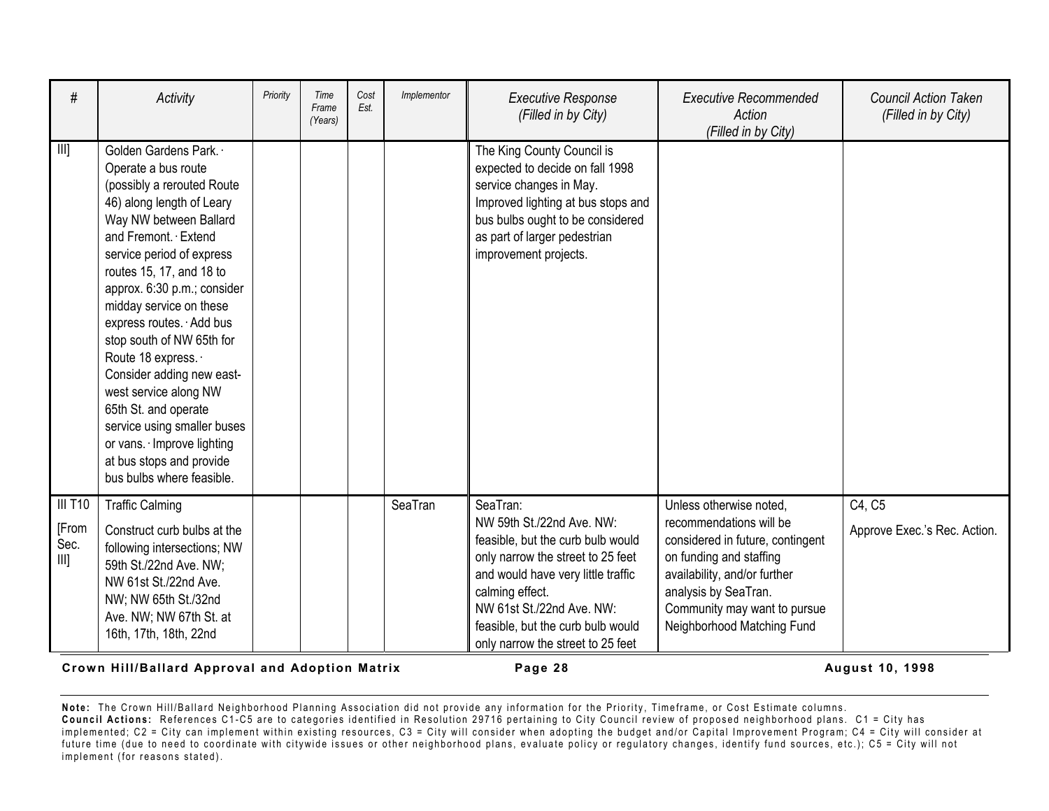| #                                     | Activity                                                                                                                                                                                                                                                                                                                                                                                                                                                                                                                                                           | Priority | Time<br>Frame<br>(Years) | Cost<br>Est. | Implementor | <b>Executive Response</b><br>(Filled in by City)                                                                                                                                                                                                                                | <b>Executive Recommended</b><br>Action<br>(Filled in by City)                                                                                                                                                                           | <b>Council Action Taken</b><br>(Filled in by City) |
|---------------------------------------|--------------------------------------------------------------------------------------------------------------------------------------------------------------------------------------------------------------------------------------------------------------------------------------------------------------------------------------------------------------------------------------------------------------------------------------------------------------------------------------------------------------------------------------------------------------------|----------|--------------------------|--------------|-------------|---------------------------------------------------------------------------------------------------------------------------------------------------------------------------------------------------------------------------------------------------------------------------------|-----------------------------------------------------------------------------------------------------------------------------------------------------------------------------------------------------------------------------------------|----------------------------------------------------|
| [   ]                                 | Golden Gardens Park. .<br>Operate a bus route<br>(possibly a rerouted Route<br>46) along length of Leary<br>Way NW between Ballard<br>and Fremont. · Extend<br>service period of express<br>routes 15, 17, and 18 to<br>approx. 6:30 p.m.; consider<br>midday service on these<br>express routes. Add bus<br>stop south of NW 65th for<br>Route 18 express. .<br>Consider adding new east-<br>west service along NW<br>65th St. and operate<br>service using smaller buses<br>or vans. · Improve lighting<br>at bus stops and provide<br>bus bulbs where feasible. |          |                          |              |             | The King County Council is<br>expected to decide on fall 1998<br>service changes in May.<br>Improved lighting at bus stops and<br>bus bulbs ought to be considered<br>as part of larger pedestrian<br>improvement projects.                                                     |                                                                                                                                                                                                                                         |                                                    |
| <b>III T10</b><br>[From<br>Sec.<br>ШJ | <b>Traffic Calming</b><br>Construct curb bulbs at the<br>following intersections; NW<br>59th St./22nd Ave. NW;<br>NW 61st St./22nd Ave.<br>NW; NW 65th St./32nd<br>Ave. NW; NW 67th St. at<br>16th, 17th, 18th, 22nd                                                                                                                                                                                                                                                                                                                                               |          |                          |              | SeaTran     | SeaTran:<br>NW 59th St./22nd Ave. NW:<br>feasible, but the curb bulb would<br>only narrow the street to 25 feet<br>and would have very little traffic<br>calming effect.<br>NW 61st St./22nd Ave. NW:<br>feasible, but the curb bulb would<br>only narrow the street to 25 feet | Unless otherwise noted.<br>recommendations will be<br>considered in future, contingent<br>on funding and staffing<br>availability, and/or further<br>analysis by SeaTran.<br>Community may want to pursue<br>Neighborhood Matching Fund | C4, C5<br>Approve Exec.'s Rec. Action.             |

**Crown Hill/Ballard Approval and Adoption Matrix Page 28 August 10, 1998**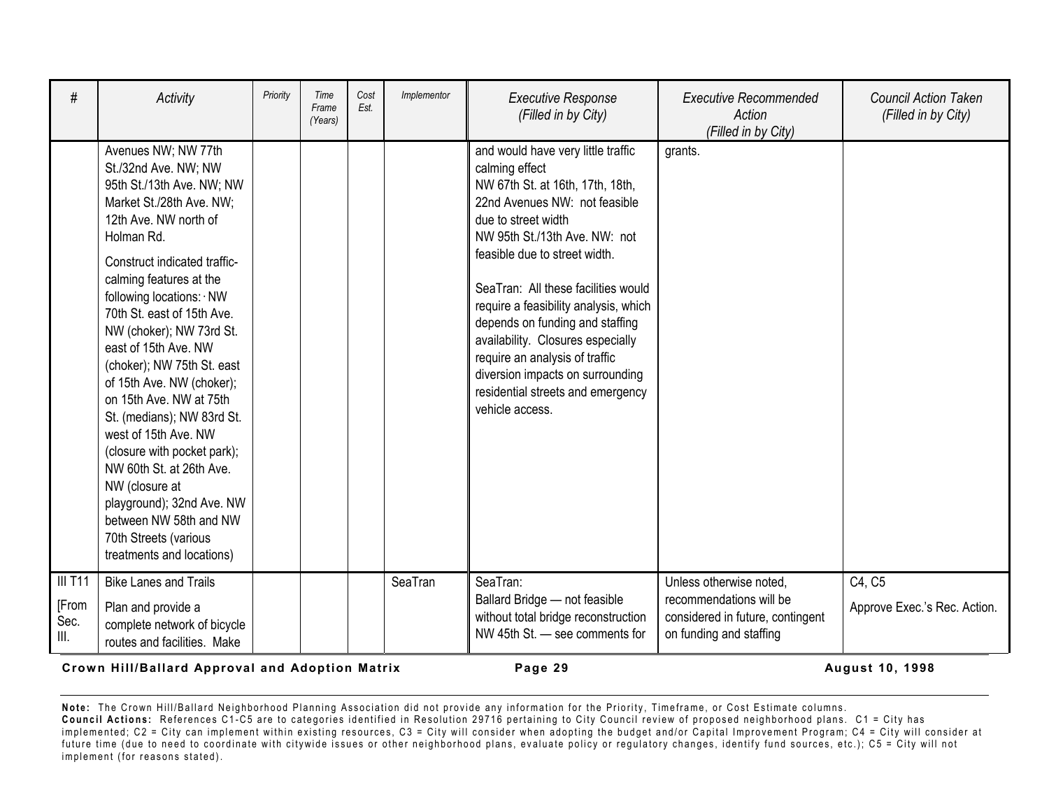| #                                     | Activity                                                                                                                                                                                                                                                                                                                                                                                                                                                                                                                                                                                                                                                    | Priority | Time<br>Frame<br>(Years) | Cost<br>Est. | Implementor | <b>Executive Response</b><br>(Filled in by City)                                                                                                                                                                                                                                                                                                                                                                                                                                                         | <b>Executive Recommended</b><br>Action<br>(Filled in by City)                                                     | <b>Council Action Taken</b><br>(Filled in by City) |
|---------------------------------------|-------------------------------------------------------------------------------------------------------------------------------------------------------------------------------------------------------------------------------------------------------------------------------------------------------------------------------------------------------------------------------------------------------------------------------------------------------------------------------------------------------------------------------------------------------------------------------------------------------------------------------------------------------------|----------|--------------------------|--------------|-------------|----------------------------------------------------------------------------------------------------------------------------------------------------------------------------------------------------------------------------------------------------------------------------------------------------------------------------------------------------------------------------------------------------------------------------------------------------------------------------------------------------------|-------------------------------------------------------------------------------------------------------------------|----------------------------------------------------|
|                                       | Avenues NW; NW 77th<br>St./32nd Ave. NW; NW<br>95th St./13th Ave. NW; NW<br>Market St./28th Ave. NW;<br>12th Ave. NW north of<br>Holman Rd.<br>Construct indicated traffic-<br>calming features at the<br>following locations: · NW<br>70th St. east of 15th Ave.<br>NW (choker); NW 73rd St.<br>east of 15th Ave. NW<br>(choker); NW 75th St. east<br>of 15th Ave. NW (choker);<br>on 15th Ave. NW at 75th<br>St. (medians); NW 83rd St.<br>west of 15th Ave. NW<br>(closure with pocket park);<br>NW 60th St. at 26th Ave.<br>NW (closure at<br>playground); 32nd Ave. NW<br>between NW 58th and NW<br>70th Streets (various<br>treatments and locations) |          |                          |              |             | and would have very little traffic<br>calming effect<br>NW 67th St. at 16th, 17th, 18th,<br>22nd Avenues NW: not feasible<br>due to street width<br>NW 95th St./13th Ave. NW: not<br>feasible due to street width.<br>SeaTran: All these facilities would<br>require a feasibility analysis, which<br>depends on funding and staffing<br>availability. Closures especially<br>require an analysis of traffic<br>diversion impacts on surrounding<br>residential streets and emergency<br>vehicle access. | grants.                                                                                                           |                                                    |
| <b>III T11</b><br>[From<br>Sec.<br>Ⅲ. | <b>Bike Lanes and Trails</b><br>Plan and provide a<br>complete network of bicycle<br>routes and facilities. Make                                                                                                                                                                                                                                                                                                                                                                                                                                                                                                                                            |          |                          |              | SeaTran     | SeaTran:<br>Ballard Bridge - not feasible<br>without total bridge reconstruction<br>NW 45th St. - see comments for                                                                                                                                                                                                                                                                                                                                                                                       | Unless otherwise noted,<br>recommendations will be<br>considered in future, contingent<br>on funding and staffing | C4, C5<br>Approve Exec.'s Rec. Action.             |

**Crown Hill/Ballard Approval and Adoption Matrix Page 29 August 10, 1998**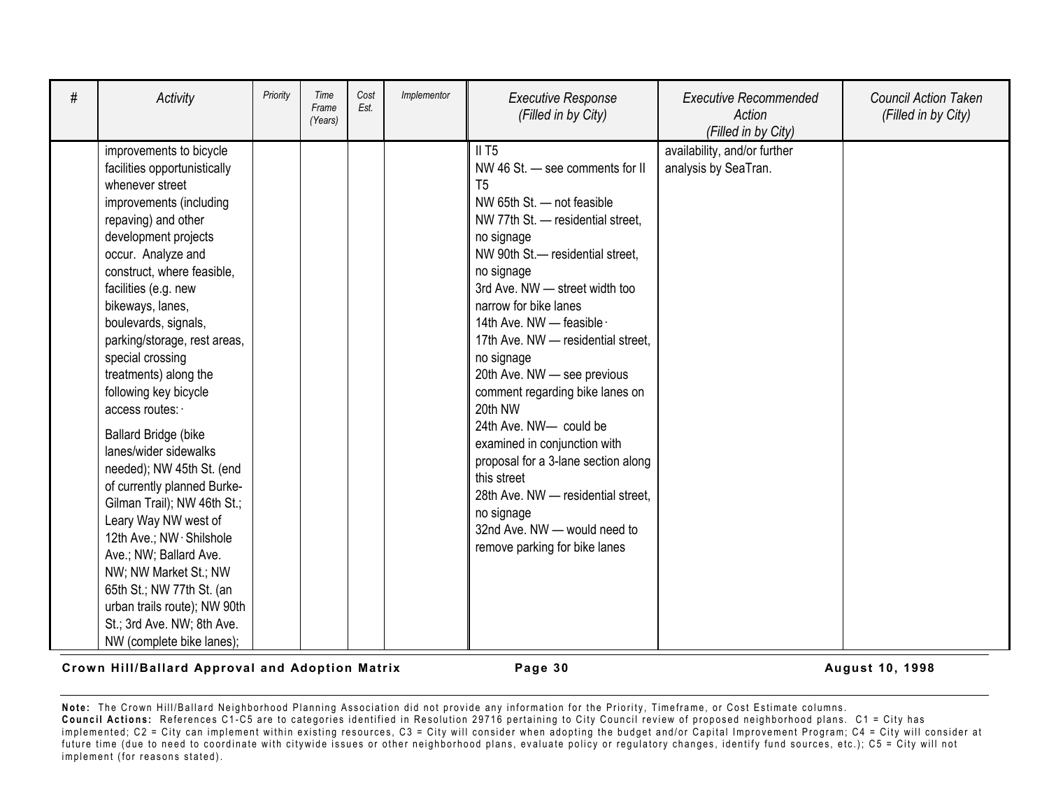| # | Activity                                                                                                                                                                                                                                                                                                                                                                                                                                                                                                                                                                                                                                                                                                                                                                                  | Priority | Time<br>Frame<br>(Years) | Cost<br>Est. | Implementor | <b>Executive Response</b><br>(Filled in by City)                                                                                                                                                                                                                                                                                                                                                                                                                                                                                                                                                                                                                          | <b>Executive Recommended</b><br>Action<br>(Filled in by City) | <b>Council Action Taken</b><br>(Filled in by City) |
|---|-------------------------------------------------------------------------------------------------------------------------------------------------------------------------------------------------------------------------------------------------------------------------------------------------------------------------------------------------------------------------------------------------------------------------------------------------------------------------------------------------------------------------------------------------------------------------------------------------------------------------------------------------------------------------------------------------------------------------------------------------------------------------------------------|----------|--------------------------|--------------|-------------|---------------------------------------------------------------------------------------------------------------------------------------------------------------------------------------------------------------------------------------------------------------------------------------------------------------------------------------------------------------------------------------------------------------------------------------------------------------------------------------------------------------------------------------------------------------------------------------------------------------------------------------------------------------------------|---------------------------------------------------------------|----------------------------------------------------|
|   | improvements to bicycle<br>facilities opportunistically<br>whenever street<br>improvements (including<br>repaving) and other<br>development projects<br>occur. Analyze and<br>construct, where feasible,<br>facilities (e.g. new<br>bikeways, lanes,<br>boulevards, signals,<br>parking/storage, rest areas,<br>special crossing<br>treatments) along the<br>following key bicycle<br>access routes: ·<br><b>Ballard Bridge (bike</b><br>lanes/wider sidewalks<br>needed); NW 45th St. (end<br>of currently planned Burke-<br>Gilman Trail); NW 46th St.;<br>Leary Way NW west of<br>12th Ave.; NW · Shilshole<br>Ave.; NW; Ballard Ave.<br>NW; NW Market St.; NW<br>65th St.; NW 77th St. (an<br>urban trails route); NW 90th<br>St.; 3rd Ave. NW; 8th Ave.<br>NW (complete bike lanes); |          |                          |              |             | $II$ T <sub>5</sub><br>NW 46 St. - see comments for II<br>T <sub>5</sub><br>NW 65th St. - not feasible<br>NW 77th St. - residential street,<br>no signage<br>NW 90th St.- residential street,<br>no signage<br>3rd Ave. NW - street width too<br>narrow for bike lanes<br>14th Ave. NW - feasible ·<br>17th Ave. NW - residential street,<br>no signage<br>20th Ave. NW - see previous<br>comment regarding bike lanes on<br>20th NW<br>24th Ave. NW- could be<br>examined in conjunction with<br>proposal for a 3-lane section along<br>this street<br>28th Ave. NW - residential street.<br>no signage<br>32nd Ave. NW - would need to<br>remove parking for bike lanes | availability, and/or further<br>analysis by SeaTran.          |                                                    |

**Crown Hill/Ballard Approval and Adoption Matrix Page 30 August 10, 1998**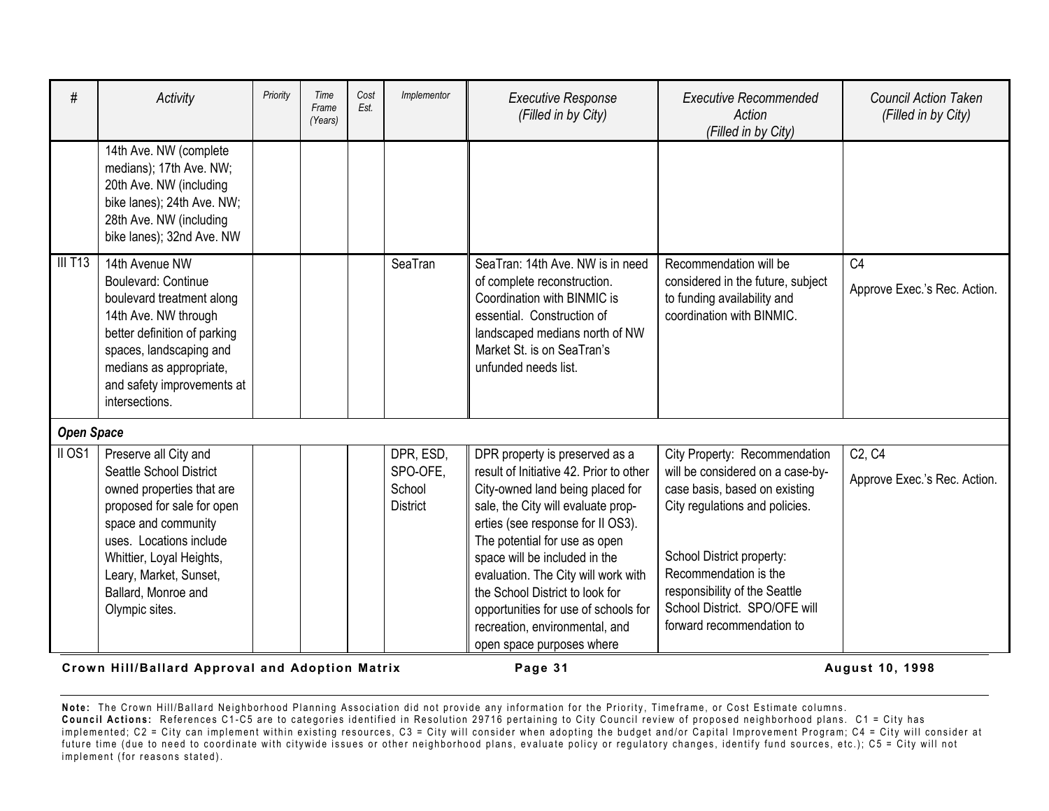| #                 | Activity                                                                                                                                                                                                                                                     | Priority | Time<br>Frame<br>(Years) | Cost<br>Est. | Implementor                                        | <b>Executive Response</b><br>(Filled in by City)                                                                                                                                                                                                                                                                                                                                                                                            | <b>Executive Recommended</b><br>Action<br>(Filled in by City)                                                                                                                                                                                                                             | <b>Council Action Taken</b><br>(Filled in by City)              |
|-------------------|--------------------------------------------------------------------------------------------------------------------------------------------------------------------------------------------------------------------------------------------------------------|----------|--------------------------|--------------|----------------------------------------------------|---------------------------------------------------------------------------------------------------------------------------------------------------------------------------------------------------------------------------------------------------------------------------------------------------------------------------------------------------------------------------------------------------------------------------------------------|-------------------------------------------------------------------------------------------------------------------------------------------------------------------------------------------------------------------------------------------------------------------------------------------|-----------------------------------------------------------------|
|                   | 14th Ave. NW (complete<br>medians); 17th Ave. NW;<br>20th Ave. NW (including<br>bike lanes); 24th Ave. NW;<br>28th Ave. NW (including<br>bike lanes); 32nd Ave. NW                                                                                           |          |                          |              |                                                    |                                                                                                                                                                                                                                                                                                                                                                                                                                             |                                                                                                                                                                                                                                                                                           |                                                                 |
| $III$ T13         | 14th Avenue NW<br>Boulevard: Continue<br>boulevard treatment along<br>14th Ave. NW through<br>better definition of parking<br>spaces, landscaping and<br>medians as appropriate,<br>and safety improvements at<br>intersections.                             |          |                          |              | SeaTran                                            | SeaTran: 14th Ave. NW is in need<br>of complete reconstruction.<br>Coordination with BINMIC is<br>essential. Construction of<br>landscaped medians north of NW<br>Market St. is on SeaTran's<br>unfunded needs list.                                                                                                                                                                                                                        | Recommendation will be<br>considered in the future, subject<br>to funding availability and<br>coordination with BINMIC.                                                                                                                                                                   | C <sub>4</sub><br>Approve Exec.'s Rec. Action.                  |
| <b>Open Space</b> |                                                                                                                                                                                                                                                              |          |                          |              |                                                    |                                                                                                                                                                                                                                                                                                                                                                                                                                             |                                                                                                                                                                                                                                                                                           |                                                                 |
| II OS1            | Preserve all City and<br>Seattle School District<br>owned properties that are<br>proposed for sale for open<br>space and community<br>uses. Locations include<br>Whittier, Loyal Heights,<br>Leary, Market, Sunset,<br>Ballard, Monroe and<br>Olympic sites. |          |                          |              | DPR, ESD,<br>SPO-OFE,<br>School<br><b>District</b> | DPR property is preserved as a<br>result of Initiative 42. Prior to other<br>City-owned land being placed for<br>sale, the City will evaluate prop-<br>erties (see response for II OS3).<br>The potential for use as open<br>space will be included in the<br>evaluation. The City will work with<br>the School District to look for<br>opportunities for use of schools for<br>recreation, environmental, and<br>open space purposes where | City Property: Recommendation<br>will be considered on a case-by-<br>case basis, based on existing<br>City regulations and policies.<br>School District property:<br>Recommendation is the<br>responsibility of the Seattle<br>School District. SPO/OFE will<br>forward recommendation to | C <sub>2</sub> , C <sub>4</sub><br>Approve Exec.'s Rec. Action. |

**Crown Hill/Ballard Approval and Adoption Matrix Page 31 August 10, 1998**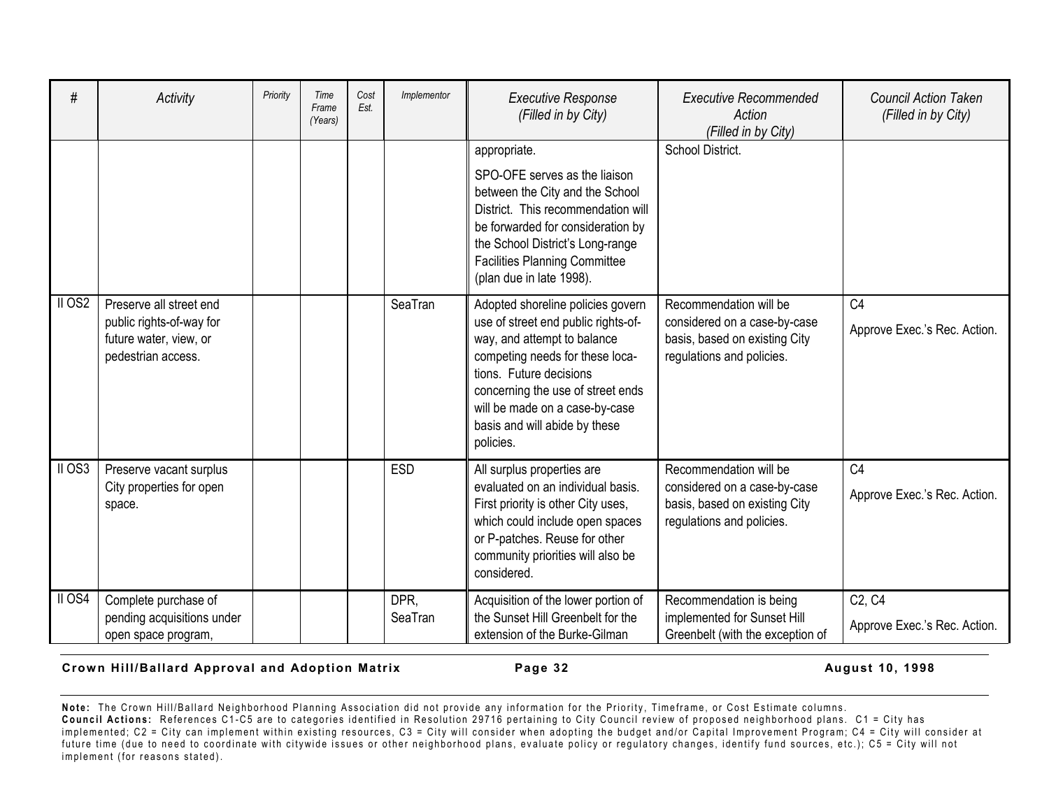| #                  | Activity                                                                                            | Priority | Time<br>Frame<br>(Years) | Cost<br>Est. | Implementor     | <b>Executive Response</b><br>(Filled in by City)                                                                                                                                                                                                                                           | <b>Executive Recommended</b><br>Action<br>(Filled in by City)                                                        | <b>Council Action Taken</b><br>(Filled in by City)              |
|--------------------|-----------------------------------------------------------------------------------------------------|----------|--------------------------|--------------|-----------------|--------------------------------------------------------------------------------------------------------------------------------------------------------------------------------------------------------------------------------------------------------------------------------------------|----------------------------------------------------------------------------------------------------------------------|-----------------------------------------------------------------|
|                    |                                                                                                     |          |                          |              |                 | appropriate.<br>SPO-OFE serves as the liaison<br>between the City and the School<br>District. This recommendation will<br>be forwarded for consideration by<br>the School District's Long-range<br><b>Facilities Planning Committee</b><br>(plan due in late 1998).                        | School District.                                                                                                     |                                                                 |
| II OS <sub>2</sub> | Preserve all street end<br>public rights-of-way for<br>future water, view, or<br>pedestrian access. |          |                          |              | SeaTran         | Adopted shoreline policies govern<br>use of street end public rights-of-<br>way, and attempt to balance<br>competing needs for these loca-<br>tions. Future decisions<br>concerning the use of street ends<br>will be made on a case-by-case<br>basis and will abide by these<br>policies. | Recommendation will be<br>considered on a case-by-case<br>basis, based on existing City<br>regulations and policies. | C <sub>4</sub><br>Approve Exec.'s Rec. Action.                  |
| $\parallel$ OS3    | Preserve vacant surplus<br>City properties for open<br>space.                                       |          |                          |              | <b>ESD</b>      | All surplus properties are<br>evaluated on an individual basis.<br>First priority is other City uses,<br>which could include open spaces<br>or P-patches. Reuse for other<br>community priorities will also be<br>considered.                                                              | Recommendation will be<br>considered on a case-by-case<br>basis, based on existing City<br>regulations and policies. | C <sub>4</sub><br>Approve Exec.'s Rec. Action.                  |
| II OS4             | Complete purchase of<br>pending acquisitions under<br>open space program,                           |          |                          |              | DPR.<br>SeaTran | Acquisition of the lower portion of<br>the Sunset Hill Greenbelt for the<br>extension of the Burke-Gilman                                                                                                                                                                                  | Recommendation is being<br>implemented for Sunset Hill<br>Greenbelt (with the exception of                           | C <sub>2</sub> , C <sub>4</sub><br>Approve Exec.'s Rec. Action. |

**Crown Hill/Ballard Approval and Adoption Matrix Page 32 August 10, 1998**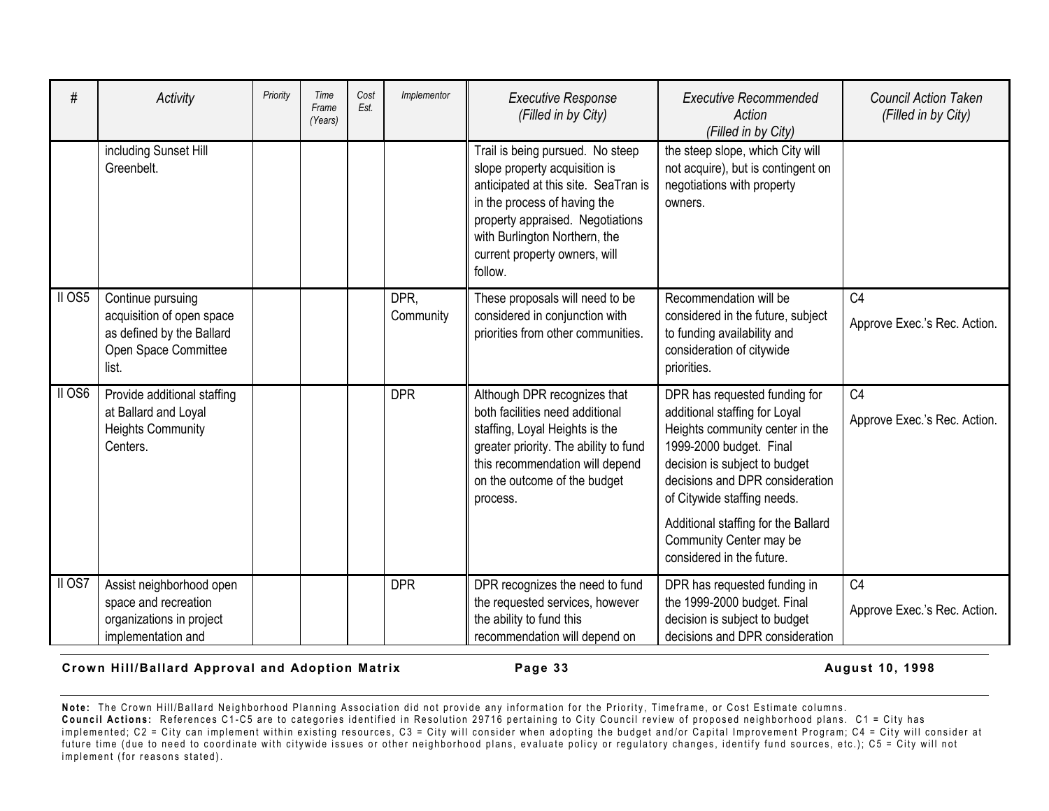| #      | Activity                                                                                                     | Priority | Time<br>Frame<br>(Years) | Cost<br>Est. | Implementor       | <b>Executive Response</b><br>(Filled in by City)                                                                                                                                                                                                           | <b>Executive Recommended</b><br>Action<br>(Filled in by City)                                                                                                                                                                                                                                                                  | <b>Council Action Taken</b><br>(Filled in by City) |
|--------|--------------------------------------------------------------------------------------------------------------|----------|--------------------------|--------------|-------------------|------------------------------------------------------------------------------------------------------------------------------------------------------------------------------------------------------------------------------------------------------------|--------------------------------------------------------------------------------------------------------------------------------------------------------------------------------------------------------------------------------------------------------------------------------------------------------------------------------|----------------------------------------------------|
|        | including Sunset Hill<br>Greenbelt.                                                                          |          |                          |              |                   | Trail is being pursued. No steep<br>slope property acquisition is<br>anticipated at this site. SeaTran is<br>in the process of having the<br>property appraised. Negotiations<br>with Burlington Northern, the<br>current property owners, will<br>follow. | the steep slope, which City will<br>not acquire), but is contingent on<br>negotiations with property<br>owners.                                                                                                                                                                                                                |                                                    |
| II OS5 | Continue pursuing<br>acquisition of open space<br>as defined by the Ballard<br>Open Space Committee<br>list. |          |                          |              | DPR.<br>Community | These proposals will need to be<br>considered in conjunction with<br>priorities from other communities.                                                                                                                                                    | Recommendation will be<br>considered in the future, subject<br>to funding availability and<br>consideration of citywide<br>priorities.                                                                                                                                                                                         | C <sub>4</sub><br>Approve Exec.'s Rec. Action.     |
| II OS6 | Provide additional staffing<br>at Ballard and Loyal<br><b>Heights Community</b><br>Centers.                  |          |                          |              | <b>DPR</b>        | Although DPR recognizes that<br>both facilities need additional<br>staffing, Loyal Heights is the<br>greater priority. The ability to fund<br>this recommendation will depend<br>on the outcome of the budget<br>process.                                  | DPR has requested funding for<br>additional staffing for Loyal<br>Heights community center in the<br>1999-2000 budget. Final<br>decision is subject to budget<br>decisions and DPR consideration<br>of Citywide staffing needs.<br>Additional staffing for the Ballard<br>Community Center may be<br>considered in the future. | C <sub>4</sub><br>Approve Exec.'s Rec. Action.     |
| II OS7 | Assist neighborhood open<br>space and recreation<br>organizations in project<br>implementation and           |          |                          |              | <b>DPR</b>        | DPR recognizes the need to fund<br>the requested services, however<br>the ability to fund this<br>recommendation will depend on                                                                                                                            | DPR has requested funding in<br>the 1999-2000 budget. Final<br>decision is subject to budget<br>decisions and DPR consideration                                                                                                                                                                                                | C <sub>4</sub><br>Approve Exec.'s Rec. Action.     |

**Crown Hill/Ballard Approval and Adoption Matrix Page 33 August 10, 1998**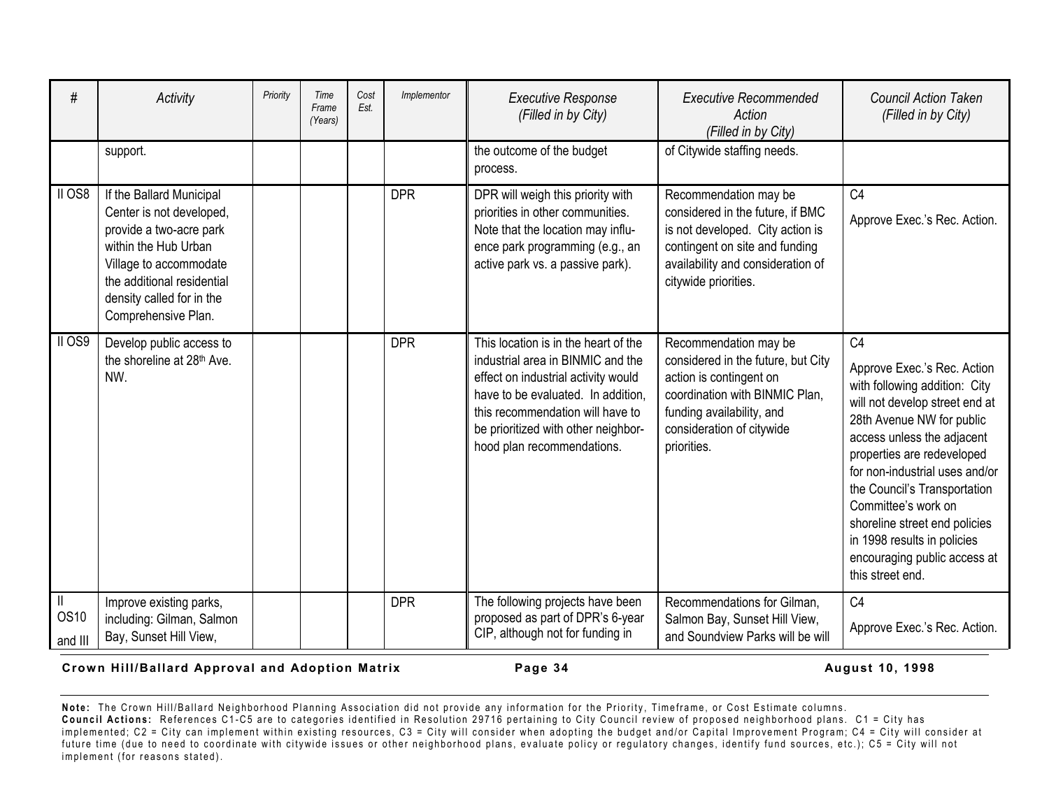| #                           | Activity                                                                                                                                                                                                            | Priority | Time<br>Frame<br>(Years) | Cost<br>Est. | Implementor | <b>Executive Response</b><br>(Filled in by City)                                                                                                                                                                                                                | <b>Executive Recommended</b><br>Action<br>(Filled in by City)                                                                                                                                     | <b>Council Action Taken</b><br>(Filled in by City)                                                                                                                                                                                                                                                                                                                                                                     |
|-----------------------------|---------------------------------------------------------------------------------------------------------------------------------------------------------------------------------------------------------------------|----------|--------------------------|--------------|-------------|-----------------------------------------------------------------------------------------------------------------------------------------------------------------------------------------------------------------------------------------------------------------|---------------------------------------------------------------------------------------------------------------------------------------------------------------------------------------------------|------------------------------------------------------------------------------------------------------------------------------------------------------------------------------------------------------------------------------------------------------------------------------------------------------------------------------------------------------------------------------------------------------------------------|
|                             | support.                                                                                                                                                                                                            |          |                          |              |             | the outcome of the budget<br>process.                                                                                                                                                                                                                           | of Citywide staffing needs.                                                                                                                                                                       |                                                                                                                                                                                                                                                                                                                                                                                                                        |
| II OS8                      | If the Ballard Municipal<br>Center is not developed,<br>provide a two-acre park<br>within the Hub Urban<br>Village to accommodate<br>the additional residential<br>density called for in the<br>Comprehensive Plan. |          |                          |              | <b>DPR</b>  | DPR will weigh this priority with<br>priorities in other communities.<br>Note that the location may influ-<br>ence park programming (e.g., an<br>active park vs. a passive park).                                                                               | Recommendation may be<br>considered in the future, if BMC<br>is not developed. City action is<br>contingent on site and funding<br>availability and consideration of<br>citywide priorities.      | C <sub>4</sub><br>Approve Exec.'s Rec. Action.                                                                                                                                                                                                                                                                                                                                                                         |
| II OS9                      | Develop public access to<br>the shoreline at 28 <sup>th</sup> Ave.<br>NW.                                                                                                                                           |          |                          |              | <b>DPR</b>  | This location is in the heart of the<br>industrial area in BINMIC and the<br>effect on industrial activity would<br>have to be evaluated. In addition,<br>this recommendation will have to<br>be prioritized with other neighbor-<br>hood plan recommendations. | Recommendation may be<br>considered in the future, but City<br>action is contingent on<br>coordination with BINMIC Plan,<br>funding availability, and<br>consideration of citywide<br>priorities. | C <sub>4</sub><br>Approve Exec.'s Rec. Action<br>with following addition: City<br>will not develop street end at<br>28th Avenue NW for public<br>access unless the adjacent<br>properties are redeveloped<br>for non-industrial uses and/or<br>the Council's Transportation<br>Committee's work on<br>shoreline street end policies<br>in 1998 results in policies<br>encouraging public access at<br>this street end. |
| Ш<br><b>OS10</b><br>and III | Improve existing parks,<br>including: Gilman, Salmon<br>Bay, Sunset Hill View,                                                                                                                                      |          |                          |              | <b>DPR</b>  | The following projects have been<br>proposed as part of DPR's 6-year<br>CIP, although not for funding in                                                                                                                                                        | Recommendations for Gilman,<br>Salmon Bay, Sunset Hill View,<br>and Soundview Parks will be will                                                                                                  | C <sub>4</sub><br>Approve Exec.'s Rec. Action.                                                                                                                                                                                                                                                                                                                                                                         |

**Crown Hill/Ballard Approval and Adoption Matrix Page 34 August 10, 1998**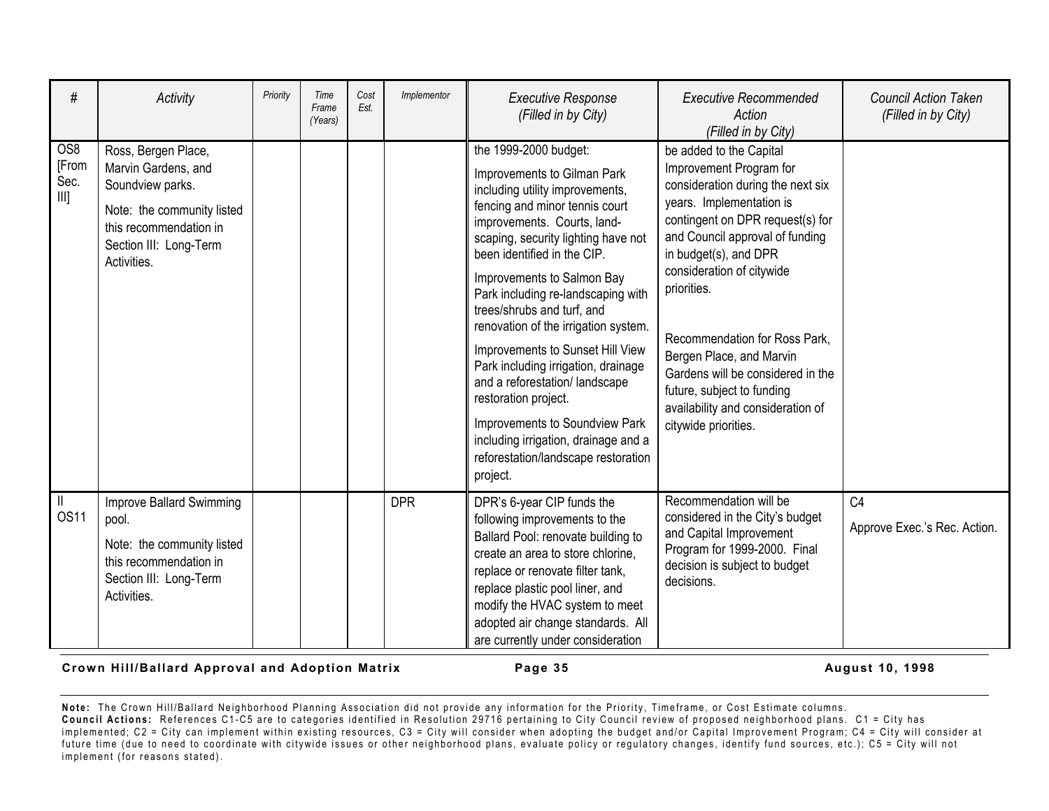| #                                         | Activity                                                                                                                                                        | Priority | Time<br>Frame<br>(Years) | Cost<br>Est. | Implementor | <b>Executive Response</b><br>(Filled in by City)                                                                                                                                                                                                                                                                                                                                                                                                                                                                                                                                                                                           | <b>Executive Recommended</b><br>Action<br>(Filled in by City)                                                                                                                                                                                                                                                                                                                                                                                                | <b>Council Action Taken</b><br>(Filled in by City) |
|-------------------------------------------|-----------------------------------------------------------------------------------------------------------------------------------------------------------------|----------|--------------------------|--------------|-------------|--------------------------------------------------------------------------------------------------------------------------------------------------------------------------------------------------------------------------------------------------------------------------------------------------------------------------------------------------------------------------------------------------------------------------------------------------------------------------------------------------------------------------------------------------------------------------------------------------------------------------------------------|--------------------------------------------------------------------------------------------------------------------------------------------------------------------------------------------------------------------------------------------------------------------------------------------------------------------------------------------------------------------------------------------------------------------------------------------------------------|----------------------------------------------------|
| OS8<br>[From<br>Sec.<br>III]              | Ross, Bergen Place,<br>Marvin Gardens, and<br>Soundview parks.<br>Note: the community listed<br>this recommendation in<br>Section III: Long-Term<br>Activities. |          |                          |              |             | the 1999-2000 budget:<br>Improvements to Gilman Park<br>including utility improvements,<br>fencing and minor tennis court<br>improvements. Courts, land-<br>scaping, security lighting have not<br>been identified in the CIP.<br>Improvements to Salmon Bay<br>Park including re-landscaping with<br>trees/shrubs and turf, and<br>renovation of the irrigation system.<br>Improvements to Sunset Hill View<br>Park including irrigation, drainage<br>and a reforestation/ landscape<br>restoration project.<br>Improvements to Soundview Park<br>including irrigation, drainage and a<br>reforestation/landscape restoration<br>project. | be added to the Capital<br>Improvement Program for<br>consideration during the next six<br>years. Implementation is<br>contingent on DPR request(s) for<br>and Council approval of funding<br>in budget(s), and DPR<br>consideration of citywide<br>priorities.<br>Recommendation for Ross Park,<br>Bergen Place, and Marvin<br>Gardens will be considered in the<br>future, subject to funding<br>availability and consideration of<br>citywide priorities. |                                                    |
| $\ensuremath{\mathsf{II}}$<br><b>OS11</b> | Improve Ballard Swimming<br>pool.<br>Note: the community listed<br>this recommendation in<br>Section III: Long-Term<br>Activities.                              |          |                          |              | <b>DPR</b>  | DPR's 6-year CIP funds the<br>following improvements to the<br>Ballard Pool: renovate building to<br>create an area to store chlorine.<br>replace or renovate filter tank,<br>replace plastic pool liner, and<br>modify the HVAC system to meet<br>adopted air change standards. All<br>are currently under consideration                                                                                                                                                                                                                                                                                                                  | Recommendation will be<br>considered in the City's budget<br>and Capital Improvement<br>Program for 1999-2000. Final<br>decision is subject to budget<br>decisions.                                                                                                                                                                                                                                                                                          | C <sub>4</sub><br>Approve Exec.'s Rec. Action.     |

**Crown Hill/Ballard Approval and Adoption Matrix Page 35 August 10, 1998**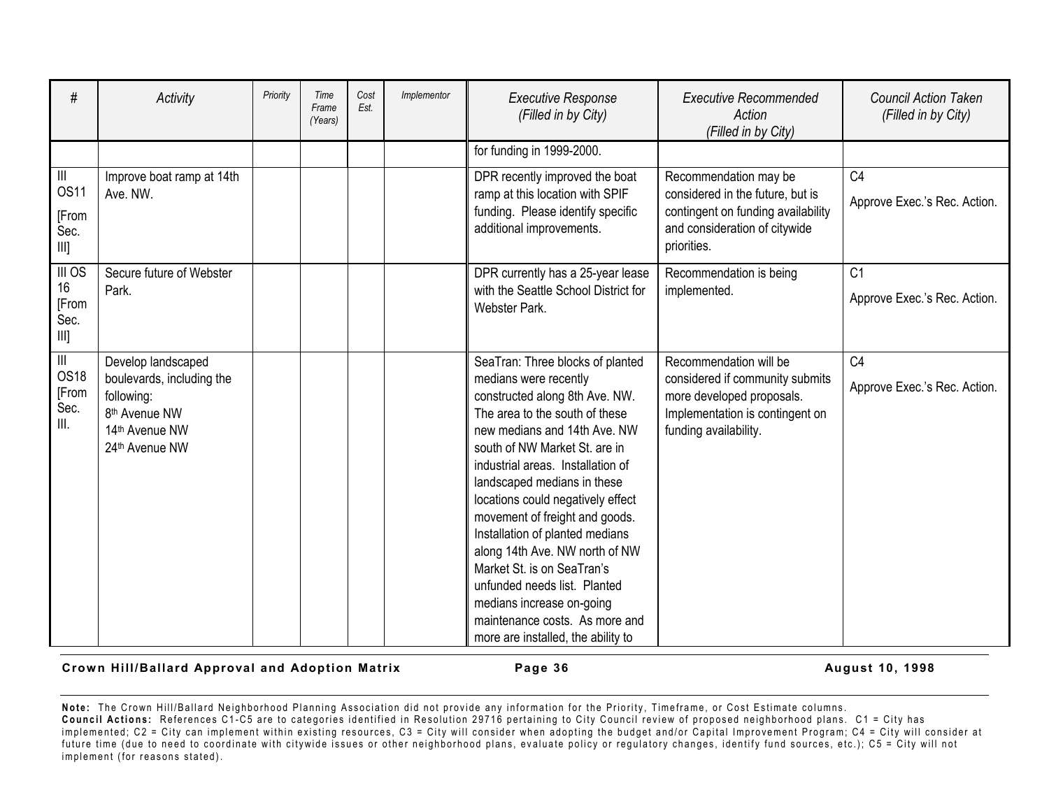| #                                                                                           | Activity                                                                                                                       | Priority | Time<br>Frame<br>(Years) | Cost<br>Est. | Implementor | <b>Executive Response</b><br>(Filled in by City)                                                                                                                                                                                                                                                                                                                                                                                                                                                                                                                                  | <b>Executive Recommended</b><br>Action<br>(Filled in by City)                                                                                      | <b>Council Action Taken</b><br>(Filled in by City) |
|---------------------------------------------------------------------------------------------|--------------------------------------------------------------------------------------------------------------------------------|----------|--------------------------|--------------|-------------|-----------------------------------------------------------------------------------------------------------------------------------------------------------------------------------------------------------------------------------------------------------------------------------------------------------------------------------------------------------------------------------------------------------------------------------------------------------------------------------------------------------------------------------------------------------------------------------|----------------------------------------------------------------------------------------------------------------------------------------------------|----------------------------------------------------|
|                                                                                             |                                                                                                                                |          |                          |              |             | for funding in 1999-2000.                                                                                                                                                                                                                                                                                                                                                                                                                                                                                                                                                         |                                                                                                                                                    |                                                    |
| $\frac{1}{2}$<br><b>OS11</b><br>[From<br>Sec.<br>$\begin{tabular}{c} \bf III \end{tabular}$ | Improve boat ramp at 14th<br>Ave. NW.                                                                                          |          |                          |              |             | DPR recently improved the boat<br>ramp at this location with SPIF<br>funding. Please identify specific<br>additional improvements.                                                                                                                                                                                                                                                                                                                                                                                                                                                | Recommendation may be<br>considered in the future, but is<br>contingent on funding availability<br>and consideration of citywide<br>priorities.    | C <sub>4</sub><br>Approve Exec.'s Rec. Action.     |
| III OS<br>16<br>[From<br>Sec.<br>III]                                                       | Secure future of Webster<br>Park.                                                                                              |          |                          |              |             | DPR currently has a 25-year lease<br>with the Seattle School District for<br>Webster Park.                                                                                                                                                                                                                                                                                                                                                                                                                                                                                        | Recommendation is being<br>implemented.                                                                                                            | C <sub>1</sub><br>Approve Exec.'s Rec. Action.     |
| $\  \ $<br>OS <sub>18</sub><br>[From<br>Sec.<br>III.                                        | Develop landscaped<br>boulevards, including the<br>following:<br>8 <sup>th</sup> Avenue NW<br>14th Avenue NW<br>24th Avenue NW |          |                          |              |             | SeaTran: Three blocks of planted<br>medians were recently<br>constructed along 8th Ave. NW.<br>The area to the south of these<br>new medians and 14th Ave. NW<br>south of NW Market St. are in<br>industrial areas. Installation of<br>landscaped medians in these<br>locations could negatively effect<br>movement of freight and goods.<br>Installation of planted medians<br>along 14th Ave. NW north of NW<br>Market St. is on SeaTran's<br>unfunded needs list. Planted<br>medians increase on-going<br>maintenance costs. As more and<br>more are installed, the ability to | Recommendation will be<br>considered if community submits<br>more developed proposals.<br>Implementation is contingent on<br>funding availability. | C <sub>4</sub><br>Approve Exec.'s Rec. Action.     |

**Crown Hill/Ballard Approval and Adoption Matrix Page 36 August 10, 1998**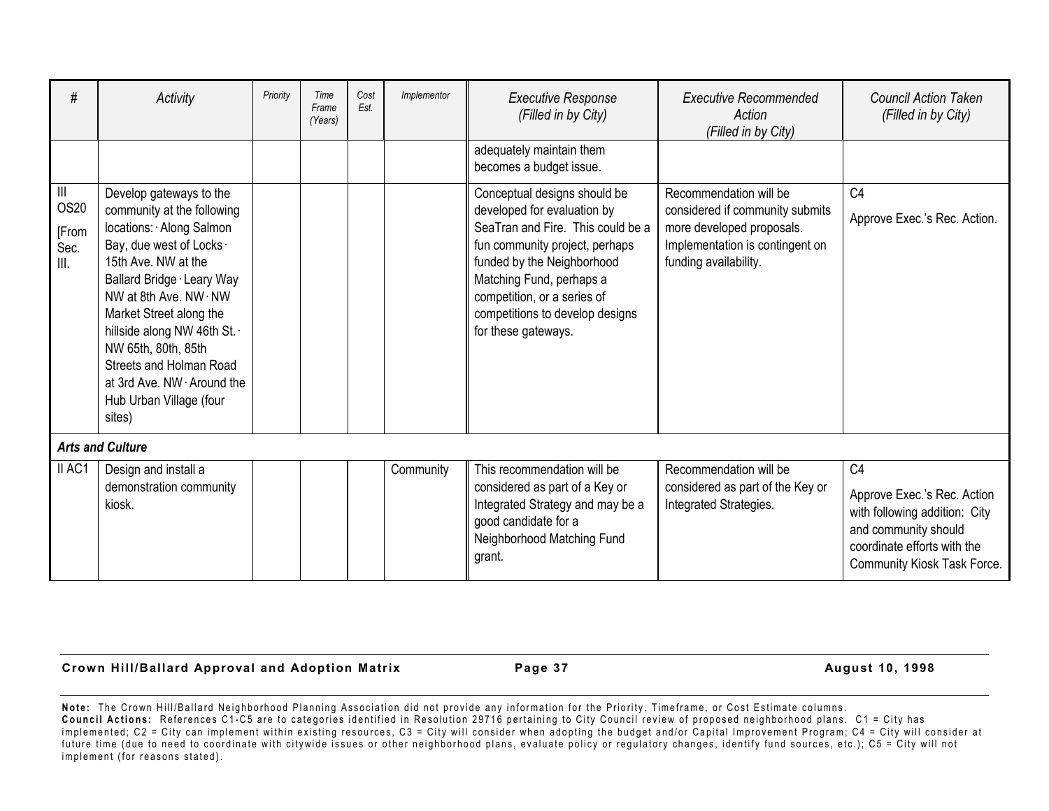| #                                        | Activity                                                                                                                                                                                                                                                                                                                                                                          | Priority | Time<br>Frame<br>(Years) | Cost<br>Est. | Implementor | <b>Executive Response</b><br>(Filled in by City)                                                                                                                                                                                                                                      | <b>Executive Recommended</b><br>Action<br>(Filled in by City)                                                                                      | <b>Council Action Taken</b><br>(Filled in by City)                                                                                                                   |
|------------------------------------------|-----------------------------------------------------------------------------------------------------------------------------------------------------------------------------------------------------------------------------------------------------------------------------------------------------------------------------------------------------------------------------------|----------|--------------------------|--------------|-------------|---------------------------------------------------------------------------------------------------------------------------------------------------------------------------------------------------------------------------------------------------------------------------------------|----------------------------------------------------------------------------------------------------------------------------------------------------|----------------------------------------------------------------------------------------------------------------------------------------------------------------------|
|                                          |                                                                                                                                                                                                                                                                                                                                                                                   |          |                          |              |             | adequately maintain them<br>becomes a budget issue.                                                                                                                                                                                                                                   |                                                                                                                                                    |                                                                                                                                                                      |
| $\  \ $<br>OS20<br>[From<br>Sec.<br>III. | Develop gateways to the<br>community at the following<br>locations: Along Salmon<br>Bay, due west of Locks ·<br>15th Ave. NW at the<br>Ballard Bridge · Leary Way<br>NW at 8th Ave. NW · NW<br>Market Street along the<br>hillside along NW 46th St. .<br>NW 65th, 80th, 85th<br><b>Streets and Holman Road</b><br>at 3rd Ave. NW Around the<br>Hub Urban Village (four<br>sites) |          |                          |              |             | Conceptual designs should be<br>developed for evaluation by<br>SeaTran and Fire. This could be a<br>fun community project, perhaps<br>funded by the Neighborhood<br>Matching Fund, perhaps a<br>competition, or a series of<br>competitions to develop designs<br>for these gateways. | Recommendation will be<br>considered if community submits<br>more developed proposals.<br>Implementation is contingent on<br>funding availability. | C <sub>4</sub><br>Approve Exec.'s Rec. Action.                                                                                                                       |
|                                          | <b>Arts and Culture</b>                                                                                                                                                                                                                                                                                                                                                           |          |                          |              |             |                                                                                                                                                                                                                                                                                       |                                                                                                                                                    |                                                                                                                                                                      |
| II AC1                                   | Design and install a<br>demonstration community<br>kiosk.                                                                                                                                                                                                                                                                                                                         |          |                          |              | Community   | This recommendation will be<br>considered as part of a Key or<br>Integrated Strategy and may be a<br>good candidate for a<br>Neighborhood Matching Fund<br>grant.                                                                                                                     | Recommendation will be<br>considered as part of the Key or<br>Integrated Strategies.                                                               | C <sub>4</sub><br>Approve Exec.'s Rec. Action<br>with following addition: City<br>and community should<br>coordinate efforts with the<br>Community Kiosk Task Force. |

**Crown Hill/Ballard Approval and Adoption Matrix Page 37 August 10, 1998**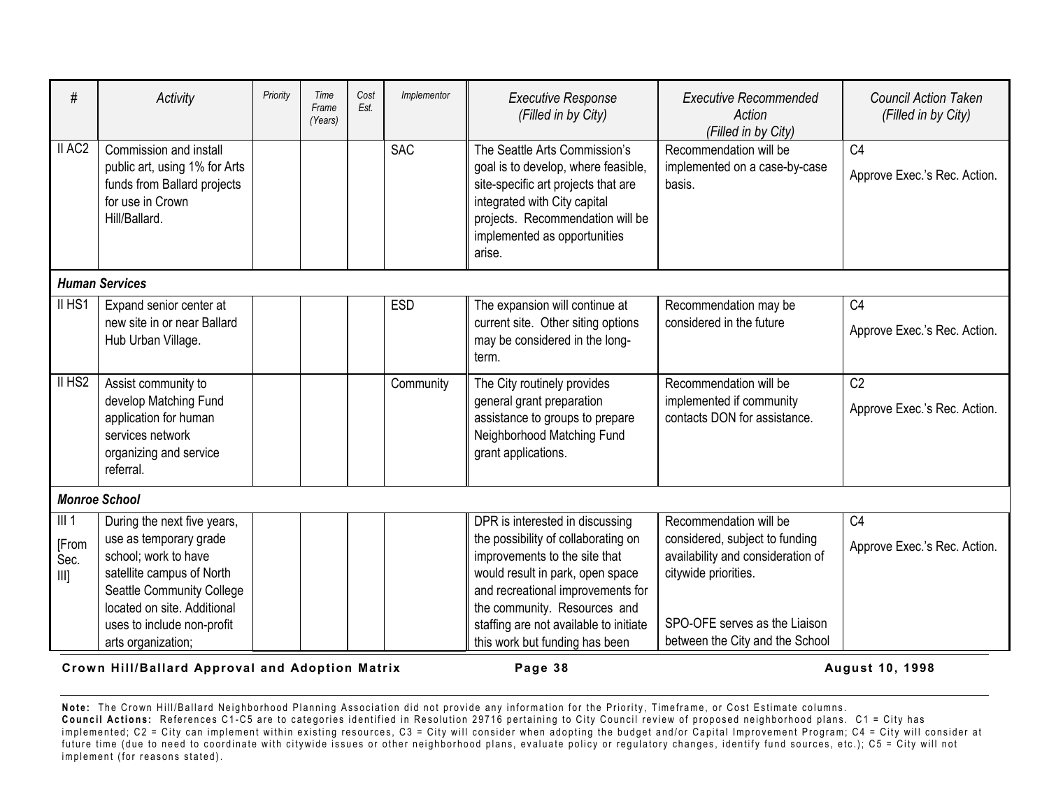| #                                         | Activity                                                                                                                                                                                             | Priority | Time<br>Frame<br>(Years) | Cost<br>Est. | Implementor | <b>Executive Response</b><br>(Filled in by City)                                                                                                                                                                                                           | <b>Executive Recommended</b><br>Action<br>(Filled in by City)                                                                                          | <b>Council Action Taken</b><br>(Filled in by City) |
|-------------------------------------------|------------------------------------------------------------------------------------------------------------------------------------------------------------------------------------------------------|----------|--------------------------|--------------|-------------|------------------------------------------------------------------------------------------------------------------------------------------------------------------------------------------------------------------------------------------------------------|--------------------------------------------------------------------------------------------------------------------------------------------------------|----------------------------------------------------|
| II AC2                                    | Commission and install<br>public art, using 1% for Arts<br>funds from Ballard projects<br>for use in Crown<br>Hill/Ballard.                                                                          |          |                          |              | <b>SAC</b>  | The Seattle Arts Commission's<br>goal is to develop, where feasible,<br>site-specific art projects that are<br>integrated with City capital<br>projects. Recommendation will be<br>implemented as opportunities<br>arise.                                  | Recommendation will be<br>implemented on a case-by-case<br>basis.                                                                                      | C <sub>4</sub><br>Approve Exec.'s Rec. Action.     |
|                                           | <b>Human Services</b>                                                                                                                                                                                |          |                          |              |             |                                                                                                                                                                                                                                                            |                                                                                                                                                        |                                                    |
| II HS1                                    | Expand senior center at<br>new site in or near Ballard<br>Hub Urban Village.                                                                                                                         |          |                          |              | ESD         | The expansion will continue at<br>current site. Other siting options<br>may be considered in the long-<br>term.                                                                                                                                            | Recommendation may be<br>considered in the future                                                                                                      | C <sub>4</sub><br>Approve Exec.'s Rec. Action.     |
| II HS <sub>2</sub>                        | Assist community to<br>develop Matching Fund<br>application for human<br>services network<br>organizing and service<br>referral.                                                                     |          |                          |              | Community   | The City routinely provides<br>general grant preparation<br>assistance to groups to prepare<br>Neighborhood Matching Fund<br>grant applications.                                                                                                           | Recommendation will be<br>implemented if community<br>contacts DON for assistance.                                                                     | C <sub>2</sub><br>Approve Exec.'s Rec. Action.     |
| <b>Monroe School</b>                      |                                                                                                                                                                                                      |          |                          |              |             |                                                                                                                                                                                                                                                            |                                                                                                                                                        |                                                    |
| III <sub>1</sub><br>[From<br>Sec.<br>III] | During the next five years,<br>use as temporary grade<br>school; work to have<br>satellite campus of North<br>Seattle Community College<br>located on site. Additional<br>uses to include non-profit |          |                          |              |             | DPR is interested in discussing<br>the possibility of collaborating on<br>improvements to the site that<br>would result in park, open space<br>and recreational improvements for<br>the community. Resources and<br>staffing are not available to initiate | Recommendation will be<br>considered, subject to funding<br>availability and consideration of<br>citywide priorities.<br>SPO-OFE serves as the Liaison | C <sub>4</sub><br>Approve Exec.'s Rec. Action.     |
|                                           | arts organization;                                                                                                                                                                                   |          |                          |              |             | this work but funding has been                                                                                                                                                                                                                             | between the City and the School                                                                                                                        |                                                    |

**Crown Hill/Ballard Approval and Adoption Matrix Page 38 August 10, 1998**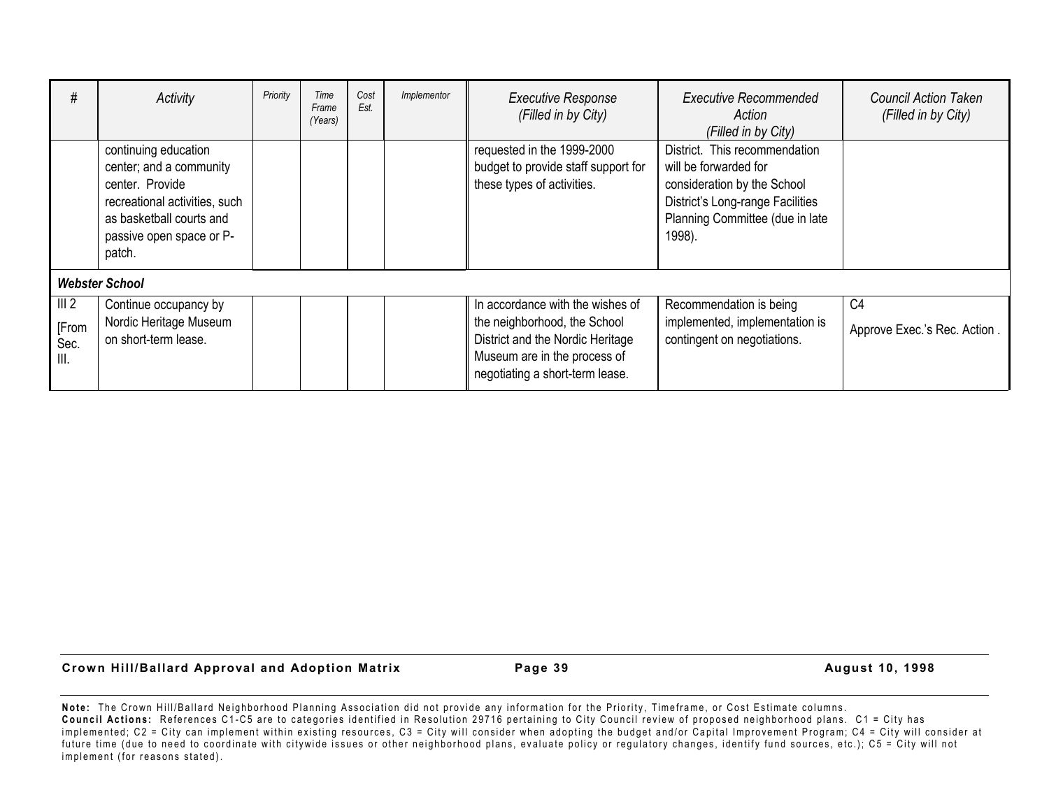| #                                         | Activity                                                                                                                                                              | Priority | Time<br>Frame<br>(Years) | Cost<br>Est. | Implementor | <b>Executive Response</b><br>(Filled in by City)                                                                                                                        | <b>Executive Recommended</b><br>Action<br>(Filled in by City)                                                                                                          | <b>Council Action Taken</b><br>(Filled in by City) |
|-------------------------------------------|-----------------------------------------------------------------------------------------------------------------------------------------------------------------------|----------|--------------------------|--------------|-------------|-------------------------------------------------------------------------------------------------------------------------------------------------------------------------|------------------------------------------------------------------------------------------------------------------------------------------------------------------------|----------------------------------------------------|
|                                           | continuing education<br>center; and a community<br>center. Provide<br>recreational activities, such<br>as basketball courts and<br>passive open space or P-<br>patch. |          |                          |              |             | requested in the 1999-2000<br>budget to provide staff support for<br>these types of activities.                                                                         | District. This recommendation<br>will be forwarded for<br>consideration by the School<br>District's Long-range Facilities<br>Planning Committee (due in late<br>1998). |                                                    |
|                                           | <b>Webster School</b>                                                                                                                                                 |          |                          |              |             |                                                                                                                                                                         |                                                                                                                                                                        |                                                    |
| III <sub>2</sub><br>[From<br>Sec.<br>III. | Continue occupancy by<br>Nordic Heritage Museum<br>on short-term lease.                                                                                               |          |                          |              |             | In accordance with the wishes of<br>the neighborhood, the School<br>District and the Nordic Heritage<br>Museum are in the process of<br>negotiating a short-term lease. | Recommendation is being<br>implemented, implementation is<br>contingent on negotiations.                                                                               | C <sub>4</sub><br>Approve Exec.'s Rec. Action.     |

**Crown Hill/Ballard Approval and Adoption Matrix Page 39 August 10, 1998**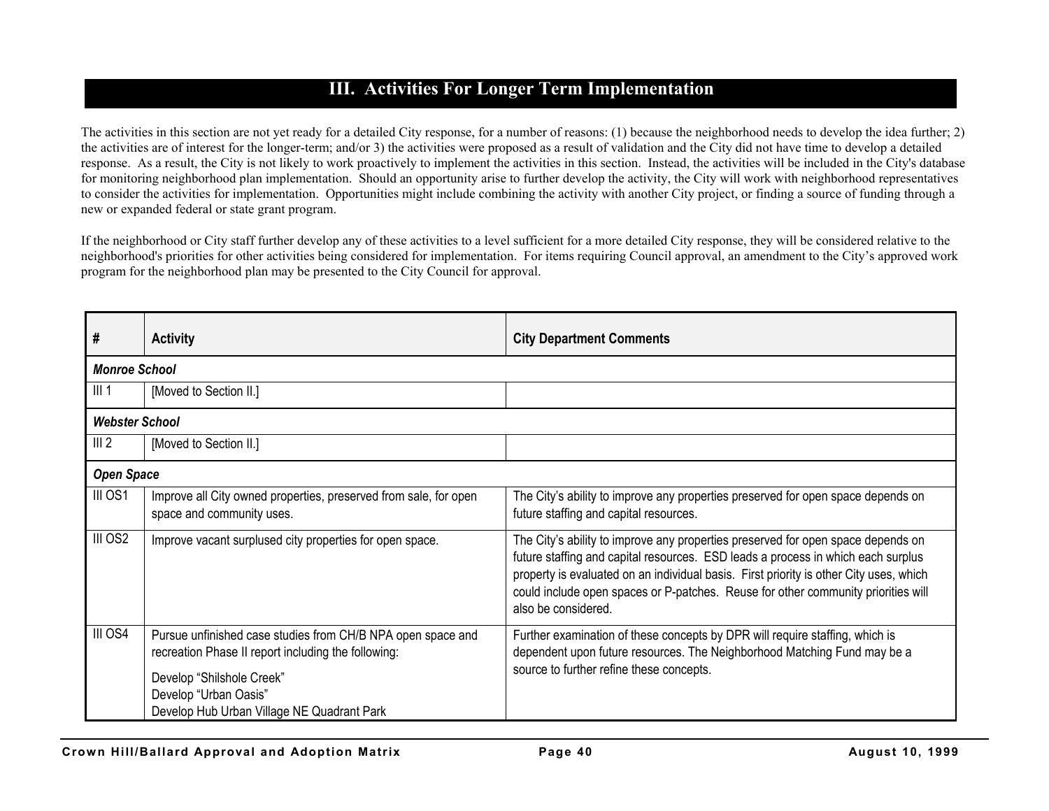## **III. Activities For Longer Term Implementation**

The activities in this section are not yet ready for a detailed City response, for a number of reasons: (1) because the neighborhood needs to develop the idea further; 2) the activities are of interest for the longer-term; and/or 3) the activities were proposed as a result of validation and the City did not have time to develop a detailed response. As a result, the City is not likely to work proactively to implement the activities in this section. Instead, the activities will be included in the City's database for monitoring neighborhood plan implementation. Should an opportunity arise to further develop the activity, the City will work with neighborhood representatives to consider the activities for implementation. Opportunities might include combining the activity with another City project, or finding a source of funding through a new or expanded federal or state grant program.

If the neighborhood or City staff further develop any of these activities to a level sufficient for a more detailed City response, they will be considered relative to the neighborhood's priorities for other activities being considered for implementation. For items requiring Council approval, an amendment to the City's approved work program for the neighborhood plan may be presented to the City Council for approval.

| #                     | <b>Activity</b>                                                                                                                                                                                                        | <b>City Department Comments</b>                                                                                                                                                                                                                                                                                                                                            |
|-----------------------|------------------------------------------------------------------------------------------------------------------------------------------------------------------------------------------------------------------------|----------------------------------------------------------------------------------------------------------------------------------------------------------------------------------------------------------------------------------------------------------------------------------------------------------------------------------------------------------------------------|
| <b>Monroe School</b>  |                                                                                                                                                                                                                        |                                                                                                                                                                                                                                                                                                                                                                            |
| III <sub>1</sub>      | [Moved to Section II.]                                                                                                                                                                                                 |                                                                                                                                                                                                                                                                                                                                                                            |
| <b>Webster School</b> |                                                                                                                                                                                                                        |                                                                                                                                                                                                                                                                                                                                                                            |
| III <sub>2</sub>      | [Moved to Section II.]                                                                                                                                                                                                 |                                                                                                                                                                                                                                                                                                                                                                            |
| <b>Open Space</b>     |                                                                                                                                                                                                                        |                                                                                                                                                                                                                                                                                                                                                                            |
| III OS1               | Improve all City owned properties, preserved from sale, for open<br>space and community uses.                                                                                                                          | The City's ability to improve any properties preserved for open space depends on<br>future staffing and capital resources.                                                                                                                                                                                                                                                 |
| III OS <sub>2</sub>   | Improve vacant surplused city properties for open space.                                                                                                                                                               | The City's ability to improve any properties preserved for open space depends on<br>future staffing and capital resources. ESD leads a process in which each surplus<br>property is evaluated on an individual basis. First priority is other City uses, which<br>could include open spaces or P-patches. Reuse for other community priorities will<br>also be considered. |
| III OS4               | Pursue unfinished case studies from CH/B NPA open space and<br>recreation Phase II report including the following:<br>Develop "Shilshole Creek"<br>Develop "Urban Oasis"<br>Develop Hub Urban Village NE Quadrant Park | Further examination of these concepts by DPR will require staffing, which is<br>dependent upon future resources. The Neighborhood Matching Fund may be a<br>source to further refine these concepts.                                                                                                                                                                       |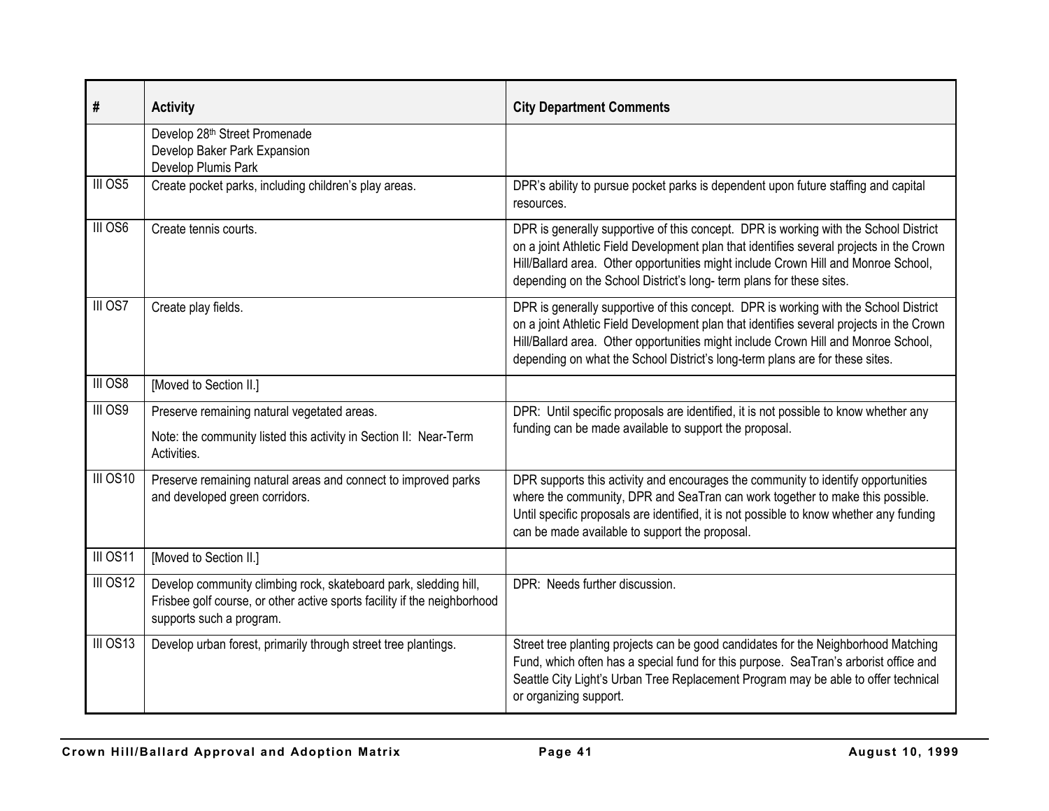| #        | <b>Activity</b>                                                                                                                                                          | <b>City Department Comments</b>                                                                                                                                                                                                                                                                                                                        |
|----------|--------------------------------------------------------------------------------------------------------------------------------------------------------------------------|--------------------------------------------------------------------------------------------------------------------------------------------------------------------------------------------------------------------------------------------------------------------------------------------------------------------------------------------------------|
|          | Develop 28th Street Promenade<br>Develop Baker Park Expansion<br>Develop Plumis Park                                                                                     |                                                                                                                                                                                                                                                                                                                                                        |
| III OS5  | Create pocket parks, including children's play areas.                                                                                                                    | DPR's ability to pursue pocket parks is dependent upon future staffing and capital<br>resources.                                                                                                                                                                                                                                                       |
| III OS6  | Create tennis courts.                                                                                                                                                    | DPR is generally supportive of this concept. DPR is working with the School District<br>on a joint Athletic Field Development plan that identifies several projects in the Crown<br>Hill/Ballard area. Other opportunities might include Crown Hill and Monroe School,<br>depending on the School District's long-term plans for these sites.          |
| III OS7  | Create play fields.                                                                                                                                                      | DPR is generally supportive of this concept. DPR is working with the School District<br>on a joint Athletic Field Development plan that identifies several projects in the Crown<br>Hill/Ballard area. Other opportunities might include Crown Hill and Monroe School,<br>depending on what the School District's long-term plans are for these sites. |
| III OS8  | [Moved to Section II.]                                                                                                                                                   |                                                                                                                                                                                                                                                                                                                                                        |
| III OS9  | Preserve remaining natural vegetated areas.<br>Note: the community listed this activity in Section II: Near-Term<br>Activities.                                          | DPR: Until specific proposals are identified, it is not possible to know whether any<br>funding can be made available to support the proposal.                                                                                                                                                                                                         |
| III OS10 | Preserve remaining natural areas and connect to improved parks<br>and developed green corridors.                                                                         | DPR supports this activity and encourages the community to identify opportunities<br>where the community, DPR and SeaTran can work together to make this possible.<br>Until specific proposals are identified, it is not possible to know whether any funding<br>can be made available to support the proposal.                                        |
| III OS11 | [Moved to Section II.]                                                                                                                                                   |                                                                                                                                                                                                                                                                                                                                                        |
| III OS12 | Develop community climbing rock, skateboard park, sledding hill,<br>Frisbee golf course, or other active sports facility if the neighborhood<br>supports such a program. | DPR: Needs further discussion.                                                                                                                                                                                                                                                                                                                         |
| III OS13 | Develop urban forest, primarily through street tree plantings.                                                                                                           | Street tree planting projects can be good candidates for the Neighborhood Matching<br>Fund, which often has a special fund for this purpose. SeaTran's arborist office and<br>Seattle City Light's Urban Tree Replacement Program may be able to offer technical<br>or organizing support.                                                             |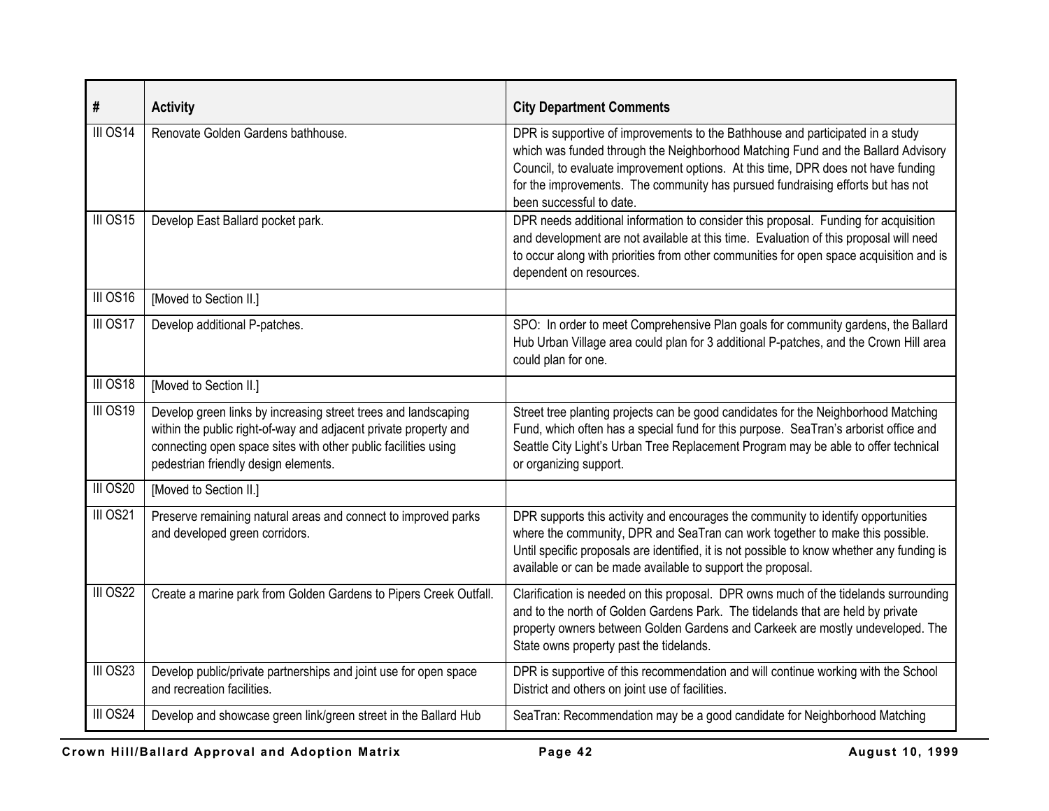| #        | <b>Activity</b>                                                                                                                                                                                                                              | <b>City Department Comments</b>                                                                                                                                                                                                                                                                                                                                        |
|----------|----------------------------------------------------------------------------------------------------------------------------------------------------------------------------------------------------------------------------------------------|------------------------------------------------------------------------------------------------------------------------------------------------------------------------------------------------------------------------------------------------------------------------------------------------------------------------------------------------------------------------|
| III OS14 | Renovate Golden Gardens bathhouse.                                                                                                                                                                                                           | DPR is supportive of improvements to the Bathhouse and participated in a study<br>which was funded through the Neighborhood Matching Fund and the Ballard Advisory<br>Council, to evaluate improvement options. At this time, DPR does not have funding<br>for the improvements. The community has pursued fundraising efforts but has not<br>been successful to date. |
| III OS15 | Develop East Ballard pocket park.                                                                                                                                                                                                            | DPR needs additional information to consider this proposal. Funding for acquisition<br>and development are not available at this time. Evaluation of this proposal will need<br>to occur along with priorities from other communities for open space acquisition and is<br>dependent on resources.                                                                     |
| III OS16 | [Moved to Section II.]                                                                                                                                                                                                                       |                                                                                                                                                                                                                                                                                                                                                                        |
| III OS17 | Develop additional P-patches.                                                                                                                                                                                                                | SPO: In order to meet Comprehensive Plan goals for community gardens, the Ballard<br>Hub Urban Village area could plan for 3 additional P-patches, and the Crown Hill area<br>could plan for one.                                                                                                                                                                      |
| III OS18 | [Moved to Section II.]                                                                                                                                                                                                                       |                                                                                                                                                                                                                                                                                                                                                                        |
| III OS19 | Develop green links by increasing street trees and landscaping<br>within the public right-of-way and adjacent private property and<br>connecting open space sites with other public facilities using<br>pedestrian friendly design elements. | Street tree planting projects can be good candidates for the Neighborhood Matching<br>Fund, which often has a special fund for this purpose. SeaTran's arborist office and<br>Seattle City Light's Urban Tree Replacement Program may be able to offer technical<br>or organizing support.                                                                             |
| III OS20 | [Moved to Section II.]                                                                                                                                                                                                                       |                                                                                                                                                                                                                                                                                                                                                                        |
| III OS21 | Preserve remaining natural areas and connect to improved parks<br>and developed green corridors.                                                                                                                                             | DPR supports this activity and encourages the community to identify opportunities<br>where the community, DPR and SeaTran can work together to make this possible.<br>Until specific proposals are identified, it is not possible to know whether any funding is<br>available or can be made available to support the proposal.                                        |
| III OS22 | Create a marine park from Golden Gardens to Pipers Creek Outfall.                                                                                                                                                                            | Clarification is needed on this proposal. DPR owns much of the tidelands surrounding<br>and to the north of Golden Gardens Park. The tidelands that are held by private<br>property owners between Golden Gardens and Carkeek are mostly undeveloped. The<br>State owns property past the tidelands.                                                                   |
| III OS23 | Develop public/private partnerships and joint use for open space<br>and recreation facilities.                                                                                                                                               | DPR is supportive of this recommendation and will continue working with the School<br>District and others on joint use of facilities.                                                                                                                                                                                                                                  |
| III OS24 | Develop and showcase green link/green street in the Ballard Hub                                                                                                                                                                              | SeaTran: Recommendation may be a good candidate for Neighborhood Matching                                                                                                                                                                                                                                                                                              |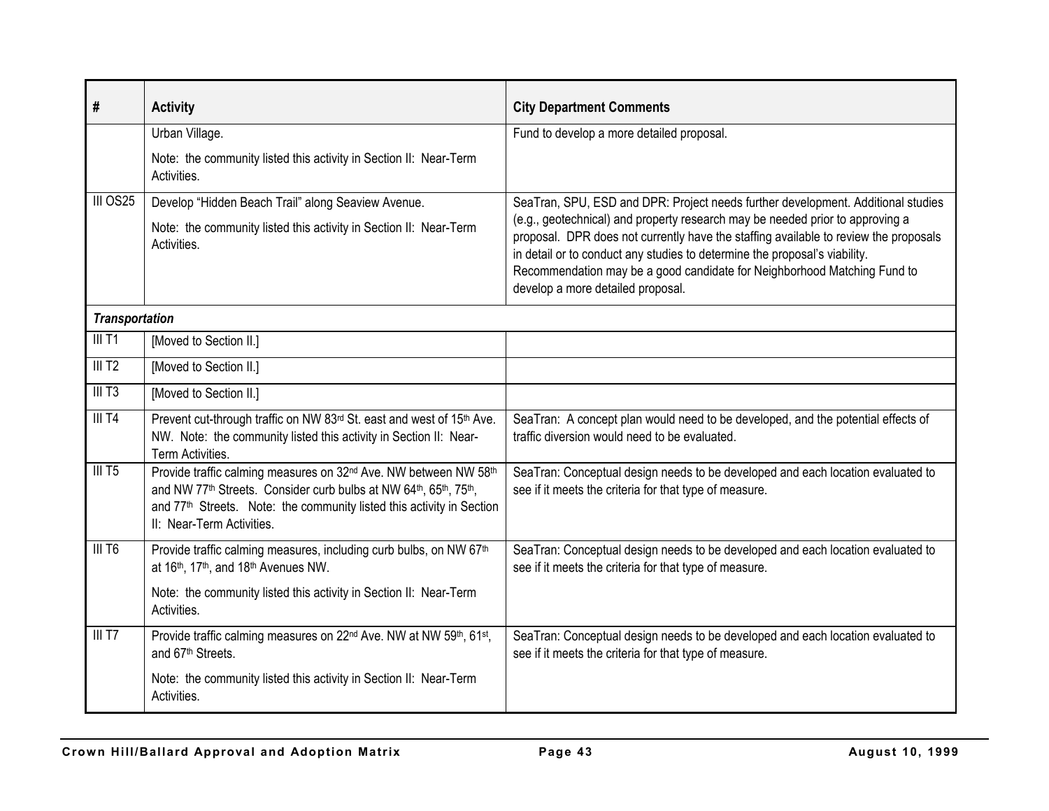| #                     | <b>Activity</b>                                                                                                                                                                                                                                                                                                                   | <b>City Department Comments</b>                                                                                                                                                                                                                                                                                                                                      |
|-----------------------|-----------------------------------------------------------------------------------------------------------------------------------------------------------------------------------------------------------------------------------------------------------------------------------------------------------------------------------|----------------------------------------------------------------------------------------------------------------------------------------------------------------------------------------------------------------------------------------------------------------------------------------------------------------------------------------------------------------------|
|                       | Urban Village.                                                                                                                                                                                                                                                                                                                    | Fund to develop a more detailed proposal.                                                                                                                                                                                                                                                                                                                            |
|                       | Note: the community listed this activity in Section II: Near-Term<br>Activities.                                                                                                                                                                                                                                                  |                                                                                                                                                                                                                                                                                                                                                                      |
| III OS25              | Develop "Hidden Beach Trail" along Seaview Avenue.                                                                                                                                                                                                                                                                                | SeaTran, SPU, ESD and DPR: Project needs further development. Additional studies                                                                                                                                                                                                                                                                                     |
|                       | Note: the community listed this activity in Section II: Near-Term<br>Activities.                                                                                                                                                                                                                                                  | (e.g., geotechnical) and property research may be needed prior to approving a<br>proposal. DPR does not currently have the staffing available to review the proposals<br>in detail or to conduct any studies to determine the proposal's viability.<br>Recommendation may be a good candidate for Neighborhood Matching Fund to<br>develop a more detailed proposal. |
| <b>Transportation</b> |                                                                                                                                                                                                                                                                                                                                   |                                                                                                                                                                                                                                                                                                                                                                      |
| $III$ T1              | [Moved to Section II.]                                                                                                                                                                                                                                                                                                            |                                                                                                                                                                                                                                                                                                                                                                      |
| $III$ T <sub>2</sub>  | [Moved to Section II.]                                                                                                                                                                                                                                                                                                            |                                                                                                                                                                                                                                                                                                                                                                      |
| $III$ T3              | [Moved to Section II.]                                                                                                                                                                                                                                                                                                            |                                                                                                                                                                                                                                                                                                                                                                      |
| $III$ T4              | Prevent cut-through traffic on NW 83rd St. east and west of 15th Ave.<br>NW. Note: the community listed this activity in Section II: Near-<br>Term Activities.                                                                                                                                                                    | SeaTran: A concept plan would need to be developed, and the potential effects of<br>traffic diversion would need to be evaluated.                                                                                                                                                                                                                                    |
| $III$ T <sub>5</sub>  | Provide traffic calming measures on 32 <sup>nd</sup> Ave. NW between NW 58 <sup>th</sup><br>and NW 77 <sup>th</sup> Streets. Consider curb bulbs at NW 64 <sup>th</sup> , 65 <sup>th</sup> , 75 <sup>th</sup> ,<br>and 77 <sup>th</sup> Streets. Note: the community listed this activity in Section<br>II: Near-Term Activities. | SeaTran: Conceptual design needs to be developed and each location evaluated to<br>see if it meets the criteria for that type of measure.                                                                                                                                                                                                                            |
| III T6                | Provide traffic calming measures, including curb bulbs, on NW 67th<br>at 16th, 17th, and 18th Avenues NW.                                                                                                                                                                                                                         | SeaTran: Conceptual design needs to be developed and each location evaluated to<br>see if it meets the criteria for that type of measure.                                                                                                                                                                                                                            |
|                       | Note: the community listed this activity in Section II: Near-Term<br>Activities.                                                                                                                                                                                                                                                  |                                                                                                                                                                                                                                                                                                                                                                      |
| III T7                | Provide traffic calming measures on 22 <sup>nd</sup> Ave. NW at NW 59 <sup>th</sup> , 61 <sup>st</sup> ,<br>and 67th Streets.                                                                                                                                                                                                     | SeaTran: Conceptual design needs to be developed and each location evaluated to<br>see if it meets the criteria for that type of measure.                                                                                                                                                                                                                            |
|                       | Note: the community listed this activity in Section II: Near-Term<br>Activities.                                                                                                                                                                                                                                                  |                                                                                                                                                                                                                                                                                                                                                                      |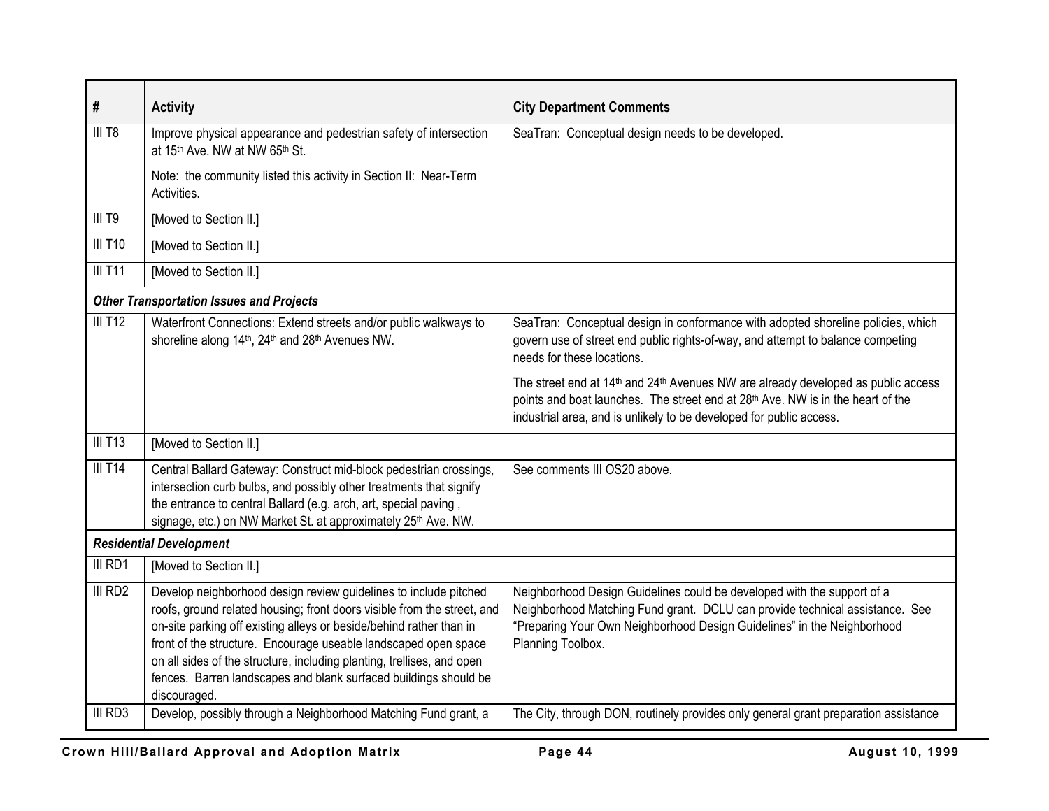| #                     | <b>Activity</b>                                                                                                                                                                                                                                                                                                                                                                                                                                     | <b>City Department Comments</b>                                                                                                                                                                                                                                                 |
|-----------------------|-----------------------------------------------------------------------------------------------------------------------------------------------------------------------------------------------------------------------------------------------------------------------------------------------------------------------------------------------------------------------------------------------------------------------------------------------------|---------------------------------------------------------------------------------------------------------------------------------------------------------------------------------------------------------------------------------------------------------------------------------|
| $III$ T <sub>8</sub>  | Improve physical appearance and pedestrian safety of intersection<br>at 15th Ave. NW at NW 65th St.                                                                                                                                                                                                                                                                                                                                                 | SeaTran: Conceptual design needs to be developed.                                                                                                                                                                                                                               |
|                       | Note: the community listed this activity in Section II: Near-Term<br>Activities.                                                                                                                                                                                                                                                                                                                                                                    |                                                                                                                                                                                                                                                                                 |
| III T9                | [Moved to Section II.]                                                                                                                                                                                                                                                                                                                                                                                                                              |                                                                                                                                                                                                                                                                                 |
| $III$ T <sub>10</sub> | [Moved to Section II.]                                                                                                                                                                                                                                                                                                                                                                                                                              |                                                                                                                                                                                                                                                                                 |
| <b>III T11</b>        | [Moved to Section II.]                                                                                                                                                                                                                                                                                                                                                                                                                              |                                                                                                                                                                                                                                                                                 |
|                       | <b>Other Transportation Issues and Projects</b>                                                                                                                                                                                                                                                                                                                                                                                                     |                                                                                                                                                                                                                                                                                 |
| $III$ T12             | Waterfront Connections: Extend streets and/or public walkways to<br>shoreline along 14th, 24th and 28th Avenues NW.                                                                                                                                                                                                                                                                                                                                 | SeaTran: Conceptual design in conformance with adopted shoreline policies, which<br>govern use of street end public rights-of-way, and attempt to balance competing<br>needs for these locations.                                                                               |
|                       |                                                                                                                                                                                                                                                                                                                                                                                                                                                     | The street end at 14 <sup>th</sup> and 24 <sup>th</sup> Avenues NW are already developed as public access<br>points and boat launches. The street end at 28 <sup>th</sup> Ave. NW is in the heart of the<br>industrial area, and is unlikely to be developed for public access. |
| $III$ T <sub>13</sub> | [Moved to Section II.]                                                                                                                                                                                                                                                                                                                                                                                                                              |                                                                                                                                                                                                                                                                                 |
| <b>III T14</b>        | Central Ballard Gateway: Construct mid-block pedestrian crossings,<br>intersection curb bulbs, and possibly other treatments that signify<br>the entrance to central Ballard (e.g. arch, art, special paving,<br>signage, etc.) on NW Market St. at approximately 25th Ave. NW.                                                                                                                                                                     | See comments III OS20 above.                                                                                                                                                                                                                                                    |
|                       | <b>Residential Development</b>                                                                                                                                                                                                                                                                                                                                                                                                                      |                                                                                                                                                                                                                                                                                 |
| III RD1               | [Moved to Section II.]                                                                                                                                                                                                                                                                                                                                                                                                                              |                                                                                                                                                                                                                                                                                 |
| III RD2               | Develop neighborhood design review guidelines to include pitched<br>roofs, ground related housing; front doors visible from the street, and<br>on-site parking off existing alleys or beside/behind rather than in<br>front of the structure. Encourage useable landscaped open space<br>on all sides of the structure, including planting, trellises, and open<br>fences. Barren landscapes and blank surfaced buildings should be<br>discouraged. | Neighborhood Design Guidelines could be developed with the support of a<br>Neighborhood Matching Fund grant. DCLU can provide technical assistance. See<br>"Preparing Your Own Neighborhood Design Guidelines" in the Neighborhood<br>Planning Toolbox.                         |
| III RD3               | Develop, possibly through a Neighborhood Matching Fund grant, a                                                                                                                                                                                                                                                                                                                                                                                     | The City, through DON, routinely provides only general grant preparation assistance                                                                                                                                                                                             |